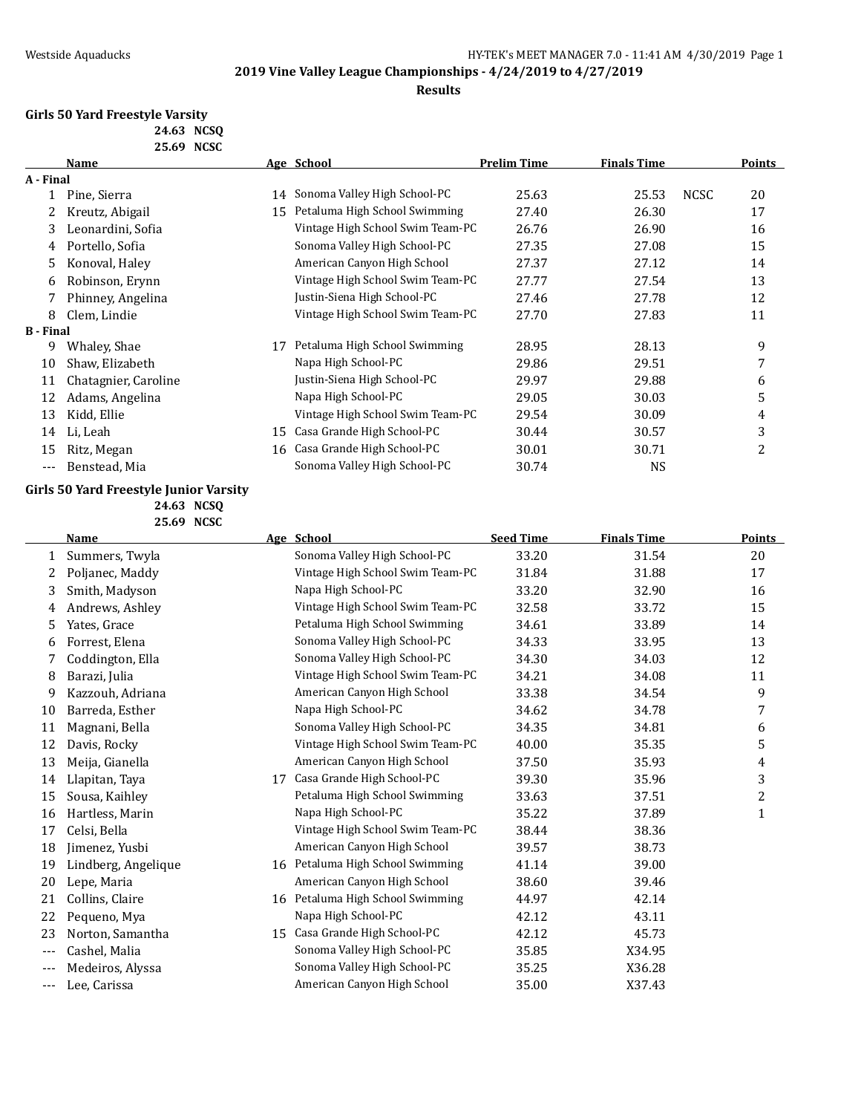### **Results**

### **Girls 50 Yard Freestyle Varsity**

| 24.63 NCSO |  |
|------------|--|
| 25.69 NCSC |  |

|                  | Name                 |    | Age School                       | <b>Prelim Time</b> | <b>Finals Time</b> |             | <b>Points</b> |
|------------------|----------------------|----|----------------------------------|--------------------|--------------------|-------------|---------------|
| A - Final        |                      |    |                                  |                    |                    |             |               |
|                  | Pine, Sierra         | 14 | Sonoma Valley High School-PC     | 25.63              | 25.53              | <b>NCSC</b> | 20            |
|                  | Kreutz, Abigail      | 15 | Petaluma High School Swimming    | 27.40              | 26.30              |             | 17            |
| 3                | Leonardini, Sofia    |    | Vintage High School Swim Team-PC | 26.76              | 26.90              |             | 16            |
| 4                | Portello, Sofia      |    | Sonoma Valley High School-PC     | 27.35              | 27.08              |             | 15            |
| 5.               | Konoval, Haley       |    | American Canyon High School      | 27.37              | 27.12              |             | 14            |
| 6                | Robinson, Erynn      |    | Vintage High School Swim Team-PC | 27.77              | 27.54              |             | 13            |
|                  | Phinney, Angelina    |    | Justin-Siena High School-PC      | 27.46              | 27.78              |             | 12            |
| 8                | Clem, Lindie         |    | Vintage High School Swim Team-PC | 27.70              | 27.83              |             | 11            |
| <b>B</b> - Final |                      |    |                                  |                    |                    |             |               |
| 9                | Whaley, Shae         | 17 | Petaluma High School Swimming    | 28.95              | 28.13              |             | 9             |
| 10               | Shaw, Elizabeth      |    | Napa High School-PC              | 29.86              | 29.51              |             | 7             |
| 11               | Chatagnier, Caroline |    | Justin-Siena High School-PC      | 29.97              | 29.88              |             | 6             |
| 12               | Adams, Angelina      |    | Napa High School-PC              | 29.05              | 30.03              |             | 5             |
| 13               | Kidd, Ellie          |    | Vintage High School Swim Team-PC | 29.54              | 30.09              |             | 4             |
| 14               | Li, Leah             | 15 | Casa Grande High School-PC       | 30.44              | 30.57              |             | 3             |
| 15               | Ritz, Megan          | 16 | Casa Grande High School-PC       | 30.01              | 30.71              |             | 2             |
|                  | Benstead, Mia        |    | Sonoma Valley High School-PC     | 30.74              | <b>NS</b>          |             |               |

### **Girls 50 Yard Freestyle Junior Varsity 24.63 NCSQ**

**25.69 NCSC**

|              | Name                |    | Age School                       | <b>Seed Time</b> | <b>Finals Time</b> | Points       |
|--------------|---------------------|----|----------------------------------|------------------|--------------------|--------------|
| $\mathbf{1}$ | Summers, Twyla      |    | Sonoma Valley High School-PC     | 33.20            | 31.54              | 20           |
| 2            | Poljanec, Maddy     |    | Vintage High School Swim Team-PC | 31.84            | 31.88              | 17           |
| 3            | Smith, Madyson      |    | Napa High School-PC              | 33.20            | 32.90              | 16           |
| 4            | Andrews, Ashley     |    | Vintage High School Swim Team-PC | 32.58            | 33.72              | 15           |
| 5.           | Yates, Grace        |    | Petaluma High School Swimming    | 34.61            | 33.89              | 14           |
| 6            | Forrest, Elena      |    | Sonoma Valley High School-PC     | 34.33            | 33.95              | 13           |
|              | Coddington, Ella    |    | Sonoma Valley High School-PC     | 34.30            | 34.03              | 12           |
| 8            | Barazi, Julia       |    | Vintage High School Swim Team-PC | 34.21            | 34.08              | 11           |
| 9            | Kazzouh, Adriana    |    | American Canyon High School      | 33.38            | 34.54              | 9            |
| 10           | Barreda, Esther     |    | Napa High School-PC              | 34.62            | 34.78              | 7            |
| 11           | Magnani, Bella      |    | Sonoma Valley High School-PC     | 34.35            | 34.81              | 6            |
| 12           | Davis, Rocky        |    | Vintage High School Swim Team-PC | 40.00            | 35.35              | 5            |
| 13           | Meija, Gianella     |    | American Canyon High School      | 37.50            | 35.93              | 4            |
| 14           | Llapitan, Taya      | 17 | Casa Grande High School-PC       | 39.30            | 35.96              | 3            |
| 15           | Sousa, Kaihley      |    | Petaluma High School Swimming    | 33.63            | 37.51              | 2            |
| 16           | Hartless, Marin     |    | Napa High School-PC              | 35.22            | 37.89              | $\mathbf{1}$ |
| 17           | Celsi, Bella        |    | Vintage High School Swim Team-PC | 38.44            | 38.36              |              |
| 18           | Jimenez, Yusbi      |    | American Canyon High School      | 39.57            | 38.73              |              |
| 19           | Lindberg, Angelique |    | 16 Petaluma High School Swimming | 41.14            | 39.00              |              |
| 20           | Lepe, Maria         |    | American Canyon High School      | 38.60            | 39.46              |              |
| 21           | Collins, Claire     |    | 16 Petaluma High School Swimming | 44.97            | 42.14              |              |
| 22           | Pequeno, Mya        |    | Napa High School-PC              | 42.12            | 43.11              |              |
| 23           | Norton, Samantha    |    | 15 Casa Grande High School-PC    | 42.12            | 45.73              |              |
| $---$        | Cashel, Malia       |    | Sonoma Valley High School-PC     | 35.85            | X34.95             |              |
| $---$        | Medeiros, Alyssa    |    | Sonoma Valley High School-PC     | 35.25            | X36.28             |              |
| $---$        | Lee, Carissa        |    | American Canyon High School      | 35.00            | X37.43             |              |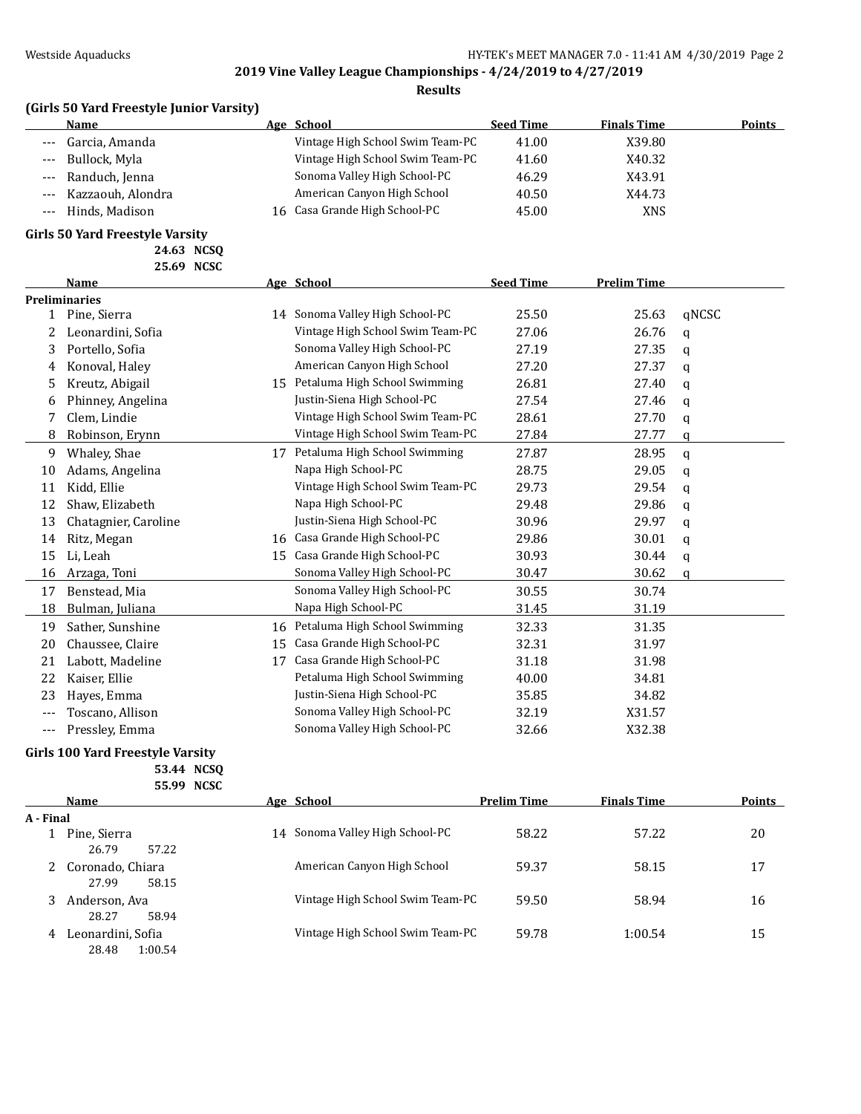### **Results**

| (Girls 50 Yard Freestyle Junior Varsity) |  |
|------------------------------------------|--|
|                                          |  |

|                     | <b>Name</b>       | Age School                       | <b>Seed Time</b> | <b>Finals Time</b> | <b>Points</b> |
|---------------------|-------------------|----------------------------------|------------------|--------------------|---------------|
| $---$               | Garcia, Amanda    | Vintage High School Swim Team-PC | 41.00            | X39.80             |               |
| $\qquad \qquad - -$ | Bullock, Myla     | Vintage High School Swim Team-PC | 41.60            | X40.32             |               |
| $---$               | Randuch, Jenna    | Sonoma Valley High School-PC     | 46.29            | X43.91             |               |
| $---$               | Kazzaouh, Alondra | American Canyon High School      | 40.50            | X44.73             |               |
| $---$               | Hinds. Madison    | 16 Casa Grande High School-PC    | 45.00            | <b>XNS</b>         |               |

### **Girls 50 Yard Freestyle Varsity**

**24.63 NCSQ**

|     | 25.69 NCSC           |    |                                  |                  |                    |          |
|-----|----------------------|----|----------------------------------|------------------|--------------------|----------|
|     | Name                 |    | Age School                       | <b>Seed Time</b> | <b>Prelim Time</b> |          |
|     | <b>Preliminaries</b> |    |                                  |                  |                    |          |
| 1   | Pine, Sierra         |    | 14 Sonoma Valley High School-PC  | 25.50            | 25.63              | qNCSC    |
| 2   | Leonardini, Sofia    |    | Vintage High School Swim Team-PC | 27.06            | 26.76              | a        |
| 3   | Portello, Sofia      |    | Sonoma Valley High School-PC     | 27.19            | 27.35              | a        |
| 4   | Konoval, Haley       |    | American Canyon High School      | 27.20            | 27.37              | a        |
| 5   | Kreutz, Abigail      |    | 15 Petaluma High School Swimming | 26.81            | 27.40              | q        |
| 6   | Phinney, Angelina    |    | Justin-Siena High School-PC      | 27.54            | 27.46              | q        |
| 7   | Clem, Lindie         |    | Vintage High School Swim Team-PC | 28.61            | 27.70              | a        |
| 8   | Robinson, Erynn      |    | Vintage High School Swim Team-PC | 27.84            | 27.77              | a        |
| 9   | Whaley, Shae         | 17 | Petaluma High School Swimming    | 27.87            | 28.95              | $\alpha$ |
| 10  | Adams, Angelina      |    | Napa High School-PC              | 28.75            | 29.05              | a        |
| 11  | Kidd, Ellie          |    | Vintage High School Swim Team-PC | 29.73            | 29.54              | q        |
| 12  | Shaw, Elizabeth      |    | Napa High School-PC              | 29.48            | 29.86              | q        |
| 13  | Chatagnier, Caroline |    | Justin-Siena High School-PC      | 30.96            | 29.97              | a        |
| 14  | Ritz, Megan          | 16 | Casa Grande High School-PC       | 29.86            | 30.01              | q        |
| 15  | Li, Leah             | 15 | Casa Grande High School-PC       | 30.93            | 30.44              | a        |
| 16  | Arzaga, Toni         |    | Sonoma Valley High School-PC     | 30.47            | 30.62              | a        |
| 17  | Benstead, Mia        |    | Sonoma Valley High School-PC     | 30.55            | 30.74              |          |
| 18  | Bulman, Juliana      |    | Napa High School-PC              | 31.45            | 31.19              |          |
| 19  | Sather, Sunshine     | 16 | Petaluma High School Swimming    | 32.33            | 31.35              |          |
| 20  | Chaussee, Claire     | 15 | Casa Grande High School-PC       | 32.31            | 31.97              |          |
| 21  | Labott, Madeline     | 17 | Casa Grande High School-PC       | 31.18            | 31.98              |          |
| 22  | Kaiser, Ellie        |    | Petaluma High School Swimming    | 40.00            | 34.81              |          |
| 23  | Hayes, Emma          |    | Justin-Siena High School-PC      | 35.85            | 34.82              |          |
|     | Toscano, Allison     |    | Sonoma Valley High School-PC     | 32.19            | X31.57             |          |
| --- | Presslev, Emma       |    | Sonoma Valley High School-PC     | 32.66            | X32.38             |          |

## **Girls 100 Yard Freestyle Varsity**

**53.44 NCSQ 55.99 NCSC**

|           | Name              |    | Age School                       | <b>Prelim Time</b> | <b>Finals Time</b> | Points |
|-----------|-------------------|----|----------------------------------|--------------------|--------------------|--------|
| A - Final |                   |    |                                  |                    |                    |        |
|           | Pine, Sierra      | 14 | Sonoma Valley High School-PC     | 58.22              | 57.22              | 20     |
|           | 57.22<br>26.79    |    |                                  |                    |                    |        |
| 2         | Coronado, Chiara  |    | American Canyon High School      | 59.37              | 58.15              | 17     |
|           | 27.99<br>58.15    |    |                                  |                    |                    |        |
|           | Anderson, Ava     |    | Vintage High School Swim Team-PC | 59.50              | 58.94              | 16     |
|           | 28.27<br>58.94    |    |                                  |                    |                    |        |
| 4         | Leonardini, Sofia |    | Vintage High School Swim Team-PC | 59.78              | 1:00.54            | 15     |
|           | 28.48<br>1:00.54  |    |                                  |                    |                    |        |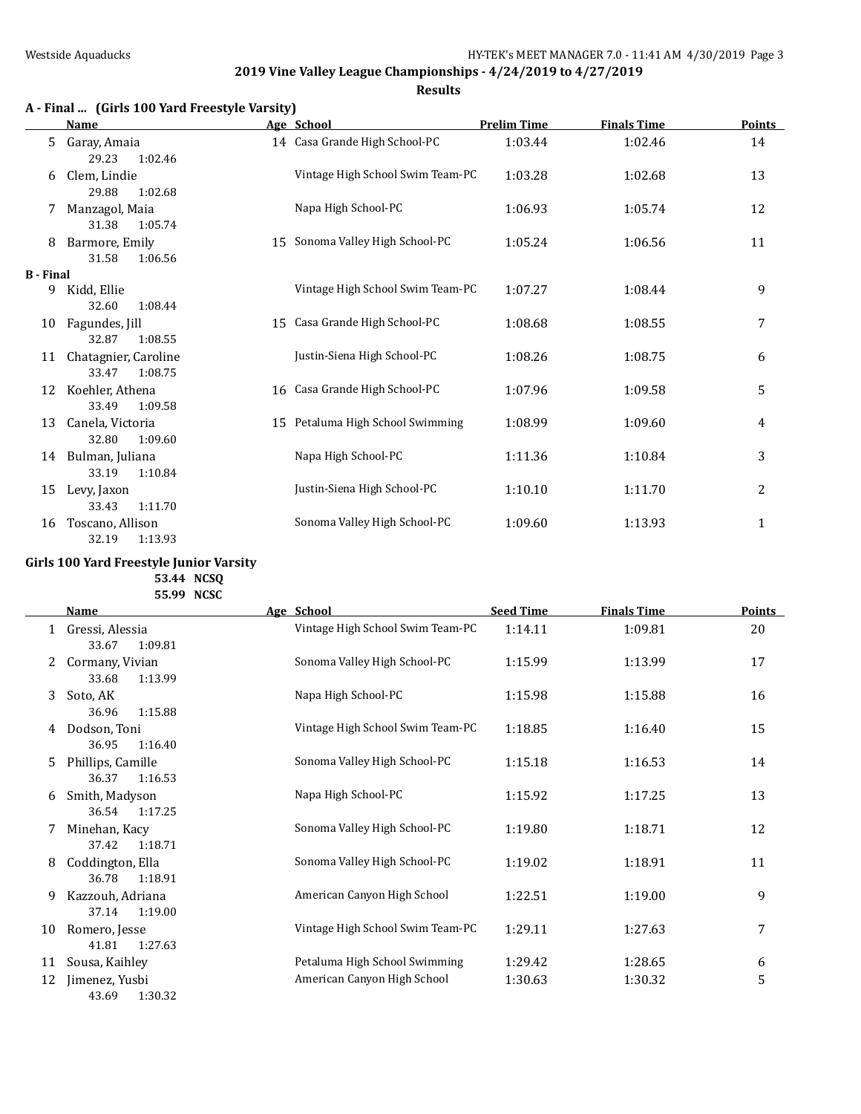**Results**

# **A - Final ... (Girls 100 Yard Freestyle Varsity)**

|                  | <b>Name</b>                              |    | Age School                       | <b>Prelim Time</b> | <b>Finals Time</b> | <b>Points</b> |
|------------------|------------------------------------------|----|----------------------------------|--------------------|--------------------|---------------|
| 5.               | Garay, Amaia<br>29.23<br>1:02.46         |    | 14 Casa Grande High School-PC    | 1:03.44            | 1:02.46            | 14            |
| 6                | Clem, Lindie<br>29.88<br>1:02.68         |    | Vintage High School Swim Team-PC | 1:03.28            | 1:02.68            | 13            |
|                  | Manzagol, Maia<br>31.38<br>1:05.74       |    | Napa High School-PC              | 1:06.93            | 1:05.74            | 12            |
| 8                | Barmore, Emily<br>31.58<br>1:06.56       |    | 15 Sonoma Valley High School-PC  | 1:05.24            | 1:06.56            | 11            |
| <b>B</b> - Final |                                          |    |                                  |                    |                    |               |
| 9                | Kidd, Ellie                              |    | Vintage High School Swim Team-PC | 1:07.27            | 1:08.44            | 9             |
|                  | 32.60<br>1:08.44                         |    |                                  |                    |                    |               |
| 10               | Fagundes, Jill                           | 15 | Casa Grande High School-PC       | 1:08.68            | 1:08.55            | 7             |
|                  | 32.87<br>1:08.55                         |    |                                  |                    |                    |               |
| 11               | Chatagnier, Caroline<br>33.47<br>1:08.75 |    | Justin-Siena High School-PC      | 1:08.26            | 1:08.75            | 6             |
| 12               | Koehler, Athena                          |    | 16 Casa Grande High School-PC    | 1:07.96            | 1:09.58            | 5             |
|                  | 33.49<br>1:09.58                         |    |                                  |                    |                    |               |
| 13               | Canela, Victoria                         |    | 15 Petaluma High School Swimming | 1:08.99            | 1:09.60            | 4             |
|                  | 32.80<br>1:09.60                         |    |                                  |                    |                    |               |
| 14               | Bulman, Juliana                          |    | Napa High School-PC              | 1:11.36            | 1:10.84            | 3             |
|                  | 33.19<br>1:10.84                         |    |                                  |                    |                    |               |
| 15               | Levy, Jaxon                              |    | Justin-Siena High School-PC      | 1:10.10            | 1:11.70            | 2             |
|                  | 1:11.70<br>33.43                         |    |                                  |                    |                    |               |
| 16               | Toscano, Allison                         |    | Sonoma Valley High School-PC     | 1:09.60            | 1:13.93            | 1             |
|                  | 32.19<br>1:13.93                         |    |                                  |                    |                    |               |

### **Girls 100 Yard Freestyle Junior Varsity 53.44 NCSQ**

**55.99 NCSC**

|              | <b>Name</b>                           | Age School                       | <b>Seed Time</b> | <b>Finals Time</b> | <b>Points</b> |
|--------------|---------------------------------------|----------------------------------|------------------|--------------------|---------------|
| $\mathbf{1}$ | Gressi, Alessia<br>33.67<br>1:09.81   | Vintage High School Swim Team-PC | 1:14.11          | 1:09.81            | 20            |
| 2            | Cormany, Vivian<br>1:13.99<br>33.68   | Sonoma Valley High School-PC     | 1:15.99          | 1:13.99            | 17            |
| 3            | Soto, AK<br>36.96<br>1:15.88          | Napa High School-PC              | 1:15.98          | 1:15.88            | 16            |
| 4            | Dodson, Toni<br>36.95<br>1:16.40      | Vintage High School Swim Team-PC | 1:18.85          | 1:16.40            | 15            |
| 5.           | Phillips, Camille<br>36.37<br>1:16.53 | Sonoma Valley High School-PC     | 1:15.18          | 1:16.53            | 14            |
| 6            | Smith, Madyson<br>36.54<br>1:17.25    | Napa High School-PC              | 1:15.92          | 1:17.25            | 13            |
|              | Minehan, Kacy<br>37.42<br>1:18.71     | Sonoma Valley High School-PC     | 1:19.80          | 1:18.71            | 12            |
| 8            | Coddington, Ella<br>36.78<br>1:18.91  | Sonoma Valley High School-PC     | 1:19.02          | 1:18.91            | 11            |
| 9            | Kazzouh, Adriana<br>37.14<br>1:19.00  | American Canyon High School      | 1:22.51          | 1:19.00            | 9             |
| 10           | Romero, Jesse<br>41.81<br>1:27.63     | Vintage High School Swim Team-PC | 1:29.11          | 1:27.63            | 7             |
| 11           | Sousa, Kaihley                        | Petaluma High School Swimming    | 1:29.42          | 1:28.65            | 6             |
| 12           | Jimenez, Yusbi<br>1:30.32<br>43.69    | American Canyon High School      | 1:30.63          | 1:30.32            | 5             |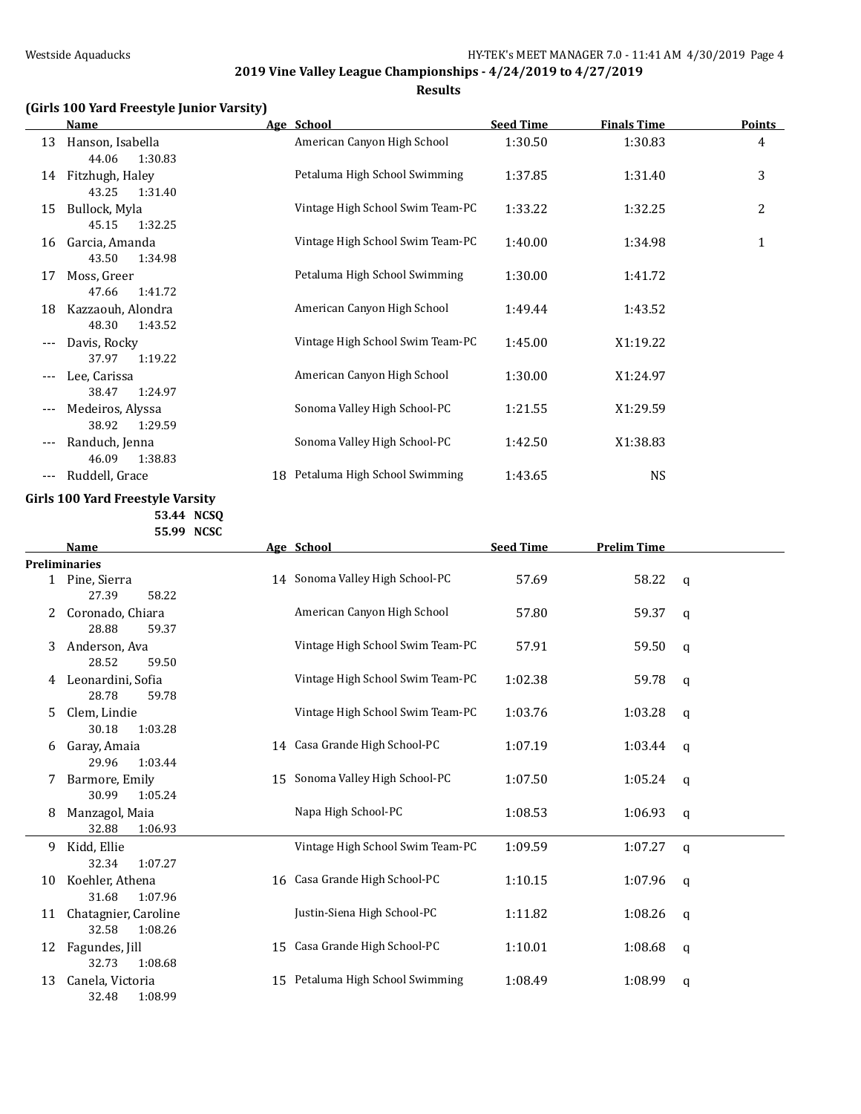**Results**

## **(Girls 100 Yard Freestyle Junior Varsity)**

|       | <b>Name</b>                                             |    | Age School                       | <b>Seed Time</b> | <b>Finals Time</b> | <b>Points</b> |
|-------|---------------------------------------------------------|----|----------------------------------|------------------|--------------------|---------------|
| 13    | Hanson, Isabella                                        |    | American Canyon High School      | 1:30.50          | 1:30.83            | 4             |
| 14    | 44.06<br>1:30.83<br>Fitzhugh, Haley<br>43.25<br>1:31.40 |    | Petaluma High School Swimming    | 1:37.85          | 1:31.40            | 3             |
| 15    | Bullock, Myla<br>45.15<br>1:32.25                       |    | Vintage High School Swim Team-PC | 1:33.22          | 1:32.25            | 2             |
| 16    | Garcia, Amanda<br>43.50<br>1:34.98                      |    | Vintage High School Swim Team-PC | 1:40.00          | 1:34.98            | $\mathbf{1}$  |
| 17    | Moss, Greer<br>1:41.72<br>47.66                         |    | Petaluma High School Swimming    | 1:30.00          | 1:41.72            |               |
| 18    | Kazzaouh, Alondra<br>48.30<br>1:43.52                   |    | American Canyon High School      | 1:49.44          | 1:43.52            |               |
| $---$ | Davis, Rocky<br>1:19.22<br>37.97                        |    | Vintage High School Swim Team-PC | 1:45.00          | X1:19.22           |               |
| $---$ | Lee, Carissa<br>1:24.97<br>38.47                        |    | American Canyon High School      | 1:30.00          | X1:24.97           |               |
| ---   | Medeiros, Alyssa<br>38.92<br>1:29.59                    |    | Sonoma Valley High School-PC     | 1:21.55          | X1:29.59           |               |
| ---   | Randuch, Jenna<br>46.09<br>1:38.83                      |    | Sonoma Valley High School-PC     | 1:42.50          | X1:38.83           |               |
| $---$ | Ruddell, Grace                                          | 18 | Petaluma High School Swimming    | 1:43.65          | <b>NS</b>          |               |

### **Girls 100 Yard Freestyle Varsity 53.44 NCSQ**

**55.99 NCSC**

|    | <b>Name</b>          |    | Age School                       | <b>Seed Time</b> | <b>Prelim Time</b> |              |
|----|----------------------|----|----------------------------------|------------------|--------------------|--------------|
|    | <b>Preliminaries</b> |    |                                  |                  |                    |              |
|    | 1 Pine, Sierra       |    | 14 Sonoma Valley High School-PC  | 57.69            | 58.22              | $\mathbf{q}$ |
|    | 27.39<br>58.22       |    |                                  |                  |                    |              |
|    | Coronado, Chiara     |    | American Canyon High School      | 57.80            | 59.37              | q            |
|    | 28.88<br>59.37       |    |                                  |                  |                    |              |
| 3  | Anderson, Ava        |    | Vintage High School Swim Team-PC | 57.91            | 59.50              | q            |
|    | 28.52<br>59.50       |    |                                  |                  |                    |              |
| 4  | Leonardini, Sofia    |    | Vintage High School Swim Team-PC | 1:02.38          | 59.78              | q            |
|    | 28.78<br>59.78       |    |                                  |                  |                    |              |
| 5. | Clem, Lindie         |    | Vintage High School Swim Team-PC | 1:03.76          | 1:03.28            | $\mathsf{q}$ |
|    | 30.18<br>1:03.28     |    |                                  |                  |                    |              |
| 6  | Garay, Amaia         |    | 14 Casa Grande High School-PC    | 1:07.19          | 1:03.44            | q            |
|    | 29.96<br>1:03.44     |    |                                  |                  |                    |              |
| 7  | Barmore, Emily       |    | 15 Sonoma Valley High School-PC  | 1:07.50          | 1:05.24            | q            |
|    | 30.99<br>1:05.24     |    |                                  |                  |                    |              |
| 8  | Manzagol, Maia       |    | Napa High School-PC              | 1:08.53          | 1:06.93            | $\mathsf{q}$ |
|    | 32.88<br>1:06.93     |    |                                  |                  |                    |              |
| 9  | Kidd, Ellie          |    | Vintage High School Swim Team-PC | 1:09.59          | 1:07.27            | $\mathsf{q}$ |
|    | 32.34<br>1:07.27     |    |                                  |                  |                    |              |
| 10 | Koehler, Athena      | 16 | Casa Grande High School-PC       | 1:10.15          | 1:07.96            | q            |
|    | 31.68<br>1:07.96     |    |                                  |                  |                    |              |
| 11 | Chatagnier, Caroline |    | Justin-Siena High School-PC      | 1:11.82          | 1:08.26            | $\mathsf{q}$ |
|    | 32.58<br>1:08.26     |    |                                  |                  |                    |              |
| 12 | Fagundes, Jill       | 15 | Casa Grande High School-PC       | 1:10.01          | 1:08.68            | q            |
|    | 32.73<br>1:08.68     |    |                                  |                  |                    |              |
| 13 | Canela, Victoria     | 15 | Petaluma High School Swimming    | 1:08.49          | 1:08.99            | q            |
|    | 32.48<br>1:08.99     |    |                                  |                  |                    |              |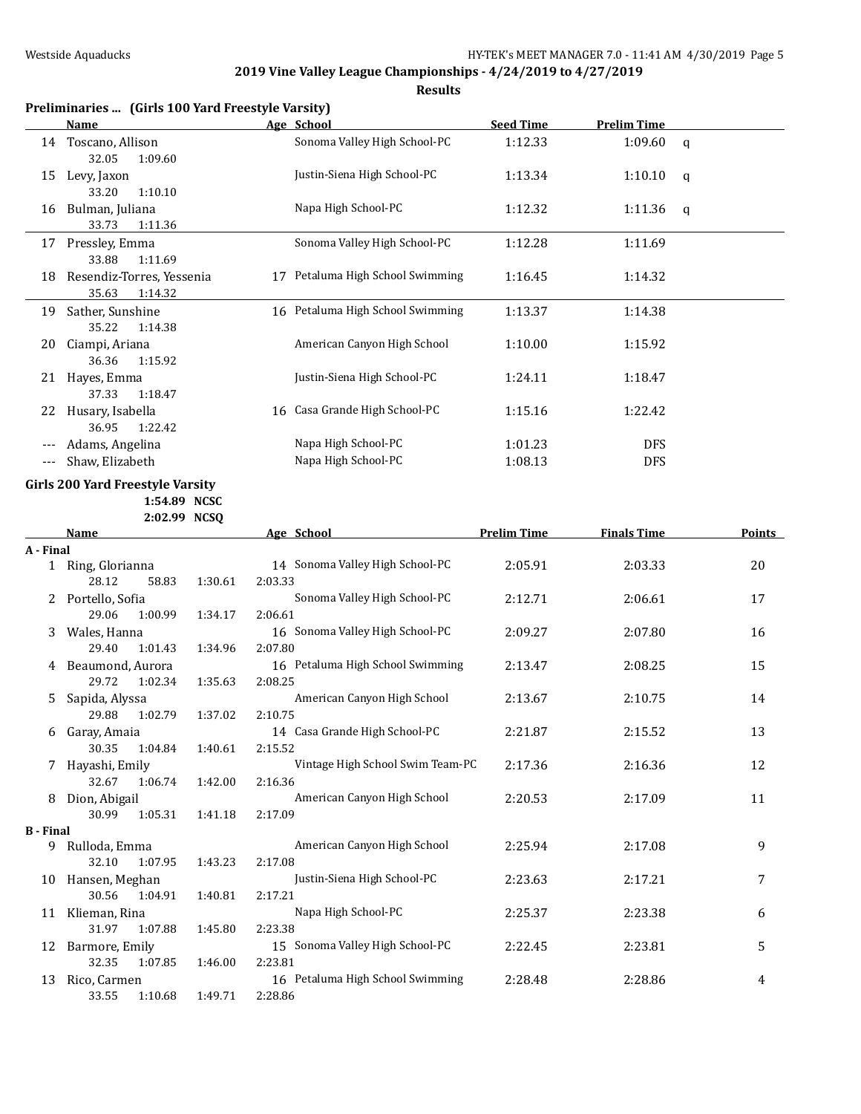|                  | Preliminaries  (Girls 100 Yard Freestyle Varsity)<br><b>Name</b> |         | Age School                       | <b>Seed Time</b>   | <b>Prelim Time</b> |               |
|------------------|------------------------------------------------------------------|---------|----------------------------------|--------------------|--------------------|---------------|
|                  |                                                                  |         | Sonoma Valley High School-PC     |                    |                    |               |
|                  | 14 Toscano, Allison<br>32.05<br>1:09.60                          |         |                                  | 1:12.33            | 1:09.60            | $\mathbf q$   |
| 15               | Levy, Jaxon<br>33.20<br>1:10.10                                  |         | Justin-Siena High School-PC      | 1:13.34            | 1:10.10            | q             |
| 16               | Bulman, Juliana<br>33.73<br>1:11.36                              |         | Napa High School-PC              | 1:12.32            | 1:11.36            | q             |
|                  | 17 Pressley, Emma                                                |         | Sonoma Valley High School-PC     | 1:12.28            | 1:11.69            |               |
|                  | 1:11.69<br>33.88                                                 |         |                                  |                    |                    |               |
| 18               | Resendiz-Torres, Yessenia<br>35.63<br>1:14.32                    |         | 17 Petaluma High School Swimming | 1:16.45            | 1:14.32            |               |
|                  | 19 Sather, Sunshine<br>35.22<br>1:14.38                          |         | 16 Petaluma High School Swimming | 1:13.37            | 1:14.38            |               |
| 20               | Ciampi, Ariana                                                   |         | American Canyon High School      | 1:10.00            | 1:15.92            |               |
|                  | 36.36<br>1:15.92                                                 |         |                                  |                    |                    |               |
|                  | 21 Hayes, Emma<br>37.33<br>1:18.47                               |         | Justin-Siena High School-PC      | 1:24.11            | 1:18.47            |               |
| 22               | Husary, Isabella<br>36.95<br>1:22.42                             | 16      | Casa Grande High School-PC       | 1:15.16            | 1:22.42            |               |
|                  | Adams, Angelina                                                  |         | Napa High School-PC              | 1:01.23            | <b>DFS</b>         |               |
| $---$            | Shaw, Elizabeth                                                  |         | Napa High School-PC              | 1:08.13            | <b>DFS</b>         |               |
|                  |                                                                  |         |                                  |                    |                    |               |
|                  | Girls 200 Yard Freestyle Varsity                                 |         |                                  |                    |                    |               |
|                  | 1:54.89 NCSC                                                     |         |                                  |                    |                    |               |
|                  | 2:02.99 NCSQ                                                     |         |                                  |                    |                    |               |
|                  | Name                                                             |         | Age School                       | <b>Prelim Time</b> | <b>Finals Time</b> | <b>Points</b> |
| A - Final        |                                                                  |         |                                  |                    |                    |               |
|                  | 1 Ring, Glorianna<br>28.12<br>58.83<br>1:30.61                   | 2:03.33 | 14 Sonoma Valley High School-PC  | 2:05.91            | 2:03.33            | 20            |
| 2                | Portello, Sofia                                                  |         | Sonoma Valley High School-PC     | 2:12.71            | 2:06.61            | 17            |
|                  | 29.06<br>1:00.99<br>1:34.17                                      | 2:06.61 |                                  |                    |                    |               |
| 3                | Wales, Hanna                                                     |         | 16 Sonoma Valley High School-PC  | 2:09.27            | 2:07.80            | 16            |
|                  | 29.40<br>1:01.43<br>1:34.96                                      | 2:07.80 |                                  |                    |                    |               |
|                  | 4 Beaumond, Aurora                                               |         | 16 Petaluma High School Swimming | 2:13.47            | 2:08.25            | 15            |
|                  | 29.72<br>1:02.34<br>1:35.63                                      | 2:08.25 |                                  |                    |                    |               |
| 5.               | Sapida, Alyssa                                                   |         | American Canyon High School      | 2:13.67            | 2:10.75            | 14            |
|                  | 29.88<br>1:02.79<br>1:37.02                                      | 2:10.75 |                                  |                    |                    |               |
|                  | 6 Garay, Amaia<br>30.35<br>1:04.84<br>1:40.61                    | 2:15.52 | 14 Casa Grande High School-PC    | 2:21.87            | 2:15.52            | 13            |
|                  | 7 Hayashi, Emily                                                 |         | Vintage High School Swim Team-PC | 2:17.36            | 2:16.36            | 12            |
|                  | 32.67<br>1:06.74<br>1:42.00                                      | 2:16.36 |                                  |                    |                    |               |
| 8                | Dion, Abigail                                                    |         | American Canyon High School      | 2:20.53            | 2:17.09            | 11            |
|                  | 30.99<br>1:05.31<br>1:41.18                                      | 2:17.09 |                                  |                    |                    |               |
| <b>B</b> - Final |                                                                  |         |                                  |                    |                    |               |
|                  | 9 Rulloda, Emma                                                  |         | American Canyon High School      | 2:25.94            | 2:17.08            | 9             |
|                  |                                                                  | 2:17.08 |                                  |                    |                    |               |
|                  | 32.10<br>1:07.95<br>1:43.23                                      |         |                                  |                    |                    |               |
| 10               | Hansen, Meghan                                                   |         | Justin-Siena High School-PC      | 2:23.63            | 2:17.21            | 7             |
|                  | 30.56<br>1:04.91<br>1:40.81                                      | 2:17.21 |                                  |                    |                    |               |
| 11               | Klieman, Rina                                                    |         | Napa High School-PC              | 2:25.37            | 2:23.38            | 6             |
|                  | 31.97<br>1:07.88<br>1:45.80                                      | 2:23.38 |                                  |                    |                    |               |
| 12               | Barmore, Emily                                                   |         | 15 Sonoma Valley High School-PC  | 2:22.45            | 2:23.81            | 5             |
| 13               | 32.35<br>1:07.85<br>1:46.00<br>Rico, Carmen                      | 2:23.81 | 16 Petaluma High School Swimming | 2:28.48            | 2:28.86            | 4             |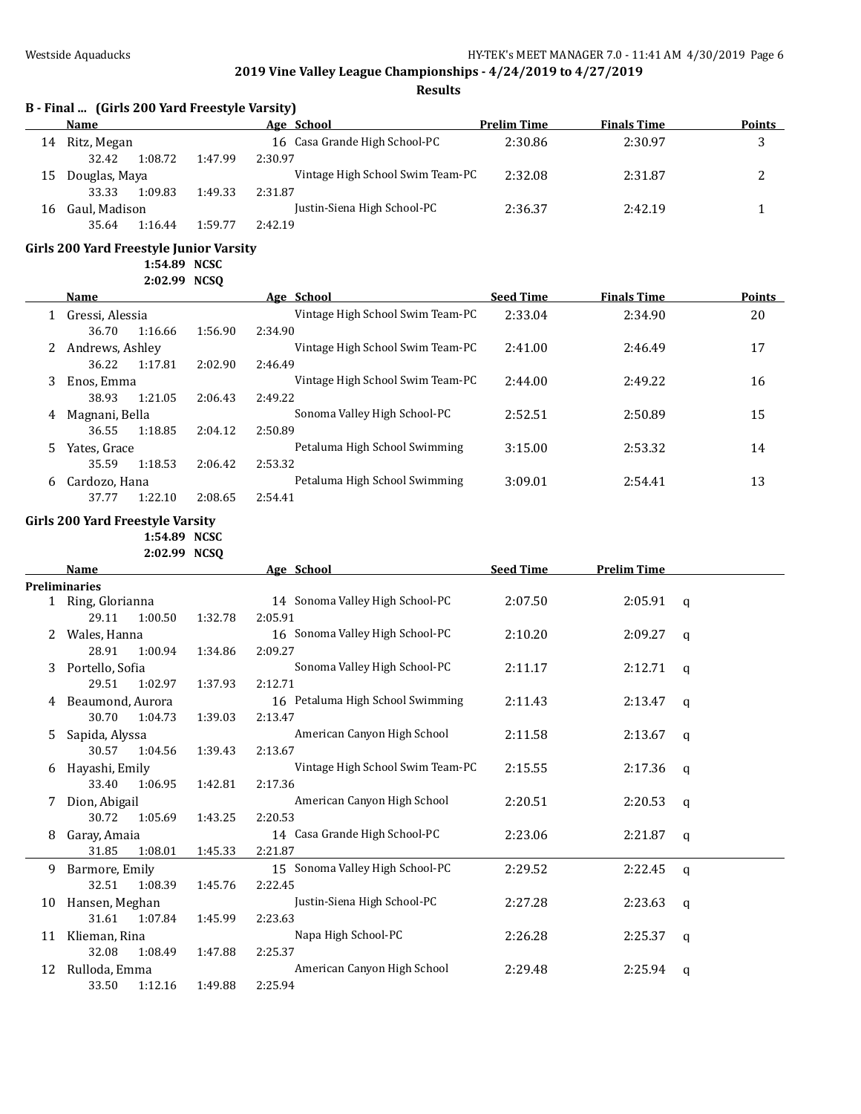**Results**

## **B - Final ... (Girls 200 Yard Freestyle Varsity)**

|    | Name          |         |         | Age School                       | <b>Prelim Time</b> | <b>Finals Time</b> | <b>Points</b> |
|----|---------------|---------|---------|----------------------------------|--------------------|--------------------|---------------|
| 14 | Ritz, Megan   |         |         | 16 Casa Grande High School-PC    | 2:30.86            | 2:30.97            | ມ             |
|    | 32.42         | 1:08.72 | 1:47.99 | 2:30.97                          |                    |                    |               |
| 15 | Douglas, Maya |         |         | Vintage High School Swim Team-PC | 2:32.08            | 2:31.87            | ∸             |
|    | 33.33         | 1:09.83 | 1:49.33 | 2:31.87                          |                    |                    |               |
| 16 | Gaul, Madison |         |         | Justin-Siena High School-PC      | 2:36.37            | 2:42.19            |               |
|    | 35.64         | 1:16.44 | 1:59.77 | 2:42.19                          |                    |                    |               |

#### **Girls 200 Yard Freestyle Junior Varsity**

**1:54.89 NCSC**

**2:02.99 NCSQ**

|    | <b>Name</b>     |         |         | Age School                       | <b>Seed Time</b> | <b>Finals Time</b> | <b>Points</b> |
|----|-----------------|---------|---------|----------------------------------|------------------|--------------------|---------------|
|    | Gressi, Alessia |         |         | Vintage High School Swim Team-PC | 2:33.04          | 2:34.90            | 20            |
|    | 36.70           | 1:16.66 | 1:56.90 | 2:34.90                          |                  |                    |               |
| 2  | Andrews, Ashley |         |         | Vintage High School Swim Team-PC | 2:41.00          | 2:46.49            | 17            |
|    | 36.22           | 1:17.81 | 2:02.90 | 2:46.49                          |                  |                    |               |
| 3  | Enos, Emma      |         |         | Vintage High School Swim Team-PC | 2:44.00          | 2:49.22            | 16            |
|    | 38.93           | 1:21.05 | 2:06.43 | 2:49.22                          |                  |                    |               |
| 4  | Magnani, Bella  |         |         | Sonoma Valley High School-PC     | 2:52.51          | 2:50.89            | 15            |
|    | 36.55           | 1:18.85 | 2:04.12 | 2:50.89                          |                  |                    |               |
| 5. | Yates, Grace    |         |         | Petaluma High School Swimming    | 3:15.00          | 2:53.32            | 14            |
|    | 35.59           | 1:18.53 | 2:06.42 | 2:53.32                          |                  |                    |               |
| 6  | Cardozo, Hana   |         |         | Petaluma High School Swimming    | 3:09.01          | 2:54.41            | 13            |
|    | 37.77           | 1:22.10 | 2:08.65 | 2:54.41                          |                  |                    |               |

#### **Girls 200 Yard Freestyle Varsity**

**1:54.89 NCSC**

**2:02.99 NCSQ**

|    | <b>Name</b>          |         | Age School                       | <b>Seed Time</b> | <b>Prelim Time</b> |   |
|----|----------------------|---------|----------------------------------|------------------|--------------------|---|
|    | <b>Preliminaries</b> |         |                                  |                  |                    |   |
|    | 1 Ring, Glorianna    |         | 14 Sonoma Valley High School-PC  | 2:07.50          | 2:05.91            | q |
|    | 29.11<br>1:00.50     | 1:32.78 | 2:05.91                          |                  |                    |   |
|    | Wales, Hanna         |         | 16 Sonoma Valley High School-PC  | 2:10.20          | 2:09.27            | q |
|    | 28.91<br>1:00.94     | 1:34.86 | 2:09.27                          |                  |                    |   |
| 3  | Portello, Sofia      |         | Sonoma Valley High School-PC     | 2:11.17          | 2:12.71            | q |
|    | 29.51<br>1:02.97     | 1:37.93 | 2:12.71                          |                  |                    |   |
| 4  | Beaumond, Aurora     |         | 16 Petaluma High School Swimming | 2:11.43          | 2:13.47            | a |
|    | 30.70<br>1:04.73     | 1:39.03 | 2:13.47                          |                  |                    |   |
| 5  | Sapida, Alyssa       |         | American Canyon High School      | 2:11.58          | 2:13.67            | a |
|    | 30.57<br>1:04.56     | 1:39.43 | 2:13.67                          |                  |                    |   |
| 6  | Hayashi, Emily       |         | Vintage High School Swim Team-PC | 2:15.55          | 2:17.36            | a |
|    | 33.40<br>1:06.95     | 1:42.81 | 2:17.36                          |                  |                    |   |
|    | Dion, Abigail        |         | American Canyon High School      | 2:20.51          | 2:20.53            | q |
|    | 30.72<br>1:05.69     | 1:43.25 | 2:20.53                          |                  |                    |   |
| 8  | Garay, Amaia         |         | 14 Casa Grande High School-PC    | 2:23.06          | 2:21.87            | q |
|    | 31.85<br>1:08.01     | 1:45.33 | 2:21.87                          |                  |                    |   |
| 9  | Barmore, Emily       |         | 15 Sonoma Valley High School-PC  | 2:29.52          | 2:22.45            | q |
|    | 32.51<br>1:08.39     | 1:45.76 | 2:22.45                          |                  |                    |   |
| 10 | Hansen, Meghan       |         | Justin-Siena High School-PC      | 2:27.28          | 2:23.63            | q |
|    | 31.61<br>1:07.84     | 1:45.99 | 2:23.63                          |                  |                    |   |
| 11 | Klieman, Rina        |         | Napa High School-PC              | 2:26.28          | 2:25.37            | a |
|    | 32.08<br>1:08.49     | 1:47.88 | 2:25.37                          |                  |                    |   |
| 12 | Rulloda, Emma        |         | American Canyon High School      | 2:29.48          | 2:25.94            | q |
|    | 1:12.16<br>33.50     | 1:49.88 | 2:25.94                          |                  |                    |   |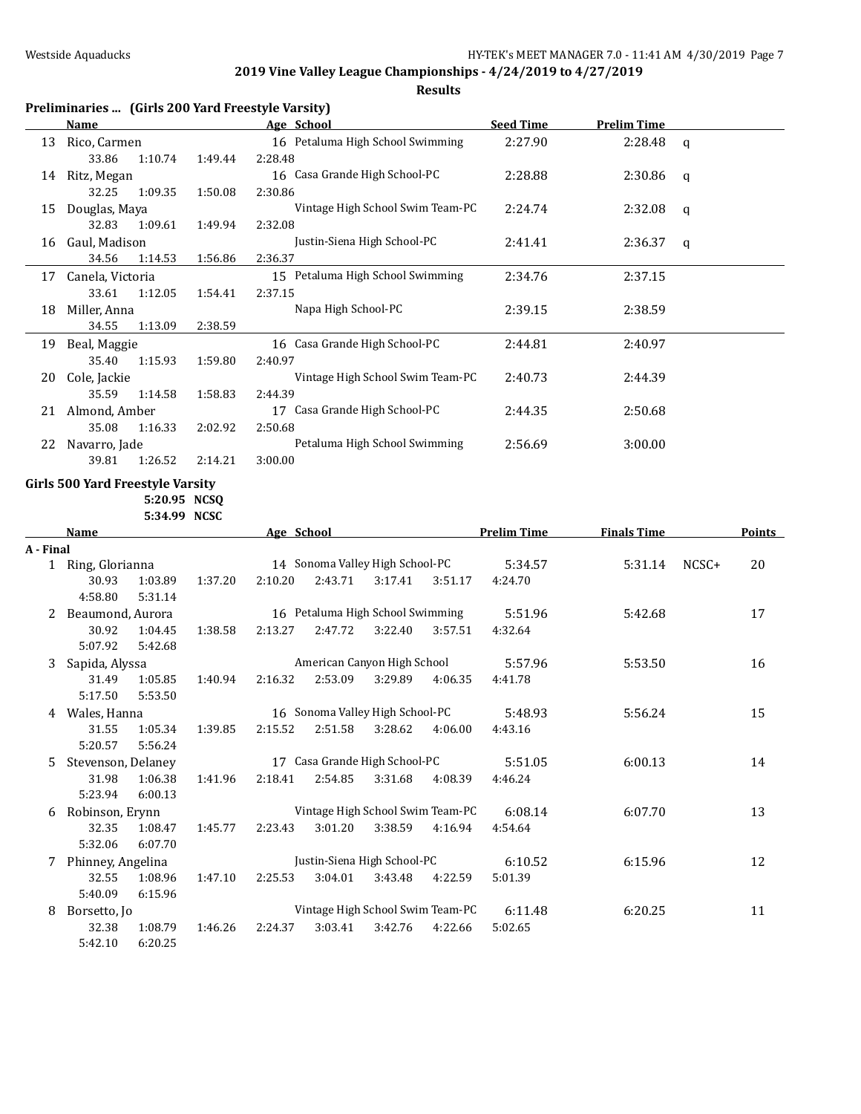|           |                                                           |         |                                 | Results                          |                    |                    |             |               |
|-----------|-----------------------------------------------------------|---------|---------------------------------|----------------------------------|--------------------|--------------------|-------------|---------------|
|           | Preliminaries  (Girls 200 Yard Freestyle Varsity)<br>Name |         | Age School                      |                                  | <b>Seed Time</b>   | <b>Prelim Time</b> |             |               |
|           | 13 Rico, Carmen                                           |         |                                 | 16 Petaluma High School Swimming | 2:27.90            | 2:28.48            | $\mathbf q$ |               |
|           | 33.86<br>1:10.74                                          | 1:49.44 | 2:28.48                         |                                  |                    |                    |             |               |
|           | 14 Ritz, Megan                                            |         | 16 Casa Grande High School-PC   |                                  | 2:28.88            | 2:30.86            | q           |               |
|           | 32.25<br>1:09.35                                          | 1:50.08 | 2:30.86                         |                                  |                    |                    |             |               |
|           | 15 Douglas, Maya                                          |         |                                 | Vintage High School Swim Team-PC | 2:24.74            | 2:32.08            | q           |               |
|           | 32.83<br>1:09.61                                          | 1:49.94 | 2:32.08                         |                                  |                    |                    |             |               |
|           | 16 Gaul, Madison                                          |         |                                 | Justin-Siena High School-PC      | 2:41.41            | 2:36.37            | q           |               |
|           | 34.56<br>1:14.53                                          | 1:56.86 | 2:36.37                         |                                  |                    |                    |             |               |
|           | 17 Canela, Victoria                                       |         |                                 | 15 Petaluma High School Swimming | 2:34.76            | 2:37.15            |             |               |
|           | 33.61<br>1:12.05                                          | 1:54.41 | 2:37.15                         |                                  |                    |                    |             |               |
|           | 18 Miller, Anna                                           |         | Napa High School-PC             |                                  | 2:39.15            | 2:38.59            |             |               |
|           | 34.55<br>1:13.09                                          | 2:38.59 |                                 |                                  |                    |                    |             |               |
|           | 19 Beal, Maggie                                           |         | 16 Casa Grande High School-PC   |                                  | 2:44.81            | 2:40.97            |             |               |
|           | 35.40<br>1:15.93                                          | 1:59.80 | 2:40.97                         |                                  |                    |                    |             |               |
|           | 20 Cole, Jackie                                           |         |                                 | Vintage High School Swim Team-PC | 2:40.73            | 2:44.39            |             |               |
|           | 35.59<br>1:14.58                                          | 1:58.83 | 2:44.39                         |                                  |                    |                    |             |               |
|           | 21 Almond, Amber                                          |         | 17 Casa Grande High School-PC   |                                  | 2:44.35            | 2:50.68            |             |               |
|           | 35.08<br>1:16.33                                          | 2:02.92 | 2:50.68                         |                                  |                    |                    |             |               |
|           | 22 Navarro, Jade                                          |         |                                 | Petaluma High School Swimming    | 2:56.69            | 3:00.00            |             |               |
|           | 39.81<br>1:26.52                                          | 2:14.21 | 3:00.00                         |                                  |                    |                    |             |               |
|           | <b>Girls 500 Yard Freestyle Varsity</b>                   |         |                                 |                                  |                    |                    |             |               |
|           | 5:20.95 NCSQ                                              |         |                                 |                                  |                    |                    |             |               |
|           | 5:34.99 NCSC                                              |         |                                 |                                  |                    |                    |             |               |
|           | <b>Name</b>                                               |         | Age School                      |                                  | <b>Prelim Time</b> | <b>Finals Time</b> |             | <b>Points</b> |
| A - Final | 1 Ring, Glorianna                                         |         | 14 Sonoma Valley High School-PC |                                  | 5:34.57            | 5:31.14            | NCSC+       | 20            |
|           | 30.93<br>1:03.89                                          | 1:37.20 | 2:43.71<br>2:10.20              | 3:17.41<br>3:51.17               | 4:24.70            |                    |             |               |
|           | 4:58.80<br>5:31.14                                        |         |                                 |                                  |                    |                    |             |               |
|           | 2 Beaumond, Aurora                                        |         |                                 | 16 Petaluma High School Swimming | 5:51.96            | 5:42.68            |             | 17            |
|           | 30.92<br>1:04.45                                          | 1:38.58 | 2:47.72<br>2:13.27              | 3:22.40<br>3:57.51               | 4:32.64            |                    |             |               |
|           | 5:07.92<br>5:42.68                                        |         |                                 |                                  |                    |                    |             |               |
| 3         | Sapida, Alyssa                                            |         |                                 | American Canyon High School      | 5:57.96            | 5:53.50            |             | 16            |
|           | 31.49<br>1:05.85                                          | 1:40.94 | 2:16.32<br>2:53.09              | 3:29.89<br>4:06.35               | 4:41.78            |                    |             |               |
|           | 5:17.50<br>5:53.50                                        |         |                                 |                                  |                    |                    |             |               |
|           | 4 Wales, Hanna                                            |         | 16 Sonoma Valley High School-PC |                                  | 5:48.93            | 5:56.24            |             | 15            |
|           | 31.55<br>1:05.34                                          | 1:39.85 | 2:15.52<br>2:51.58              | 3:28.62<br>4:06.00               | 4:43.16            |                    |             |               |
|           | 5:20.57<br>5:56.24                                        |         |                                 |                                  |                    |                    |             |               |
| 5.        | Stevenson, Delaney                                        |         | 17 Casa Grande High School-PC   |                                  | 5:51.05            | 6:00.13            |             | 14            |
|           | 31.98<br>1:06.38                                          | 1:41.96 | 2:54.85<br>2:18.41              | 3:31.68<br>4:08.39               | 4:46.24            |                    |             |               |
|           | 5:23.94<br>6:00.13                                        |         |                                 |                                  |                    |                    |             |               |
| 6         | Robinson, Erynn                                           |         |                                 | Vintage High School Swim Team-PC | 6:08.14            | 6:07.70            |             | 13            |
|           | 32.35<br>1:08.47                                          | 1:45.77 | 2:23.43<br>3:01.20              | 3:38.59<br>4:16.94               | 4:54.64            |                    |             |               |
|           | 5:32.06<br>6:07.70                                        |         |                                 | Justin-Siena High School-PC      |                    |                    |             |               |
|           | 7 Phinney, Angelina<br>32.55<br>1:08.96                   | 1:47.10 | 3:04.01<br>2:25.53              | 3:43.48<br>4:22.59               | 6:10.52<br>5:01.39 | 6:15.96            |             | 12            |
|           | 5:40.09<br>6:15.96                                        |         |                                 |                                  |                    |                    |             |               |
| 8         | Borsetto, Jo                                              |         |                                 | Vintage High School Swim Team-PC | 6:11.48            | 6:20.25            |             | 11            |
|           | 32.38<br>1:08.79                                          | 1:46.26 | 3:03.41<br>2:24.37              | 3:42.76<br>4:22.66               | 5:02.65            |                    |             |               |
|           | 5:42.10<br>6:20.25                                        |         |                                 |                                  |                    |                    |             |               |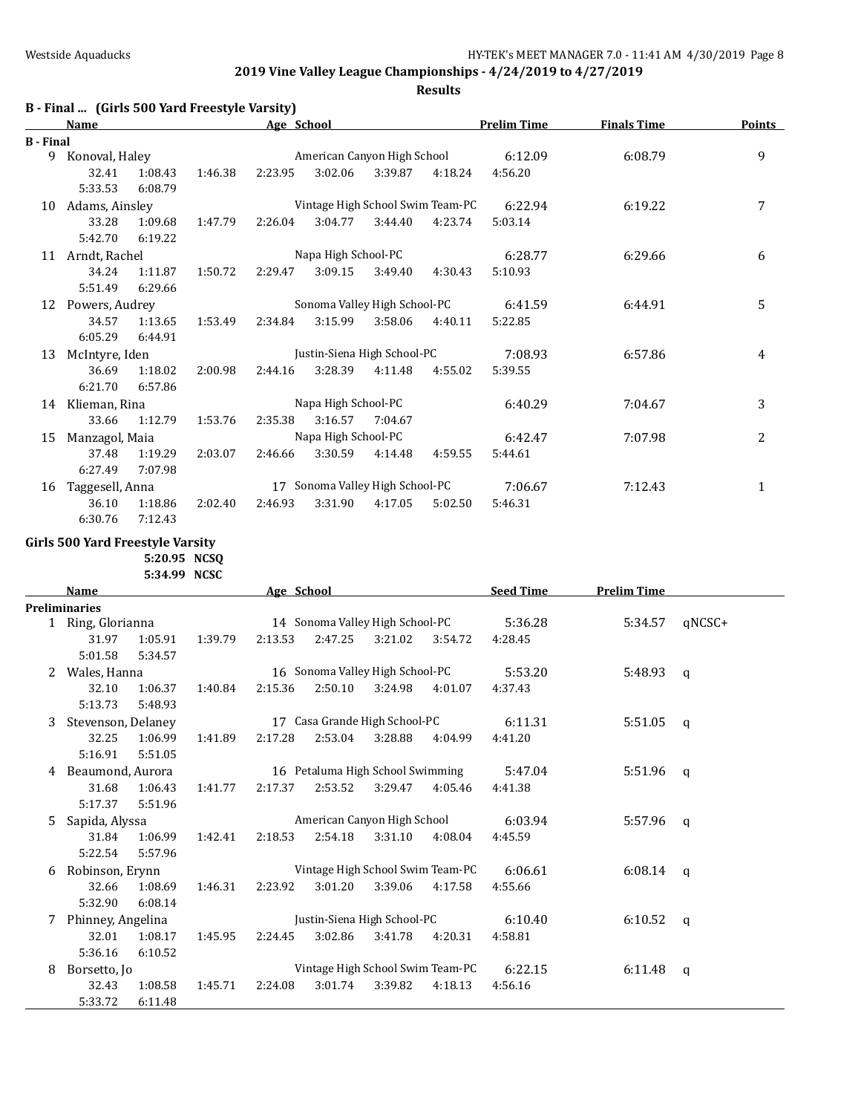**Results**

|                  | B - Final  (Girls 500 Yard Freestyle Varsity) |         |         |            |                     |                                  |         |                    |                    |        |
|------------------|-----------------------------------------------|---------|---------|------------|---------------------|----------------------------------|---------|--------------------|--------------------|--------|
|                  | <b>Name</b>                                   |         |         | Age School |                     |                                  |         | <b>Prelim Time</b> | <b>Finals Time</b> | Points |
| <b>B</b> - Final |                                               |         |         |            |                     |                                  |         |                    |                    |        |
| 9                | Konoval, Haley                                |         |         |            |                     | American Canyon High School      |         | 6:12.09            | 6:08.79            | 9      |
|                  | 32.41                                         | 1:08.43 | 1:46.38 | 2:23.95    | 3:02.06             | 3:39.87                          | 4:18.24 | 4:56.20            |                    |        |
|                  | 5:33.53                                       | 6:08.79 |         |            |                     |                                  |         |                    |                    |        |
| 10               | Adams, Ainsley                                |         |         |            |                     | Vintage High School Swim Team-PC |         | 6:22.94            | 6:19.22            | 7      |
|                  | 33.28                                         | 1:09.68 | 1:47.79 | 2:26.04    | 3:04.77             | 3:44.40                          | 4:23.74 | 5:03.14            |                    |        |
|                  | 5:42.70                                       | 6:19.22 |         |            |                     |                                  |         |                    |                    |        |
| 11               | Arndt, Rachel                                 |         |         |            | Napa High School-PC |                                  |         | 6:28.77            | 6:29.66            | 6      |
|                  | 34.24                                         | 1:11.87 | 1:50.72 | 2:29.47    | 3:09.15             | 3:49.40                          | 4:30.43 | 5:10.93            |                    |        |
|                  | 5:51.49                                       | 6:29.66 |         |            |                     |                                  |         |                    |                    |        |
| 12               | Powers, Audrey                                |         |         |            |                     | Sonoma Valley High School-PC     |         | 6:41.59            | 6:44.91            | 5      |
|                  | 34.57                                         | 1:13.65 | 1:53.49 | 2:34.84    | 3:15.99             | 3:58.06                          | 4:40.11 | 5:22.85            |                    |        |
|                  | 6:05.29                                       | 6:44.91 |         |            |                     |                                  |         |                    |                    |        |
| 13               | McIntyre, Iden                                |         |         |            |                     | Justin-Siena High School-PC      |         | 7:08.93            | 6:57.86            | 4      |
|                  | 36.69                                         | 1:18.02 | 2:00.98 | 2:44.16    | 3:28.39             | 4:11.48                          | 4:55.02 | 5:39.55            |                    |        |
|                  | 6:21.70                                       | 6:57.86 |         |            |                     |                                  |         |                    |                    |        |
| 14               | Klieman, Rina                                 |         |         |            | Napa High School-PC |                                  |         | 6:40.29            | 7:04.67            | 3      |
|                  | 33.66                                         | 1:12.79 | 1:53.76 | 2:35.38    | 3:16.57             | 7:04.67                          |         |                    |                    |        |
| 15               | Manzagol, Maia                                |         |         |            | Napa High School-PC |                                  |         | 6:42.47            | 7:07.98            | 2      |
|                  | 37.48                                         | 1:19.29 | 2:03.07 | 2:46.66    | 3:30.59             | 4:14.48                          | 4:59.55 | 5:44.61            |                    |        |
|                  | 6:27.49                                       | 7:07.98 |         |            |                     |                                  |         |                    |                    |        |
| 16               | Taggesell, Anna                               |         |         | 17         |                     | Sonoma Valley High School-PC     |         | 7:06.67            | 7:12.43            | 1      |
|                  | 36.10                                         | 1:18.86 | 2:02.40 | 2:46.93    | 3:31.90             | 4:17.05                          | 5:02.50 | 5:46.31            |                    |        |
|                  | 6:30.76                                       | 7:12.43 |         |            |                     |                                  |         |                    |                    |        |

### **Girls 500 Yard Freestyle Varsity**

**5:20.95 NCSQ 5:34.99 NCSC**

|   | <b>Name</b>        |         |         | Age School |         |                                  |         | <b>Seed Time</b> | <b>Prelim Time</b> |              |
|---|--------------------|---------|---------|------------|---------|----------------------------------|---------|------------------|--------------------|--------------|
|   | Preliminaries      |         |         |            |         |                                  |         |                  |                    |              |
|   | 1 Ring, Glorianna  |         |         |            |         | 14 Sonoma Valley High School-PC  |         | 5:36.28          | 5:34.57            | qNCSC+       |
|   | 31.97              | 1:05.91 | 1:39.79 | 2:13.53    | 2:47.25 | 3:21.02                          | 3:54.72 | 4:28.45          |                    |              |
|   | 5:01.58            | 5:34.57 |         |            |         |                                  |         |                  |                    |              |
| 2 | Wales, Hanna       |         |         |            |         | 16 Sonoma Valley High School-PC  |         | 5:53.20          | 5:48.93            | q            |
|   | 32.10              | 1:06.37 | 1:40.84 | 2:15.36    | 2:50.10 | 3:24.98                          | 4:01.07 | 4:37.43          |                    |              |
|   | 5:13.73            | 5:48.93 |         |            |         |                                  |         |                  |                    |              |
| 3 | Stevenson, Delaney |         |         |            |         | 17 Casa Grande High School-PC    |         | 6:11.31          | 5:51.05            | q            |
|   | 32.25              | 1:06.99 | 1:41.89 | 2:17.28    | 2:53.04 | 3:28.88                          | 4:04.99 | 4:41.20          |                    |              |
|   | 5:16.91            | 5:51.05 |         |            |         |                                  |         |                  |                    |              |
| 4 | Beaumond, Aurora   |         |         |            |         | 16 Petaluma High School Swimming |         | 5:47.04          | 5:51.96            | $\mathbf{q}$ |
|   | 31.68              | 1:06.43 | 1:41.77 | 2:17.37    | 2:53.52 | 3:29.47                          | 4:05.46 | 4:41.38          |                    |              |
|   | 5:17.37            | 5:51.96 |         |            |         |                                  |         |                  |                    |              |
| 5 | Sapida, Alyssa     |         |         |            |         | American Canyon High School      |         | 6:03.94          | 5:57.96            | a            |
|   | 31.84              | 1:06.99 | 1:42.41 | 2:18.53    | 2:54.18 | 3:31.10                          | 4:08.04 | 4:45.59          |                    |              |
|   | 5:22.54            | 5:57.96 |         |            |         |                                  |         |                  |                    |              |
| 6 | Robinson, Erynn    |         |         |            |         | Vintage High School Swim Team-PC |         | 6:06.61          | 6:08.14            | q            |
|   | 32.66              | 1:08.69 | 1:46.31 | 2:23.92    | 3:01.20 | 3:39.06                          | 4:17.58 | 4:55.66          |                    |              |
|   | 5:32.90            | 6:08.14 |         |            |         |                                  |         |                  |                    |              |
| 7 | Phinney, Angelina  |         |         |            |         | Justin-Siena High School-PC      |         | 6:10.40          | 6:10.52            | $\mathbf{q}$ |
|   | 32.01              | 1:08.17 | 1:45.95 | 2:24.45    | 3:02.86 | 3:41.78                          | 4:20.31 | 4:58.81          |                    |              |
|   | 5:36.16            | 6:10.52 |         |            |         |                                  |         |                  |                    |              |
| 8 | Borsetto, Jo       |         |         |            |         | Vintage High School Swim Team-PC |         | 6:22.15          | 6:11.48            | q            |
|   | 32.43              | 1:08.58 | 1:45.71 | 2:24.08    | 3:01.74 | 3:39.82                          | 4:18.13 | 4:56.16          |                    |              |
|   | 5:33.72            | 6:11.48 |         |            |         |                                  |         |                  |                    |              |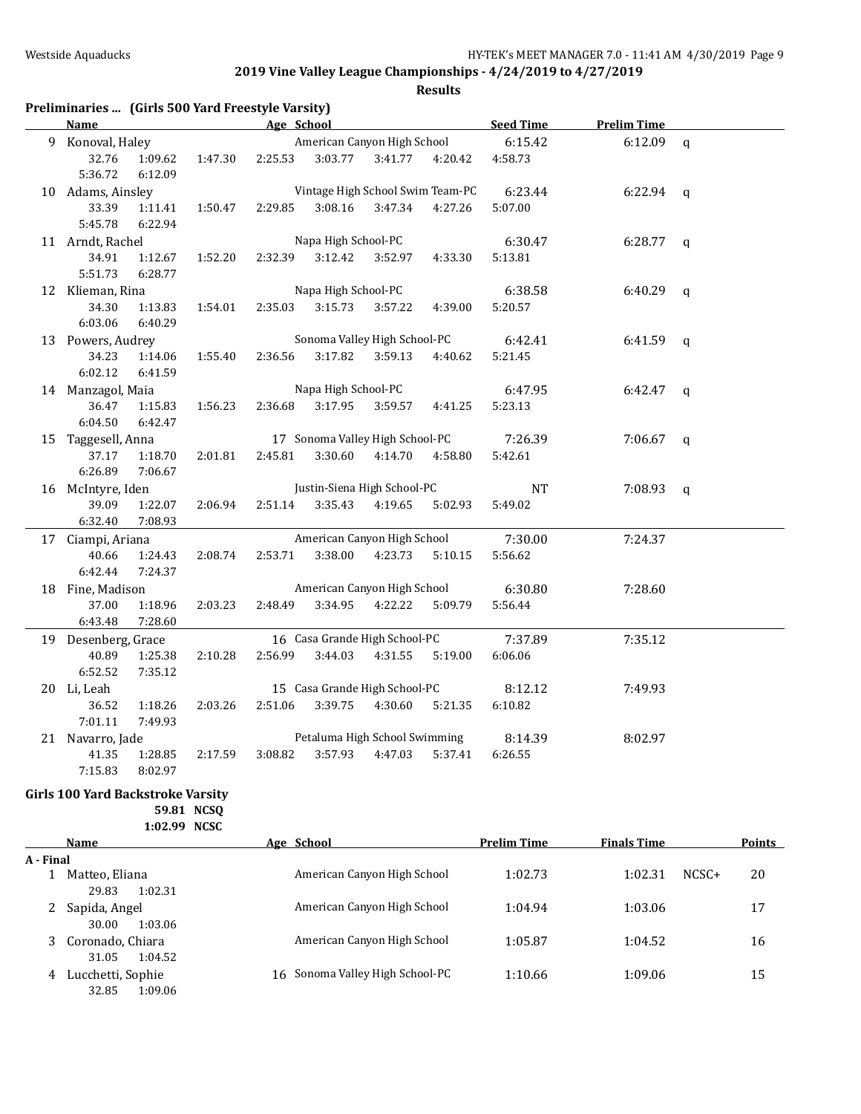**Results**

| Preliminaries  (Girls 500 Yard Freestyle Varsity) |                                                                                                                                                                                                                                |         |         |                     |                                  |                  |           |                    |   |
|---------------------------------------------------|--------------------------------------------------------------------------------------------------------------------------------------------------------------------------------------------------------------------------------|---------|---------|---------------------|----------------------------------|------------------|-----------|--------------------|---|
| <b>Name</b>                                       | and the set of the set of the set of the set of the set of the set of the set of the set of the set of the set of the set of the set of the set of the set of the set of the set of the set of the set of the set of the set o |         |         |                     |                                  |                  | Seed Time | <b>Prelim Time</b> |   |
| 9 Konoval, Haley                                  |                                                                                                                                                                                                                                |         |         |                     | American Canyon High School      |                  | 6:15.42   | $6:12.09$ q        |   |
| 32.76<br>5:36.72                                  | 1:09.62<br>6:12.09                                                                                                                                                                                                             | 1:47.30 | 2:25.53 |                     | 3:03.77 3:41.77 4:20.42          |                  | 4:58.73   |                    |   |
| 10 Adams, Ainsley                                 |                                                                                                                                                                                                                                |         |         |                     | Vintage High School Swim Team-PC |                  | 6:23.44   | $6:22.94$ q        |   |
| 33.39<br>5:45.78                                  | 1:11.41<br>6:22.94                                                                                                                                                                                                             | 1:50.47 | 2:29.85 | 3:08.16             | 3:47.34                          | 4:27.26          | 5:07.00   |                    |   |
| 11 Arndt, Rachel                                  |                                                                                                                                                                                                                                |         |         | Napa High School-PC |                                  |                  | 6:30.47   | 6:28.77            | q |
| 34.91<br>5:51.73                                  | 1:12.67<br>6:28.77                                                                                                                                                                                                             | 1:52.20 | 2:32.39 | 3:12.42             | 3:52.97                          | 4:33.30          | 5:13.81   |                    |   |
| 12 Klieman, Rina                                  |                                                                                                                                                                                                                                |         |         | Napa High School-PC |                                  |                  | 6:38.58   | $6:40.29$ q        |   |
| 34.30<br>6:03.06                                  | 1:13.83<br>6:40.29                                                                                                                                                                                                             | 1:54.01 | 2:35.03 | 3:15.73             | 3:57.22                          | 4:39.00          | 5:20.57   |                    |   |
| 13 Powers, Audrey                                 |                                                                                                                                                                                                                                |         |         |                     | Sonoma Valley High School-PC     |                  | 6:42.41   | $6:41.59$ q        |   |
| 34.23<br>6:02.12                                  | 1:14.06<br>6:41.59                                                                                                                                                                                                             | 1:55.40 | 2:36.56 | 3:17.82             | 3:59.13                          | 4:40.62          | 5:21.45   |                    |   |
| 14 Manzagol, Maia                                 |                                                                                                                                                                                                                                |         |         | Napa High School-PC |                                  |                  | 6:47.95   | $6:42.47$ q        |   |
| 36.47<br>6:04.50                                  | 1:15.83<br>6:42.47                                                                                                                                                                                                             | 1:56.23 | 2:36.68 | 3:17.95             | 3:59.57                          | 4:41.25          | 5:23.13   |                    |   |
| 15 Taggesell, Anna                                |                                                                                                                                                                                                                                |         |         |                     | 17 Sonoma Valley High School-PC  |                  | 7:26.39   | $7:06.67$ q        |   |
| 37.17<br>6:26.89                                  | 1:18.70<br>7:06.67                                                                                                                                                                                                             | 2:01.81 | 2:45.81 | 3:30.60             |                                  | 4:14.70  4:58.80 | 5:42.61   |                    |   |
| 16 McIntyre, Iden                                 |                                                                                                                                                                                                                                |         |         |                     | Justin-Siena High School-PC      |                  | <b>NT</b> | $7:08.93$ q        |   |
| 39.09<br>6:32.40                                  | 1:22.07<br>7:08.93                                                                                                                                                                                                             | 2:06.94 | 2:51.14 |                     | 3:35.43  4:19.65  5:02.93        |                  | 5:49.02   |                    |   |
| 17 Ciampi, Ariana                                 |                                                                                                                                                                                                                                |         |         |                     | American Canyon High School      |                  | 7:30.00   | 7:24.37            |   |
| 40.66                                             | 1:24.43                                                                                                                                                                                                                        | 2:08.74 | 2:53.71 | 3:38.00             | 4:23.73                          | 5:10.15          | 5:56.62   |                    |   |
| 6:42.44                                           | 7:24.37                                                                                                                                                                                                                        |         |         |                     |                                  |                  |           |                    |   |
| 18 Fine, Madison                                  |                                                                                                                                                                                                                                |         |         |                     | American Canyon High School      |                  | 6:30.80   | 7:28.60            |   |
| 37.00                                             | 1:18.96                                                                                                                                                                                                                        | 2:03.23 | 2:48.49 | 3:34.95             | 4:22.22                          | 5:09.79          | 5:56.44   |                    |   |
| 6:43.48                                           | 7:28.60                                                                                                                                                                                                                        |         |         |                     |                                  |                  |           |                    |   |
| 19 Desenberg, Grace                               |                                                                                                                                                                                                                                |         |         |                     | 16 Casa Grande High School-PC    |                  | 7:37.89   | 7:35.12            |   |
| 40.89                                             | 1:25.38                                                                                                                                                                                                                        | 2:10.28 | 2:56.99 | 3:44.03             | 4:31.55                          | 5:19.00          | 6:06.06   |                    |   |
| 6:52.52                                           | 7:35.12                                                                                                                                                                                                                        |         |         |                     |                                  |                  |           |                    |   |
| 20 Li, Leah                                       |                                                                                                                                                                                                                                |         |         |                     | 15 Casa Grande High School-PC    |                  | 8:12.12   | 7:49.93            |   |
| 36.52                                             | 1:18.26                                                                                                                                                                                                                        | 2:03.26 | 2:51.06 | 3:39.75             |                                  | 4:30.60 5:21.35  | 6:10.82   |                    |   |
| 7:01.11                                           | 7:49.93                                                                                                                                                                                                                        |         |         |                     |                                  |                  |           |                    |   |
| 21 Navarro, Jade                                  |                                                                                                                                                                                                                                |         |         |                     | Petaluma High School Swimming    |                  | 8:14.39   | 8:02.97            |   |
| 41.35<br>7:15.83                                  | 1:28.85<br>8:02.97                                                                                                                                                                                                             | 2:17.59 | 3:08.82 | 3:57.93             | 4:47.03                          | 5:37.41          | 6:26.55   |                    |   |

### **Girls 100 Yard Backstroke Varsity 59.81 NCSQ**

**1:02.99 NCSC**

|           | Name              | Age School                         | <b>Prelim Time</b> | <b>Finals Time</b> | <b>Points</b> |
|-----------|-------------------|------------------------------------|--------------------|--------------------|---------------|
| A - Final |                   |                                    |                    |                    |               |
|           | Matteo, Eliana    | American Canyon High School        | 1:02.73            | $NCSC+$<br>1:02.31 | 20            |
|           | 29.83<br>1:02.31  |                                    |                    |                    |               |
|           | Sapida, Angel     | American Canyon High School        | 1:04.94            | 1:03.06            | 17            |
|           | 30.00<br>1:03.06  |                                    |                    |                    |               |
|           | Coronado, Chiara  | American Canyon High School        | 1:05.87            | 1:04.52            | 16            |
|           | 31.05<br>1:04.52  |                                    |                    |                    |               |
| 4         | Lucchetti, Sophie | Sonoma Valley High School-PC<br>16 | 1:10.66            | 1:09.06            | 15            |
|           | 32.85<br>1:09.06  |                                    |                    |                    |               |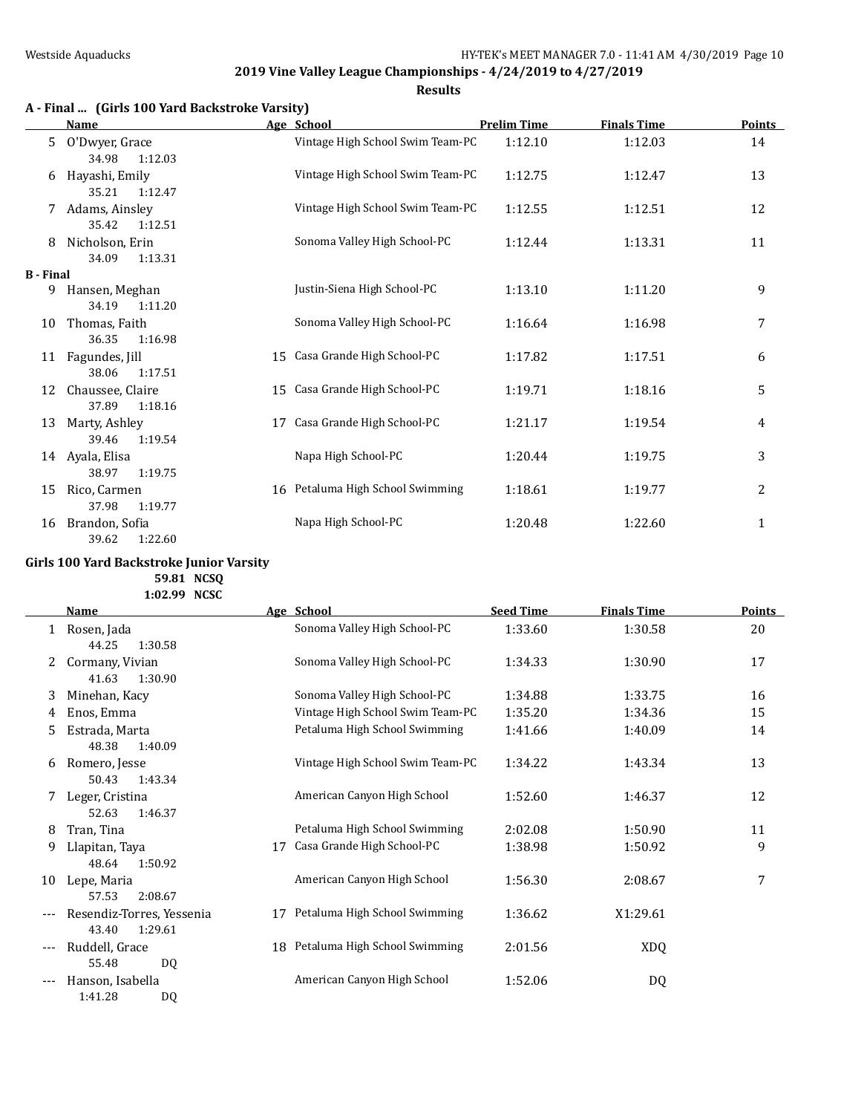**Results**

|  | A - Final  (Girls 100 Yard Backstroke Varsity) |
|--|------------------------------------------------|
|--|------------------------------------------------|

|                  | <b>Name</b>                          |    | Age School                       | <b>Prelim Time</b> | <b>Finals Time</b> | <b>Points</b>  |
|------------------|--------------------------------------|----|----------------------------------|--------------------|--------------------|----------------|
| 5.               | O'Dwyer, Grace<br>1:12.03<br>34.98   |    | Vintage High School Swim Team-PC | 1:12.10            | 1:12.03            | 14             |
| 6                | Hayashi, Emily<br>35.21<br>1:12.47   |    | Vintage High School Swim Team-PC | 1:12.75            | 1:12.47            | 13             |
| 7                | Adams, Ainsley<br>35.42<br>1:12.51   |    | Vintage High School Swim Team-PC | 1:12.55            | 1:12.51            | 12             |
| 8                | Nicholson, Erin<br>1:13.31<br>34.09  |    | Sonoma Valley High School-PC     | 1:12.44            | 1:13.31            | 11             |
| <b>B</b> - Final |                                      |    |                                  |                    |                    |                |
| 9                | Hansen, Meghan<br>34.19<br>1:11.20   |    | Justin-Siena High School-PC      | 1:13.10            | 1:11.20            | 9              |
| 10               | Thomas, Faith<br>36.35<br>1:16.98    |    | Sonoma Valley High School-PC     | 1:16.64            | 1:16.98            | 7              |
| 11               | Fagundes, Jill<br>38.06<br>1:17.51   | 15 | Casa Grande High School-PC       | 1:17.82            | 1:17.51            | 6              |
| 12               | Chaussee, Claire<br>37.89<br>1:18.16 | 15 | Casa Grande High School-PC       | 1:19.71            | 1:18.16            | 5              |
| 13               | Marty, Ashley<br>39.46<br>1:19.54    | 17 | Casa Grande High School-PC       | 1:21.17            | 1:19.54            | 4              |
| 14               | Ayala, Elisa<br>38.97<br>1:19.75     |    | Napa High School-PC              | 1:20.44            | 1:19.75            | 3              |
| 15               | Rico, Carmen<br>37.98<br>1:19.77     |    | 16 Petaluma High School Swimming | 1:18.61            | 1:19.77            | $\overline{2}$ |
| 16               | Brandon, Sofia<br>39.62<br>1:22.60   |    | Napa High School-PC              | 1:20.48            | 1:22.60            | 1              |

### **Girls 100 Yard Backstroke Junior Varsity**

**59.81 NCSQ 1:02.99 NCSC**

|     | Name                                          |    | Age School                       | <b>Seed Time</b> | <b>Finals Time</b> | Points |
|-----|-----------------------------------------------|----|----------------------------------|------------------|--------------------|--------|
|     | Rosen, Jada<br>44.25<br>1:30.58               |    | Sonoma Valley High School-PC     | 1:33.60          | 1:30.58            | 20     |
| 2   | Cormany, Vivian<br>41.63<br>1:30.90           |    | Sonoma Valley High School-PC     | 1:34.33          | 1:30.90            | 17     |
| 3   | Minehan, Kacy                                 |    | Sonoma Valley High School-PC     | 1:34.88          | 1:33.75            | 16     |
| 4   | Enos, Emma                                    |    | Vintage High School Swim Team-PC | 1:35.20          | 1:34.36            | 15     |
| 5   | Estrada, Marta<br>48.38<br>1:40.09            |    | Petaluma High School Swimming    | 1:41.66          | 1:40.09            | 14     |
| 6   | Romero, Jesse<br>50.43<br>1:43.34             |    | Vintage High School Swim Team-PC | 1:34.22          | 1:43.34            | 13     |
|     | Leger, Cristina<br>52.63<br>1:46.37           |    | American Canyon High School      | 1:52.60          | 1:46.37            | 12     |
| 8   | Tran, Tina                                    |    | Petaluma High School Swimming    | 2:02.08          | 1:50.90            | 11     |
| 9   | Llapitan, Taya<br>48.64<br>1:50.92            | 17 | Casa Grande High School-PC       | 1:38.98          | 1:50.92            | 9      |
| 10  | Lepe, Maria<br>57.53<br>2:08.67               |    | American Canyon High School      | 1:56.30          | 2:08.67            | 7      |
|     | Resendiz-Torres, Yessenia<br>43.40<br>1:29.61 | 17 | Petaluma High School Swimming    | 1:36.62          | X1:29.61           |        |
|     | Ruddell, Grace<br>55.48<br>DQ                 |    | 18 Petaluma High School Swimming | 2:01.56          | <b>XDQ</b>         |        |
| --- | Hanson, Isabella<br>1:41.28<br>DQ             |    | American Canyon High School      | 1:52.06          | DQ                 |        |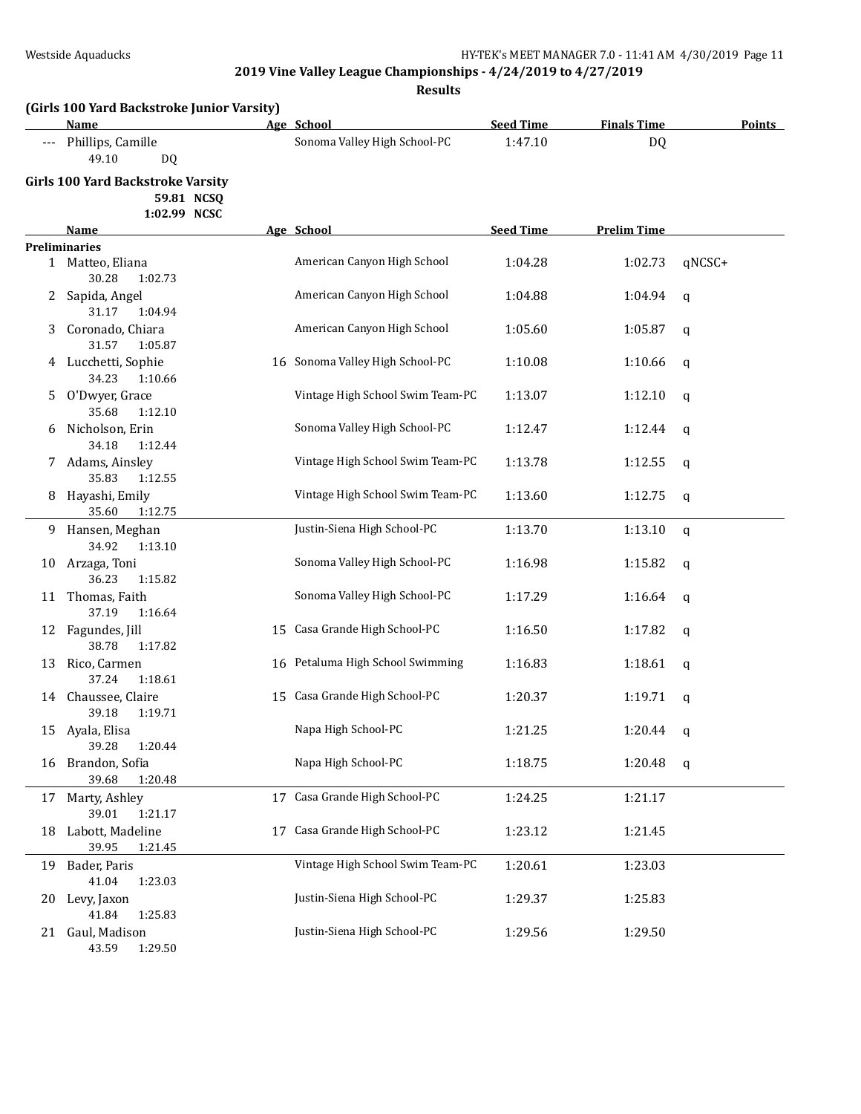|                     | (Girls 100 Yard Backstroke Junior Varsity)<br>Name                     |    | Age School                       | <b>Seed Time</b> | <b>Finals Time</b> | <b>Points</b> |
|---------------------|------------------------------------------------------------------------|----|----------------------------------|------------------|--------------------|---------------|
| $\qquad \qquad - -$ | Phillips, Camille<br>49.10<br>DQ                                       |    | Sonoma Valley High School-PC     | 1:47.10          | <b>DQ</b>          |               |
|                     | <b>Girls 100 Yard Backstroke Varsity</b><br>59.81 NCSQ<br>1:02.99 NCSC |    |                                  |                  |                    |               |
|                     | <b>Name</b>                                                            |    | Age School                       | <b>Seed Time</b> | <b>Prelim Time</b> |               |
|                     | <b>Preliminaries</b>                                                   |    |                                  |                  |                    |               |
|                     | 1 Matteo, Eliana<br>30.28<br>1:02.73                                   |    | American Canyon High School      | 1:04.28          | 1:02.73            | qNCSC+        |
|                     | 2 Sapida, Angel<br>31.17<br>1:04.94                                    |    | American Canyon High School      | 1:04.88          | 1:04.94            | q             |
| 3                   | Coronado, Chiara<br>31.57<br>1:05.87                                   |    | American Canyon High School      | 1:05.60          | 1:05.87            | q             |
|                     | 4 Lucchetti, Sophie<br>34.23<br>1:10.66                                |    | 16 Sonoma Valley High School-PC  | 1:10.08          | 1:10.66            | q             |
| 5.                  | O'Dwyer, Grace<br>35.68<br>1:12.10                                     |    | Vintage High School Swim Team-PC | 1:13.07          | 1:12.10            | q             |
| 6                   | Nicholson, Erin<br>34.18<br>1:12.44                                    |    | Sonoma Valley High School-PC     | 1:12.47          | 1:12.44            | q             |
|                     | 7 Adams, Ainsley<br>35.83<br>1:12.55                                   |    | Vintage High School Swim Team-PC | 1:13.78          | 1:12.55            | q             |
| 8                   | Hayashi, Emily<br>35.60<br>1:12.75                                     |    | Vintage High School Swim Team-PC | 1:13.60          | 1:12.75            | q             |
|                     | 9 Hansen, Meghan<br>34.92<br>1:13.10                                   |    | Justin-Siena High School-PC      | 1:13.70          | 1:13.10            | q             |
| 10                  | Arzaga, Toni<br>36.23<br>1:15.82                                       |    | Sonoma Valley High School-PC     | 1:16.98          | 1:15.82            | q             |
| 11                  | Thomas, Faith<br>37.19<br>1:16.64                                      |    | Sonoma Valley High School-PC     | 1:17.29          | 1:16.64            | q             |
| 12                  | Fagundes, Jill<br>38.78<br>1:17.82                                     |    | 15 Casa Grande High School-PC    | 1:16.50          | 1:17.82            | q             |
| 13                  | Rico, Carmen<br>37.24<br>1:18.61                                       |    | 16 Petaluma High School Swimming | 1:16.83          | 1:18.61            | q             |
|                     | 14 Chaussee, Claire<br>39.18<br>1:19.71                                |    | 15 Casa Grande High School-PC    | 1:20.37          | 1:19.71            | q             |
|                     | 15 Ayala, Elisa<br>39.28<br>1:20.44                                    |    | Napa High School-PC              | 1:21.25          | 1:20.44            | q             |
| 16                  | Brandon, Sofia<br>39.68<br>1:20.48                                     |    | Napa High School-PC              | 1:18.75          | 1:20.48            | q             |
| 17                  | Marty, Ashley<br>39.01<br>1:21.17                                      |    | 17 Casa Grande High School-PC    | 1:24.25          | 1:21.17            |               |
| 18                  | Labott, Madeline<br>39.95<br>1:21.45                                   | 17 | Casa Grande High School-PC       | 1:23.12          | 1:21.45            |               |
| 19                  | Bader, Paris<br>41.04<br>1:23.03                                       |    | Vintage High School Swim Team-PC | 1:20.61          | 1:23.03            |               |
| 20                  | Levy, Jaxon<br>41.84<br>1:25.83                                        |    | Justin-Siena High School-PC      | 1:29.37          | 1:25.83            |               |
| 21                  | Gaul, Madison<br>1:29.50<br>43.59                                      |    | Justin-Siena High School-PC      | 1:29.56          | 1:29.50            |               |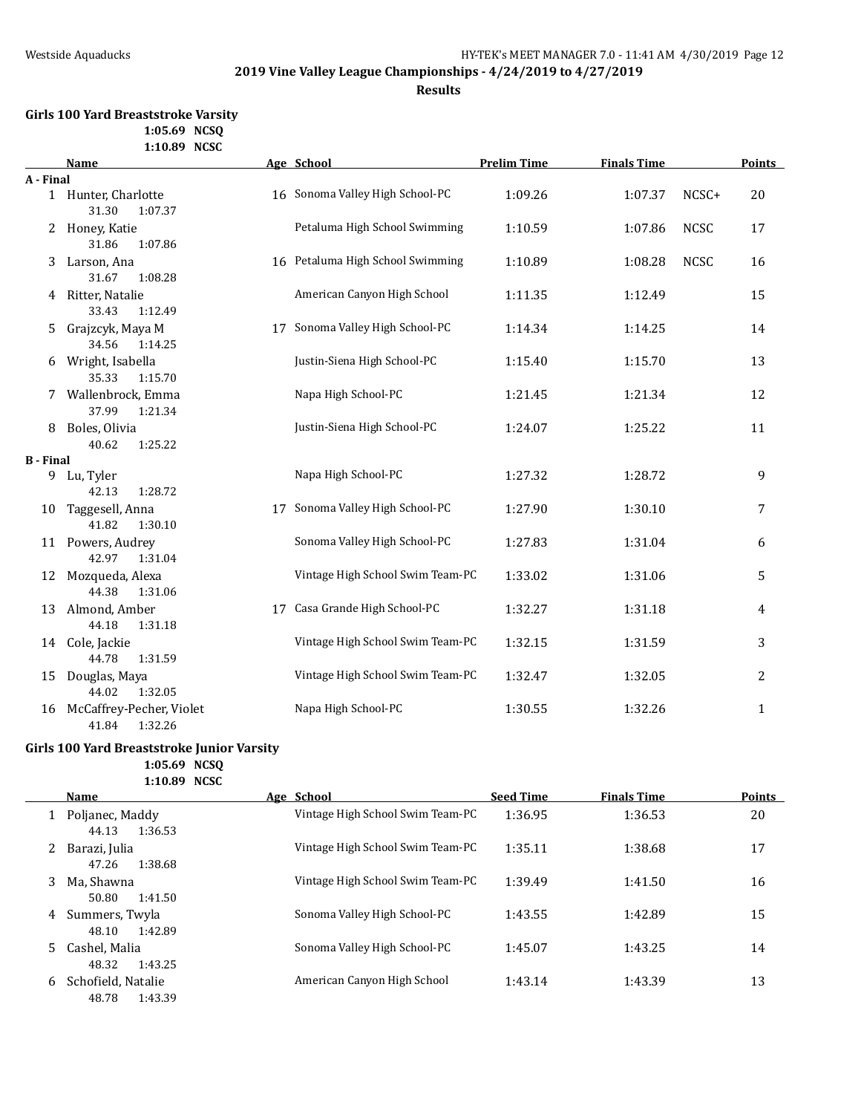**Results**

### **Girls 100 Yard Breaststroke Varsity 1:05.69 NCSQ 1:10.89 NCSC**

|                  | <b>Name</b>                               |    | Age School                       | <b>Prelim Time</b> | <b>Finals Time</b> |             | <b>Points</b> |
|------------------|-------------------------------------------|----|----------------------------------|--------------------|--------------------|-------------|---------------|
| A - Final        |                                           |    |                                  |                    |                    |             |               |
|                  | 1 Hunter, Charlotte<br>31.30<br>1:07.37   |    | 16 Sonoma Valley High School-PC  | 1:09.26            | 1:07.37            | NCSC+       | 20            |
| 2                | Honey, Katie<br>31.86<br>1:07.86          |    | Petaluma High School Swimming    | 1:10.59            | 1:07.86            | <b>NCSC</b> | 17            |
| 3                | Larson, Ana<br>31.67<br>1:08.28           |    | 16 Petaluma High School Swimming | 1:10.89            | 1:08.28            | <b>NCSC</b> | 16            |
|                  | 4 Ritter, Natalie<br>33.43<br>1:12.49     |    | American Canyon High School      | 1:11.35            | 1:12.49            |             | 15            |
| 5.               | Grajzcyk, Maya M<br>34.56<br>1:14.25      | 17 | Sonoma Valley High School-PC     | 1:14.34            | 1:14.25            |             | 14            |
| 6                | Wright, Isabella<br>35.33<br>1:15.70      |    | Justin-Siena High School-PC      | 1:15.40            | 1:15.70            |             | 13            |
|                  | Wallenbrock, Emma<br>37.99<br>1:21.34     |    | Napa High School-PC              | 1:21.45            | 1:21.34            |             | 12            |
| 8                | Boles, Olivia<br>40.62<br>1:25.22         |    | Justin-Siena High School-PC      | 1:24.07            | 1:25.22            |             | 11            |
| <b>B</b> - Final |                                           |    |                                  |                    |                    |             |               |
|                  | 9 Lu, Tyler<br>1:28.72<br>42.13           |    | Napa High School-PC              | 1:27.32            | 1:28.72            |             | 9             |
| 10               | Taggesell, Anna<br>41.82<br>1:30.10       | 17 | Sonoma Valley High School-PC     | 1:27.90            | 1:30.10            |             | 7             |
|                  | 11 Powers, Audrey<br>42.97<br>1:31.04     |    | Sonoma Valley High School-PC     | 1:27.83            | 1:31.04            |             | 6             |
| 12               | Mozqueda, Alexa<br>44.38<br>1:31.06       |    | Vintage High School Swim Team-PC | 1:33.02            | 1:31.06            |             | 5             |
| 13               | Almond, Amber<br>44.18<br>1:31.18         | 17 | Casa Grande High School-PC       | 1:32.27            | 1:31.18            |             | 4             |
|                  | 14 Cole, Jackie<br>44.78<br>1:31.59       |    | Vintage High School Swim Team-PC | 1:32.15            | 1:31.59            |             | 3             |
| 15               | Douglas, Maya<br>44.02<br>1:32.05         |    | Vintage High School Swim Team-PC | 1:32.47            | 1:32.05            |             | 2             |
| 16               | McCaffrey-Pecher, Violet<br>41.84 1:32.26 |    | Napa High School-PC              | 1:30.55            | 1:32.26            |             | $\mathbf{1}$  |

### **Girls 100 Yard Breaststroke Junior Varsity 1:05.69 NCSQ**

**1:10.89 NCSC**

|   | <b>Name</b>                            | Age School                       | <b>Seed Time</b> | <b>Finals Time</b> | <b>Points</b> |
|---|----------------------------------------|----------------------------------|------------------|--------------------|---------------|
|   | 1 Poljanec, Maddy<br>44.13<br>1:36.53  | Vintage High School Swim Team-PC | 1:36.95          | 1:36.53            | 20            |
|   | Barazi, Julia<br>1:38.68<br>47.26      | Vintage High School Swim Team-PC | 1:35.11          | 1:38.68            | 17            |
| 3 | Ma. Shawna<br>50.80<br>1:41.50         | Vintage High School Swim Team-PC | 1:39.49          | 1:41.50            | 16            |
| 4 | Summers, Twyla<br>48.10<br>1:42.89     | Sonoma Valley High School-PC     | 1:43.55          | 1:42.89            | 15            |
| 5 | Cashel, Malia<br>48.32<br>1:43.25      | Sonoma Valley High School-PC     | 1:45.07          | 1:43.25            | 14            |
| 6 | Schofield, Natalie<br>48.78<br>1:43.39 | American Canyon High School      | 1:43.14          | 1:43.39            | 13            |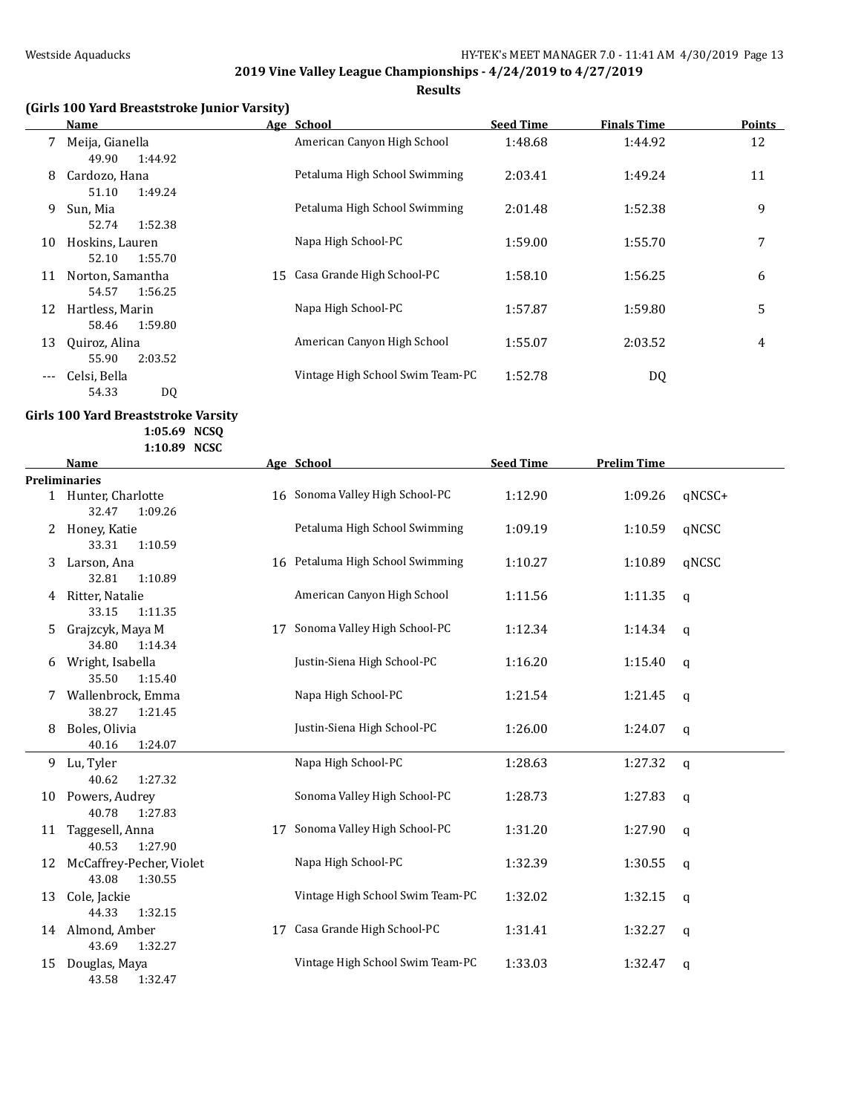**Results**

## **(Girls 100 Yard Breaststroke Junior Varsity)**

|     | <b>Name</b>                          | Age School                       | <b>Seed Time</b> | <b>Finals Time</b> | <b>Points</b> |
|-----|--------------------------------------|----------------------------------|------------------|--------------------|---------------|
|     | Meija, Gianella<br>49.90<br>1:44.92  | American Canyon High School      | 1:48.68          | 1:44.92            | 12            |
| 8   | Cardozo, Hana<br>1:49.24<br>51.10    | Petaluma High School Swimming    | 2:03.41          | 1:49.24            | 11            |
| 9   | Sun, Mia<br>52.74<br>1:52.38         | Petaluma High School Swimming    | 2:01.48          | 1:52.38            | 9             |
| 10  | Hoskins, Lauren<br>1:55.70<br>52.10  | Napa High School-PC              | 1:59.00          | 1:55.70            | 7             |
| 11  | Norton, Samantha<br>54.57<br>1:56.25 | 15 Casa Grande High School-PC    | 1:58.10          | 1:56.25            | 6             |
| 12  | Hartless, Marin<br>1:59.80<br>58.46  | Napa High School-PC              | 1:57.87          | 1:59.80            | 5             |
| 13  | Quiroz, Alina<br>55.90<br>2:03.52    | American Canyon High School      | 1:55.07          | 2:03.52            | 4             |
| --- | Celsi, Bella<br>54.33<br>DQ          | Vintage High School Swim Team-PC | 1:52.78          | DQ                 |               |

#### **Girls 100 Yard Breaststroke Varsity 1:05.69 NCSQ**

|    | 1:10.89 NCSC             |    |                                  |                  |                    |              |
|----|--------------------------|----|----------------------------------|------------------|--------------------|--------------|
|    | <b>Name</b>              |    | Age School                       | <b>Seed Time</b> | <b>Prelim Time</b> |              |
|    | <b>Preliminaries</b>     |    |                                  |                  |                    |              |
|    | 1 Hunter, Charlotte      |    | 16 Sonoma Valley High School-PC  | 1:12.90          | 1:09.26            | qNCSC+       |
|    | 32.47<br>1:09.26         |    |                                  |                  |                    |              |
|    | 2 Honey, Katie           |    | Petaluma High School Swimming    | 1:09.19          | 1:10.59            | qNCSC        |
|    | 33.31<br>1:10.59         |    |                                  |                  |                    |              |
| 3  | Larson, Ana              |    | 16 Petaluma High School Swimming | 1:10.27          | 1:10.89            | qNCSC        |
|    | 32.81<br>1:10.89         |    |                                  |                  |                    |              |
| 4  | Ritter, Natalie          |    | American Canyon High School      | 1:11.56          | 1:11.35            | $\mathsf{q}$ |
|    | 33.15<br>1:11.35         |    |                                  |                  |                    |              |
| 5. | Grajzcyk, Maya M         | 17 | Sonoma Valley High School-PC     | 1:12.34          | 1:14.34            | q            |
|    | 34.80<br>1:14.34         |    |                                  |                  |                    |              |
|    | 6 Wright, Isabella       |    | Justin-Siena High School-PC      | 1:16.20          | 1:15.40            | q            |
|    | 35.50<br>1:15.40         |    |                                  |                  |                    |              |
|    | Wallenbrock, Emma        |    | Napa High School-PC              | 1:21.54          | 1:21.45            | $\mathsf{q}$ |
|    | 38.27<br>1:21.45         |    |                                  |                  |                    |              |
| 8. | Boles, Olivia            |    | Justin-Siena High School-PC      | 1:26.00          | 1:24.07            | $\mathbf{q}$ |
|    | 40.16<br>1:24.07         |    |                                  |                  |                    |              |
| 9  | Lu, Tyler                |    | Napa High School-PC              | 1:28.63          | 1:27.32            | $\mathbf q$  |
|    | 40.62<br>1:27.32         |    |                                  |                  |                    |              |
|    | 10 Powers, Audrey        |    | Sonoma Valley High School-PC     | 1:28.73          | 1:27.83            | $\mathbf q$  |
|    | 40.78<br>1:27.83         |    |                                  |                  |                    |              |
| 11 | Taggesell, Anna          | 17 | Sonoma Valley High School-PC     | 1:31.20          | 1:27.90            | q            |
|    | 40.53<br>1:27.90         |    |                                  |                  |                    |              |
| 12 | McCaffrey-Pecher, Violet |    | Napa High School-PC              | 1:32.39          | 1:30.55            | q            |
|    | 43.08<br>1:30.55         |    |                                  |                  |                    |              |
| 13 | Cole, Jackie             |    | Vintage High School Swim Team-PC | 1:32.02          | 1:32.15            | $\mathbf{q}$ |
|    | 44.33<br>1:32.15         |    |                                  |                  |                    |              |
|    | 14 Almond, Amber         | 17 | Casa Grande High School-PC       | 1:31.41          | 1:32.27            | q            |
|    | 43.69<br>1:32.27         |    |                                  |                  |                    |              |
| 15 | Douglas, Maya            |    | Vintage High School Swim Team-PC | 1:33.03          | 1:32.47            | $\mathbf q$  |
|    | 43.58<br>1:32.47         |    |                                  |                  |                    |              |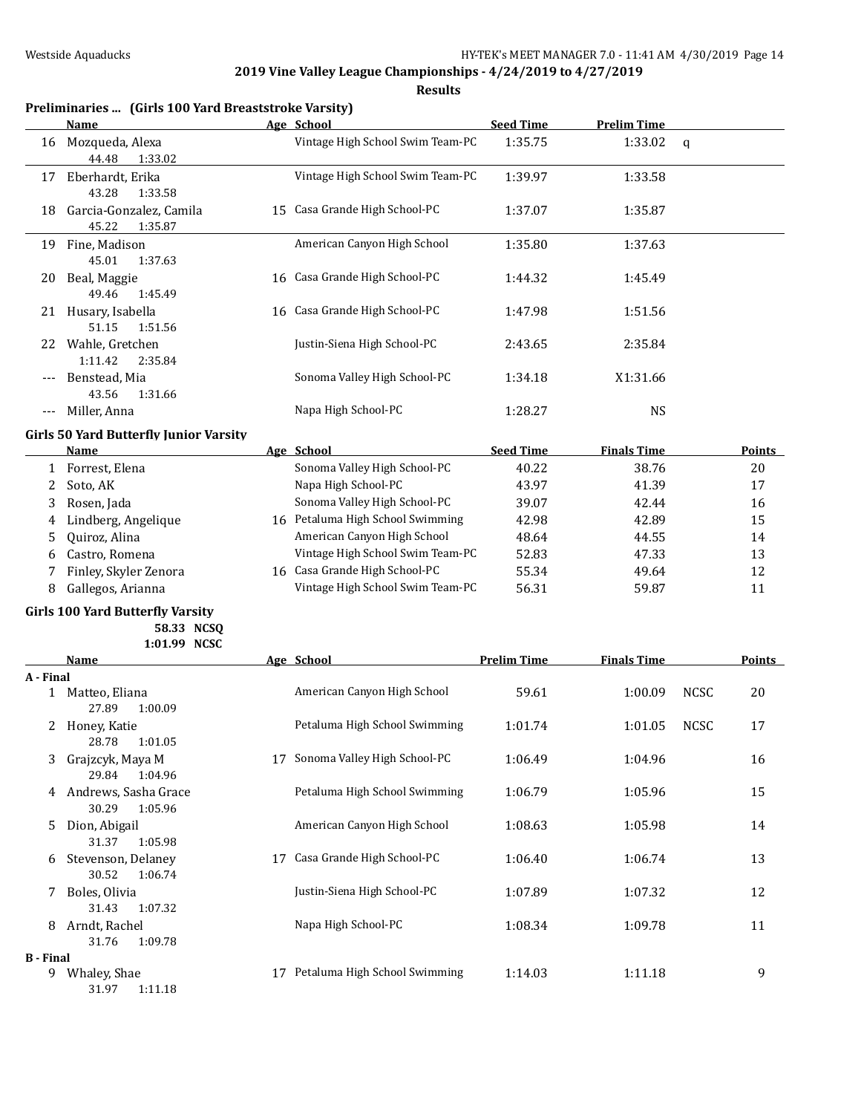|                  | Preliminaries  (Girls 100 Yard Breaststroke Varsity) |    |                                  |                    |                    |              |               |
|------------------|------------------------------------------------------|----|----------------------------------|--------------------|--------------------|--------------|---------------|
|                  | Name                                                 |    | Age School                       | <b>Seed Time</b>   | <b>Prelim Time</b> |              |               |
| 16               | Mozqueda, Alexa<br>44.48<br>1:33.02                  |    | Vintage High School Swim Team-PC | 1:35.75            | 1:33.02            | $\mathsf{q}$ |               |
| 17               | Eberhardt, Erika<br>43.28<br>1:33.58                 |    | Vintage High School Swim Team-PC | 1:39.97            | 1:33.58            |              |               |
| 18               | Garcia-Gonzalez, Camila<br>45.22<br>1:35.87          |    | 15 Casa Grande High School-PC    | 1:37.07            | 1:35.87            |              |               |
| 19               | Fine, Madison<br>45.01<br>1:37.63                    |    | American Canyon High School      | 1:35.80            | 1:37.63            |              |               |
| 20               | Beal, Maggie<br>49.46<br>1:45.49                     |    | 16 Casa Grande High School-PC    | 1:44.32            | 1:45.49            |              |               |
| 21.              | Husary, Isabella<br>51.15<br>1:51.56                 |    | 16 Casa Grande High School-PC    | 1:47.98            | 1:51.56            |              |               |
|                  | 22 Wahle, Gretchen<br>1:11.42<br>2:35.84             |    | Justin-Siena High School-PC      | 2:43.65            | 2:35.84            |              |               |
|                  | Benstead, Mia<br>43.56<br>1:31.66                    |    | Sonoma Valley High School-PC     | 1:34.18            | X1:31.66           |              |               |
| $---$            | Miller, Anna                                         |    | Napa High School-PC              | 1:28.27            | <b>NS</b>          |              |               |
|                  | <b>Girls 50 Yard Butterfly Junior Varsity</b>        |    |                                  |                    |                    |              |               |
|                  | Name                                                 |    | Age School                       | <b>Seed Time</b>   | <b>Finals Time</b> |              | Points        |
| $\mathbf{1}$     | Forrest, Elena                                       |    | Sonoma Valley High School-PC     | 40.22              | 38.76              |              | 20            |
| 2                | Soto, AK                                             |    | Napa High School-PC              | 43.97              | 41.39              |              | 17            |
| 3                | Rosen, Jada                                          |    | Sonoma Valley High School-PC     | 39.07              | 42.44              |              | 16            |
| 4                | Lindberg, Angelique                                  |    | 16 Petaluma High School Swimming | 42.98              | 42.89              |              | 15            |
| 5                | Quiroz, Alina                                        |    | American Canyon High School      | 48.64              | 44.55              |              | 14            |
| 6                | Castro, Romena                                       |    | Vintage High School Swim Team-PC | 52.83              | 47.33              |              | 13            |
|                  |                                                      |    | 16 Casa Grande High School-PC    |                    |                    |              |               |
| 7                | Finley, Skyler Zenora                                |    | Vintage High School Swim Team-PC | 55.34              | 49.64              |              | 12            |
| 8                | Gallegos, Arianna                                    |    |                                  | 56.31              | 59.87              |              | 11            |
|                  | <b>Girls 100 Yard Butterfly Varsity</b>              |    |                                  |                    |                    |              |               |
|                  | 58.33 NCSQ                                           |    |                                  |                    |                    |              |               |
|                  | 1:01.99 NCSC                                         |    |                                  |                    |                    |              |               |
|                  | Name                                                 |    | Age School                       | <b>Prelim Time</b> | <b>Finals Time</b> |              | <b>Points</b> |
| A - Final        | 1 Matteo, Eliana<br>27.89<br>1:00.09                 |    | American Canyon High School      | 59.61              | 1:00.09            | <b>NCSC</b>  | 20            |
|                  | 2 Honey, Katie<br>28.78<br>1:01.05                   |    | Petaluma High School Swimming    | 1:01.74            | 1:01.05            | <b>NCSC</b>  | 17            |
| 3                | Grajzcyk, Maya M<br>29.84<br>1:04.96                 |    | 17 Sonoma Valley High School-PC  | 1:06.49            | 1:04.96            |              | 16            |
|                  | 4 Andrews, Sasha Grace<br>30.29<br>1:05.96           |    | Petaluma High School Swimming    | 1:06.79            | 1:05.96            |              | 15            |
| 5                | Dion, Abigail<br>31.37<br>1:05.98                    |    | American Canyon High School      | 1:08.63            | 1:05.98            |              | 14            |
| 6                | Stevenson, Delaney<br>30.52<br>1:06.74               |    | 17 Casa Grande High School-PC    | 1:06.40            | 1:06.74            |              | 13            |
| 7.               | Boles, Olivia<br>31.43<br>1:07.32                    |    | Justin-Siena High School-PC      | 1:07.89            | 1:07.32            |              | 12            |
| 8                | Arndt, Rachel<br>31.76<br>1:09.78                    |    | Napa High School-PC              | 1:08.34            | 1:09.78            |              | 11            |
| <b>B</b> - Final |                                                      |    |                                  |                    |                    |              |               |
|                  | 9 Whaley, Shae<br>31.97<br>1:11.18                   | 17 | Petaluma High School Swimming    | 1:14.03            | 1:11.18            |              | 9             |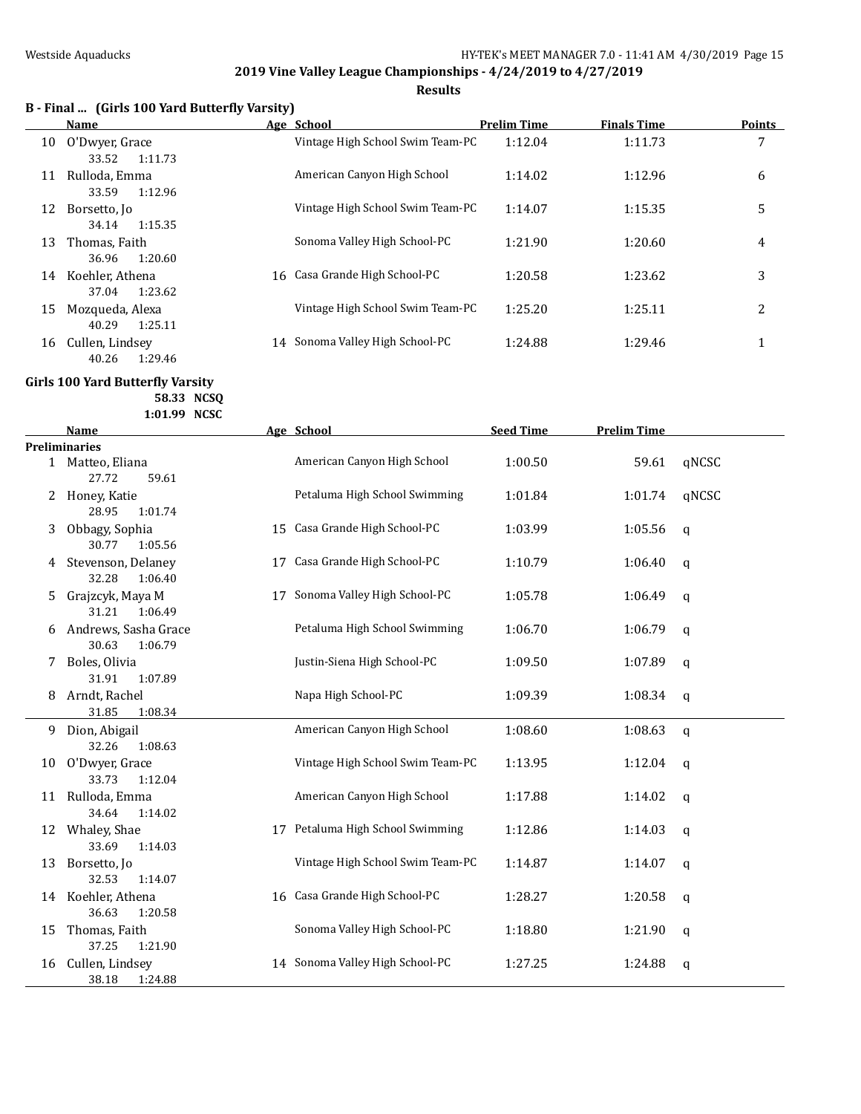**Results**

|  |  | B - Final  (Girls 100 Yard Butterfly Varsity) |
|--|--|-----------------------------------------------|
|--|--|-----------------------------------------------|

|    | Name             |    | Age School                       | <b>Prelim Time</b> | <b>Finals Time</b> | Points |
|----|------------------|----|----------------------------------|--------------------|--------------------|--------|
| 10 | O'Dwyer, Grace   |    | Vintage High School Swim Team-PC | 1:12.04            | 1:11.73            | 7      |
|    | 1:11.73<br>33.52 |    |                                  |                    |                    |        |
| 11 | Rulloda, Emma    |    | American Canyon High School      | 1:14.02            | 1:12.96            | 6      |
|    | 1:12.96<br>33.59 |    |                                  |                    |                    |        |
| 12 | Borsetto, Jo     |    | Vintage High School Swim Team-PC | 1:14.07            | 1:15.35            | 5      |
|    | 34.14<br>1:15.35 |    |                                  |                    |                    |        |
| 13 | Thomas, Faith    |    | Sonoma Valley High School-PC     | 1:21.90            | 1:20.60            | 4      |
|    | 1:20.60<br>36.96 |    |                                  |                    |                    |        |
| 14 | Koehler, Athena  |    | 16 Casa Grande High School-PC    | 1:20.58            | 1:23.62            | 3      |
|    | 37.04<br>1:23.62 |    |                                  |                    |                    |        |
| 15 | Mozqueda, Alexa  |    | Vintage High School Swim Team-PC | 1:25.20            | 1:25.11            | 2      |
|    | 40.29<br>1:25.11 |    |                                  |                    |                    |        |
| 16 | Cullen, Lindsey  | 14 | Sonoma Valley High School-PC     | 1:24.88            | 1:29.46            | 1      |
|    | 40.26<br>1:29.46 |    |                                  |                    |                    |        |

## **Girls 100 Yard Butterfly Varsity**

**58.33 NCSQ 1:01.99 NCSC**

|    | <b>Name</b>                              |    | Age School                       | <b>Seed Time</b> | <b>Prelim Time</b> |             |
|----|------------------------------------------|----|----------------------------------|------------------|--------------------|-------------|
|    | <b>Preliminaries</b>                     |    |                                  |                  |                    |             |
|    | 1 Matteo, Eliana<br>27.72<br>59.61       |    | American Canyon High School      | 1:00.50          | 59.61              | qNCSC       |
|    | 2 Honey, Katie<br>28.95<br>1:01.74       |    | Petaluma High School Swimming    | 1:01.84          | 1:01.74            | qNCSC       |
| 3  | Obbagy, Sophia<br>30.77<br>1:05.56       |    | 15 Casa Grande High School-PC    | 1:03.99          | 1:05.56            | q           |
| 4  | Stevenson, Delaney<br>32.28<br>1:06.40   | 17 | Casa Grande High School-PC       | 1:10.79          | 1:06.40            | $\mathbf q$ |
| 5  | Grajzcyk, Maya M<br>31.21<br>1:06.49     | 17 | Sonoma Valley High School-PC     | 1:05.78          | 1:06.49            | $\mathbf q$ |
| 6  | Andrews, Sasha Grace<br>30.63<br>1:06.79 |    | Petaluma High School Swimming    | 1:06.70          | 1:06.79            | $\mathbf q$ |
| 7  | Boles, Olivia<br>31.91<br>1:07.89        |    | Justin-Siena High School-PC      | 1:09.50          | 1:07.89            | q           |
| 8  | Arndt, Rachel<br>1:08.34<br>31.85        |    | Napa High School-PC              | 1:09.39          | 1:08.34            | q           |
| 9  | Dion, Abigail<br>32.26<br>1:08.63        |    | American Canyon High School      | 1:08.60          | 1:08.63            | $\mathbf q$ |
| 10 | O'Dwyer, Grace<br>33.73<br>1:12.04       |    | Vintage High School Swim Team-PC | 1:13.95          | 1:12.04            | q           |
| 11 | Rulloda, Emma<br>34.64<br>1:14.02        |    | American Canyon High School      | 1:17.88          | 1:14.02            | q           |
|    | 12 Whaley, Shae<br>33.69<br>1:14.03      |    | 17 Petaluma High School Swimming | 1:12.86          | 1:14.03            | $\mathbf q$ |
| 13 | Borsetto, Jo<br>32.53<br>1:14.07         |    | Vintage High School Swim Team-PC | 1:14.87          | 1:14.07            | q           |
| 14 | Koehler, Athena<br>36.63<br>1:20.58      |    | 16 Casa Grande High School-PC    | 1:28.27          | 1:20.58            | q           |
| 15 | Thomas, Faith<br>37.25<br>1:21.90        |    | Sonoma Valley High School-PC     | 1:18.80          | 1:21.90            | q           |
| 16 | Cullen, Lindsey<br>38.18<br>1:24.88      |    | 14 Sonoma Valley High School-PC  | 1:27.25          | 1:24.88            | q           |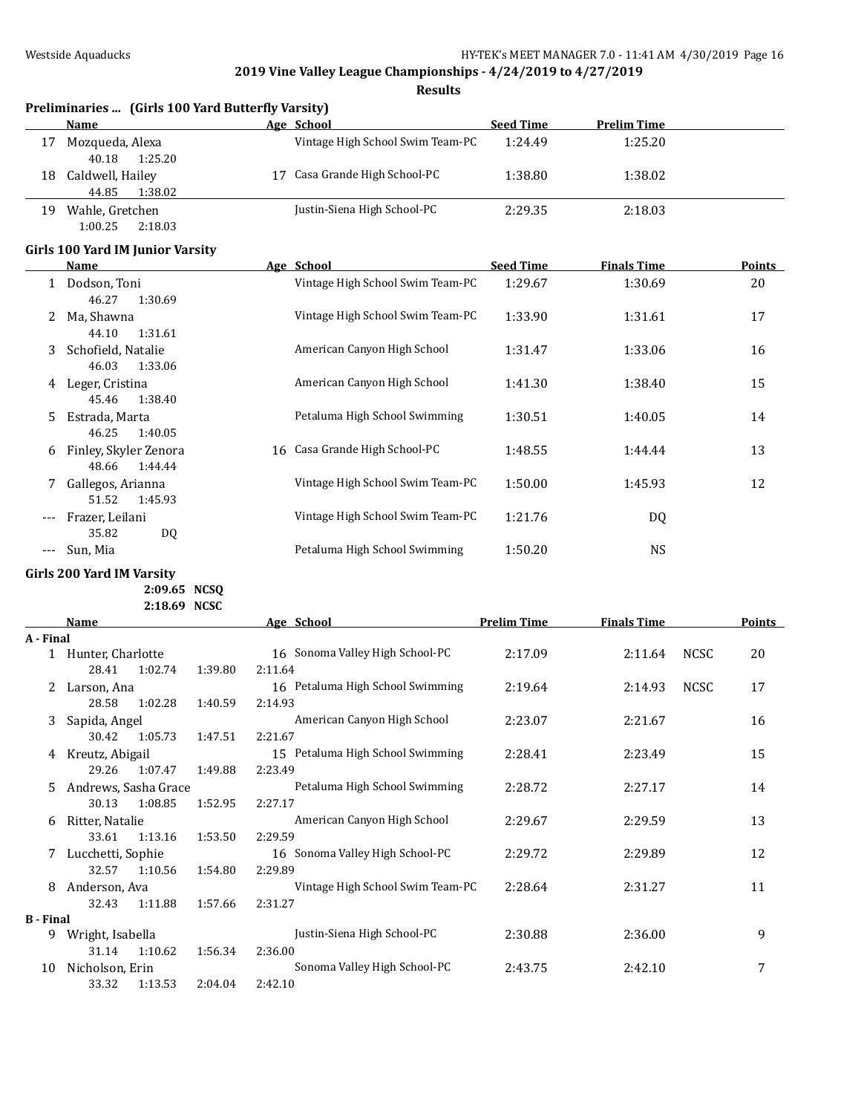**Results**

|    | Preliminaries  (Girls 100 Yard Butterfly Varsity)        |    |                                  |                  |                    |  |  |  |  |  |
|----|----------------------------------------------------------|----|----------------------------------|------------------|--------------------|--|--|--|--|--|
|    | Name                                                     |    | Age School                       | <b>Seed Time</b> | <b>Prelim Time</b> |  |  |  |  |  |
| 17 | Mozqueda, Alexa                                          |    | Vintage High School Swim Team-PC | 1:24.49          | 1:25.20            |  |  |  |  |  |
| 18 | 1:25.20<br>40.18<br>Caldwell, Hailey<br>1:38.02<br>44.85 | 17 | Casa Grande High School-PC       | 1:38.80          | 1:38.02            |  |  |  |  |  |
| 19 | Wahle, Gretchen                                          |    | Justin-Siena High School-PC      | 2:29.35          | 2:18.03            |  |  |  |  |  |

# 1:00.25 2:18.03 **Girls 100 Yard IM Junior Varsity**

|     | <b>Name</b>                               | Age School                       | <b>Seed Time</b> | <b>Finals Time</b> | <b>Points</b> |
|-----|-------------------------------------------|----------------------------------|------------------|--------------------|---------------|
|     | Dodson, Toni<br>1:30.69<br>46.27          | Vintage High School Swim Team-PC | 1:29.67          | 1:30.69            | 20            |
|     | Ma, Shawna                                | Vintage High School Swim Team-PC | 1:33.90          | 1:31.61            | 17            |
| 3   | 44.10<br>1:31.61<br>Schofield, Natalie    | American Canyon High School      | 1:31.47          | 1:33.06            | 16            |
| 4   | 1:33.06<br>46.03<br>Leger, Cristina       | American Canyon High School      | 1:41.30          | 1:38.40            | 15            |
| 5.  | 1:38.40<br>45.46<br>Estrada, Marta        | Petaluma High School Swimming    | 1:30.51          | 1:40.05            | 14            |
| 6   | 46.25<br>1:40.05<br>Finley, Skyler Zenora | 16 Casa Grande High School-PC    | 1:48.55          | 1:44.44            | 13            |
|     | 1:44.44<br>48.66<br>Gallegos, Arianna     | Vintage High School Swim Team-PC | 1:50.00          | 1:45.93            | 12            |
| --- | 1:45.93<br>51.52<br>Frazer, Leilani       | Vintage High School Swim Team-PC | 1:21.76          | DQ                 |               |
| --- | 35.82<br>DQ<br>Sun, Mia                   | Petaluma High School Swimming    | 1:50.20          | <b>NS</b>          |               |
|     |                                           |                                  |                  |                    |               |

### **Girls 200 Yard IM Varsity**

**2:09.65 NCSQ 2:18.69 NCSC**

|                  | Name                 |         | Age School                       | <b>Prelim Time</b> | <b>Finals Time</b> |             | Points |
|------------------|----------------------|---------|----------------------------------|--------------------|--------------------|-------------|--------|
| A - Final        |                      |         |                                  |                    |                    |             |        |
|                  | Hunter, Charlotte    |         | 16 Sonoma Valley High School-PC  | 2:17.09            | 2:11.64            | <b>NCSC</b> | 20     |
|                  | 1:02.74<br>28.41     | 1:39.80 | 2:11.64                          |                    |                    |             |        |
|                  | Larson, Ana          |         | 16 Petaluma High School Swimming | 2:19.64            | 2:14.93            | <b>NCSC</b> | 17     |
|                  | 28.58<br>1:02.28     | 1:40.59 | 2:14.93                          |                    |                    |             |        |
| 3                | Sapida, Angel        |         | American Canyon High School      | 2:23.07            | 2:21.67            |             | 16     |
|                  | 30.42<br>1:05.73     | 1:47.51 | 2:21.67                          |                    |                    |             |        |
| 4                | Kreutz, Abigail      |         | 15 Petaluma High School Swimming | 2:28.41            | 2:23.49            |             | 15     |
|                  | 29.26<br>1:07.47     | 1:49.88 | 2:23.49                          |                    |                    |             |        |
| 5                | Andrews, Sasha Grace |         | Petaluma High School Swimming    | 2:28.72            | 2:27.17            |             | 14     |
|                  | 30.13<br>1:08.85     | 1:52.95 | 2:27.17                          |                    |                    |             |        |
| 6                | Ritter, Natalie      |         | American Canyon High School      | 2:29.67            | 2:29.59            |             | 13     |
|                  | 1:13.16<br>33.61     | 1:53.50 | 2:29.59                          |                    |                    |             |        |
| 7                | Lucchetti, Sophie    |         | 16 Sonoma Valley High School-PC  | 2:29.72            | 2:29.89            |             | 12     |
|                  | 32.57<br>1:10.56     | 1:54.80 | 2:29.89                          |                    |                    |             |        |
| 8                | Anderson, Ava        |         | Vintage High School Swim Team-PC | 2:28.64            | 2:31.27            |             | 11     |
|                  | 1:11.88<br>32.43     | 1:57.66 | 2:31.27                          |                    |                    |             |        |
| <b>B</b> - Final |                      |         |                                  |                    |                    |             |        |
| 9                | Wright, Isabella     |         | Justin-Siena High School-PC      | 2:30.88            | 2:36.00            |             | 9      |
|                  | 1:10.62<br>31.14     | 1:56.34 | 2:36.00                          |                    |                    |             |        |
| 10               | Nicholson, Erin      |         | Sonoma Valley High School-PC     | 2:43.75            | 2:42.10            |             | 7      |
|                  | 1:13.53<br>33.32     | 2:04.04 | 2:42.10                          |                    |                    |             |        |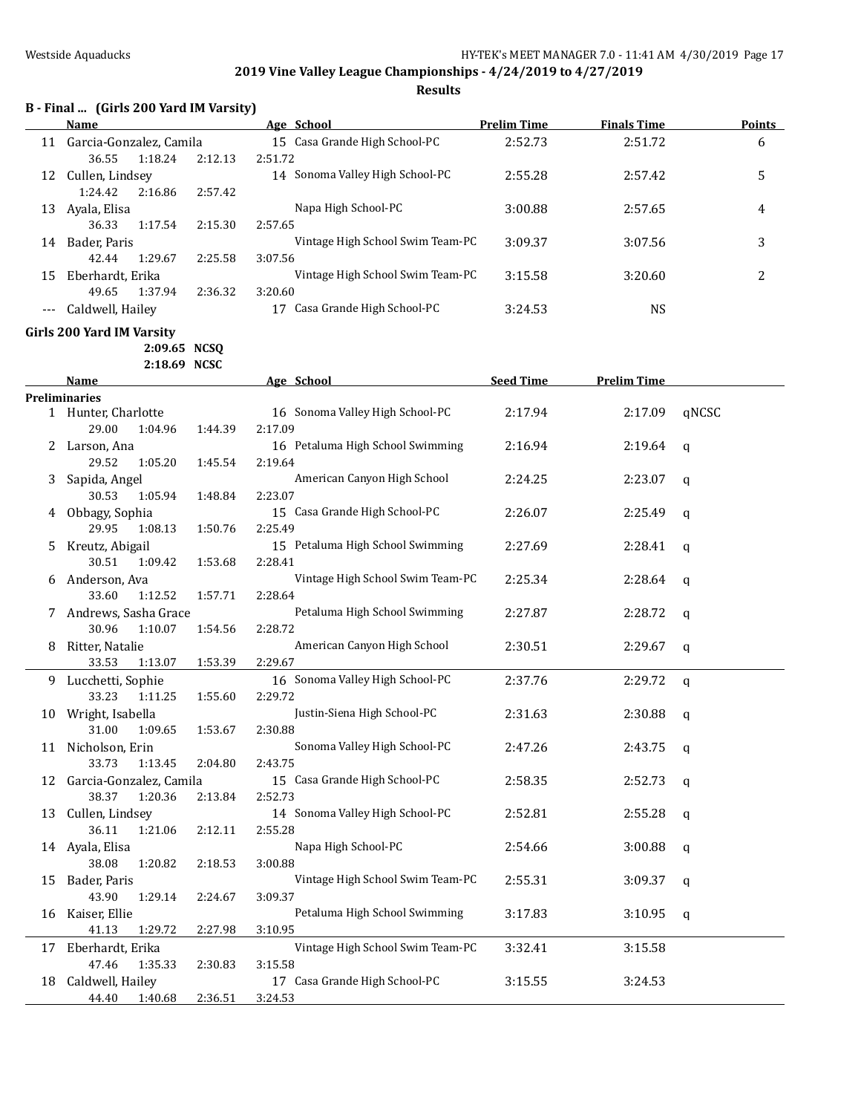**Results**

## **B - Final ... (Girls 200 Yard IM Varsity)**

|    | Name                       |         | Age School                       | <b>Prelim Time</b> | <b>Finals Time</b> | <b>Points</b> |
|----|----------------------------|---------|----------------------------------|--------------------|--------------------|---------------|
|    | 11 Garcia-Gonzalez, Camila |         | 15 Casa Grande High School-PC    | 2:52.73            | 2:51.72            | 6             |
|    | 36.55<br>1:18.24           | 2:12.13 | 2:51.72                          |                    |                    |               |
|    | 12 Cullen, Lindsey         |         | 14 Sonoma Valley High School-PC  | 2:55.28            | 2:57.42            | 5             |
|    | 1:24.42<br>2:16.86         | 2:57.42 |                                  |                    |                    |               |
|    | 13 Ayala, Elisa            |         | Napa High School-PC              | 3:00.88            | 2:57.65            | 4             |
|    | 36.33<br>1:17.54           | 2:15.30 | 2:57.65                          |                    |                    |               |
|    | 14 Bader, Paris            |         | Vintage High School Swim Team-PC | 3:09.37            | 3:07.56            | 3             |
|    | 42.44<br>1:29.67           | 2:25.58 | 3:07.56                          |                    |                    |               |
| 15 | Eberhardt, Erika           |         | Vintage High School Swim Team-PC | 3:15.58            | 3:20.60            | 2             |
|    | 49.65<br>1:37.94           | 2:36.32 | 3:20.60                          |                    |                    |               |
|    | Caldwell, Hailey           |         | 17 Casa Grande High School-PC    | 3:24.53            | <b>NS</b>          |               |
|    |                            |         |                                  |                    |                    |               |
|    | Girls 200 Yard IM Varsity  |         |                                  |                    |                    |               |
|    | 2:09.65 NCSQ               |         |                                  |                    |                    |               |
|    | 2:18.69 NCSC               |         |                                  |                    |                    |               |
|    | Name                       |         | Age School                       | <b>Seed Time</b>   | <b>Prelim Time</b> |               |
|    | <b>Preliminaries</b>       |         |                                  |                    |                    |               |
|    | 1 Hunter, Charlotte        |         | 16 Sonoma Valley High School-PC  | 2:17.94            | 2:17.09            | qNCSC         |
|    | 29.00<br>1:04.96           | 1:44.39 | 2:17.09                          |                    |                    |               |
|    | 2 Larson, Ana              |         | 16 Petaluma High School Swimming | 2:16.94            | 2:19.64            | q             |
|    | 29.52<br>1:05.20           | 1:45.54 | 2:19.64                          |                    |                    |               |
| 3  | Sapida, Angel              |         | American Canyon High School      | 2:24.25            | 2:23.07            | q             |
|    | 30.53<br>1:05.94           | 1:48.84 | 2:23.07                          |                    |                    |               |
|    | 4 Obbagy, Sophia           |         | 15 Casa Grande High School-PC    | 2:26.07            | 2:25.49            | q             |
|    | 29.95<br>1:08.13           | 1:50.76 | 2:25.49                          |                    |                    |               |
| 5. | Kreutz, Abigail            |         | 15 Petaluma High School Swimming | 2:27.69            | 2:28.41            | q             |
|    | 30.51<br>1:09.42           | 1:53.68 | 2:28.41                          |                    |                    |               |
| 6  | Anderson, Ava              |         | Vintage High School Swim Team-PC | 2:25.34            | 2:28.64            | q             |
|    | 33.60<br>1:12.52           | 1:57.71 | 2:28.64                          |                    |                    |               |
|    | 7 Andrews, Sasha Grace     |         | Petaluma High School Swimming    | 2:27.87            | 2:28.72            | q             |
|    | 30.96<br>1:10.07           | 1:54.56 | 2:28.72                          |                    |                    |               |
| 8  | Ritter, Natalie            |         | American Canyon High School      | 2:30.51            | 2:29.67            | q             |
|    | 33.53<br>1:13.07           | 1:53.39 | 2:29.67                          |                    |                    |               |
|    | 9 Lucchetti, Sophie        |         | 16 Sonoma Valley High School-PC  | 2:37.76            | 2:29.72            | $\mathbf q$   |
|    | 33.23<br>1:11.25           | 1:55.60 | 2:29.72                          |                    |                    |               |
|    | 10 Wright, Isabella        |         | Justin-Siena High School-PC      | 2:31.63            | 2:30.88            | q             |
|    | 31.00<br>1:09.65           | 1:53.67 | 2:30.88                          |                    |                    |               |
|    | 11 Nicholson, Erin         |         | Sonoma Valley High School-PC     | 2:47.26            | 2:43.75            | q             |
|    | 33.73<br>1:13.45           | 2:04.80 | 2:43.75                          |                    |                    |               |
| 12 | Garcia-Gonzalez, Camila    |         | 15 Casa Grande High School-PC    | 2:58.35            | 2:52.73            | q             |
|    | 38.37<br>1:20.36           | 2:13.84 | 2:52.73                          |                    |                    |               |
| 13 | Cullen, Lindsey            |         | 14 Sonoma Valley High School-PC  | 2:52.81            | 2:55.28            | q             |
|    | 36.11<br>1:21.06           | 2:12.11 | 2:55.28                          |                    |                    |               |
|    | 14 Ayala, Elisa            |         | Napa High School-PC              | 2:54.66            | 3:00.88            | q             |
|    | 38.08<br>1:20.82           | 2:18.53 | 3:00.88                          |                    |                    |               |
| 15 | Bader, Paris               |         | Vintage High School Swim Team-PC | 2:55.31            | 3:09.37            | q             |
|    | 43.90<br>1:29.14           | 2:24.67 | 3:09.37                          |                    |                    |               |
| 16 | Kaiser, Ellie              |         | Petaluma High School Swimming    | 3:17.83            | 3:10.95            |               |
|    | 41.13<br>1:29.72           | 2:27.98 | 3:10.95                          |                    |                    | q             |
|    |                            |         | Vintage High School Swim Team-PC |                    |                    |               |
| 17 | Eberhardt, Erika<br>47.46  |         | 3:15.58                          | 3:32.41            | 3:15.58            |               |
|    | 1:35.33                    | 2:30.83 | 17 Casa Grande High School-PC    |                    |                    |               |
| 18 | Caldwell, Hailey           |         |                                  | 3:15.55            | 3:24.53            |               |
|    | 44.40<br>1:40.68           | 2:36.51 | 3:24.53                          |                    |                    |               |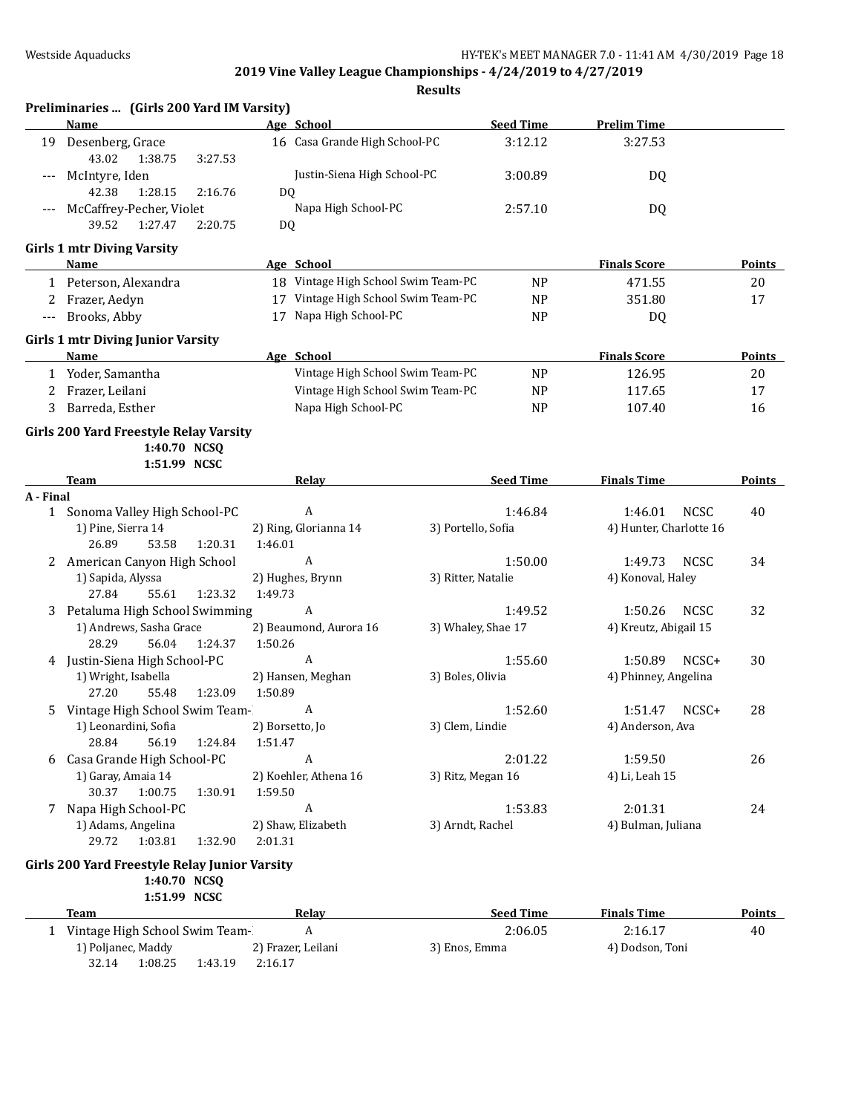|           | Preliminaries  (Girls 200 Yard IM Varsity)<br>Name | Age School                          | <b>Seed Time</b>              | <b>Prelim Time</b>                          |               |
|-----------|----------------------------------------------------|-------------------------------------|-------------------------------|---------------------------------------------|---------------|
| 19        | Desenberg, Grace                                   | 16 Casa Grande High School-PC       | 3:12.12                       | 3:27.53                                     |               |
|           | 43.02<br>1:38.75<br>3:27.53                        |                                     |                               |                                             |               |
|           | McIntyre, Iden                                     | Justin-Siena High School-PC         | 3:00.89                       | DQ                                          |               |
|           | 42.38<br>1:28.15<br>2:16.76                        | D <sub>0</sub>                      |                               |                                             |               |
| $---$     | McCaffrey-Pecher, Violet                           | Napa High School-PC                 | 2:57.10                       | DQ                                          |               |
|           | 39.52<br>1:27.47<br>2:20.75                        | DQ                                  |                               |                                             |               |
|           | <b>Girls 1 mtr Diving Varsity</b>                  |                                     |                               |                                             |               |
|           | Name                                               | Age School                          |                               | <b>Finals Score</b>                         | <b>Points</b> |
|           | 1 Peterson, Alexandra                              | 18 Vintage High School Swim Team-PC | <b>NP</b>                     | 471.55                                      | 20            |
| 2         | Frazer, Aedyn                                      | 17 Vintage High School Swim Team-PC | <b>NP</b>                     | 351.80                                      | 17            |
| $---$     | Brooks, Abby                                       | 17 Napa High School-PC              | <b>NP</b>                     | DQ                                          |               |
|           | <b>Girls 1 mtr Diving Junior Varsity</b>           |                                     |                               |                                             |               |
|           | Name                                               | Age School                          |                               | <b>Finals Score</b>                         | <b>Points</b> |
|           | 1 Yoder, Samantha                                  | Vintage High School Swim Team-PC    | <b>NP</b>                     | 126.95                                      | 20            |
|           | 2 Frazer, Leilani                                  | Vintage High School Swim Team-PC    | <b>NP</b>                     | 117.65                                      | 17            |
| 3         | Barreda, Esther                                    | Napa High School-PC                 | <b>NP</b>                     | 107.40                                      | 16            |
|           | Girls 200 Yard Freestyle Relay Varsity             |                                     |                               |                                             |               |
|           | 1:40.70 NCSQ                                       |                                     |                               |                                             |               |
|           | 1:51.99 NCSC                                       |                                     |                               |                                             |               |
|           | Team                                               | <u>Relav</u>                        | <b>Seed Time</b>              | <b>Finals Time</b>                          | Points        |
| A - Final |                                                    |                                     |                               |                                             |               |
|           | 1 Sonoma Valley High School-PC                     | A                                   | 1:46.84                       | <b>NCSC</b><br>1:46.01                      | 40            |
|           | 1) Pine, Sierra 14                                 | 2) Ring, Glorianna 14               | 3) Portello, Sofia            | 4) Hunter, Charlotte 16                     |               |
|           | 26.89<br>53.58<br>1:20.31                          | 1:46.01<br>A                        |                               |                                             |               |
| 2         | American Canyon High School<br>1) Sapida, Alyssa   | 2) Hughes, Brynn                    | 1:50.00<br>3) Ritter, Natalie | <b>NCSC</b><br>1:49.73<br>4) Konoval, Haley | 34            |
|           | 27.84<br>1:23.32<br>55.61                          | 1:49.73                             |                               |                                             |               |
| 3         | Petaluma High School Swimming                      | A                                   | 1:49.52                       | 1:50.26<br><b>NCSC</b>                      | 32            |
|           | 1) Andrews, Sasha Grace                            | 2) Beaumond, Aurora 16              | 3) Whaley, Shae 17            | 4) Kreutz, Abigail 15                       |               |
|           | 28.29<br>56.04<br>1:24.37                          | 1:50.26                             |                               |                                             |               |
|           | 4 Justin-Siena High School-PC                      | A                                   | 1:55.60                       | 1:50.89<br>NCSC+                            | 30            |
|           | 1) Wright, Isabella                                | 2) Hansen, Meghan                   | 3) Boles, Olivia              | 4) Phinney, Angelina                        |               |
|           | 27.20<br>55.48<br>1:23.09                          | 1:50.89                             |                               |                                             |               |
| 5         | Vintage High School Swim Team-                     | A                                   | 1:52.60                       | 1:51.47<br>NCSC+                            | 28            |
|           | 1) Leonardini, Sofia                               | 2) Borsetto, Jo                     | 3) Clem, Lindie               | 4) Anderson, Ava                            |               |
|           | 28.84<br>56.19<br>1:24.84                          | 1:51.47                             |                               |                                             |               |
| 6         | Casa Grande High School-PC                         | А                                   | 2:01.22                       | 1:59.50                                     | 26            |
|           | 1) Garay, Amaia 14                                 | 2) Koehler, Athena 16               | 3) Ritz, Megan 16             | 4) Li, Leah 15                              |               |
|           | 30.37<br>1:00.75<br>1:30.91                        | 1:59.50                             |                               |                                             |               |
| 7         | Napa High School-PC                                | A                                   | 1:53.83                       | 2:01.31                                     | 24            |
|           | 1) Adams, Angelina<br>29.72<br>1:03.81<br>1:32.90  | 2) Shaw, Elizabeth<br>2:01.31       | 3) Arndt, Rachel              | 4) Bulman, Juliana                          |               |
|           |                                                    |                                     |                               |                                             |               |
|           | Girls 200 Yard Freestyle Relay Junior Varsity      |                                     |                               |                                             |               |
|           | 1:40.70 NCSQ<br>1:51.99 NCSC                       |                                     |                               |                                             |               |
|           | <b>Team</b>                                        | Relay                               | <b>Seed Time</b>              | <b>Finals Time</b>                          | <b>Points</b> |
|           | 1 Vintage High School Swim Team-                   | $\boldsymbol{A}$                    | 2:06.05                       | 2:16.17                                     | 40            |
|           | 1) Poljanec, Maddy                                 | 2) Frazer, Leilani                  | 3) Enos, Emma                 | 4) Dodson, Toni                             |               |
|           | 32.14<br>1:08.25<br>1:43.19                        | 2:16.17                             |                               |                                             |               |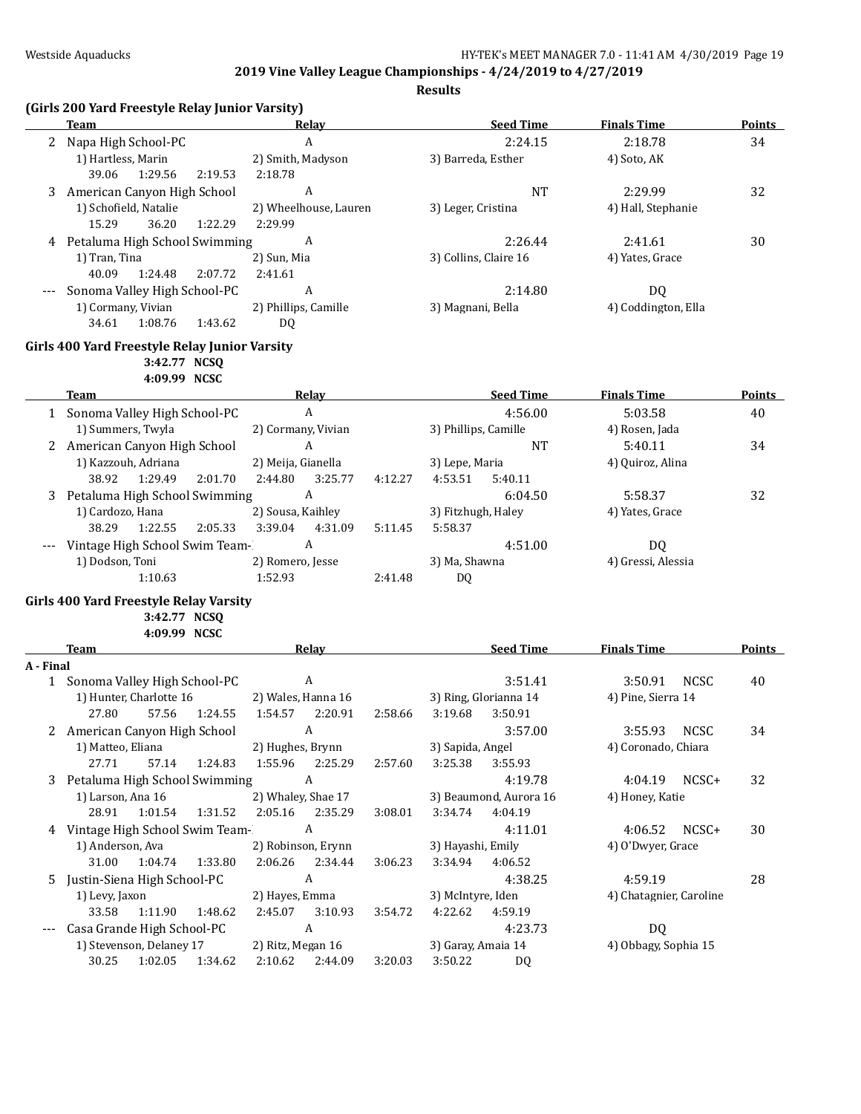|           | <b>Team</b>                                   | Relay                                        |         | <b>Seed Time</b>       | <b>Finals Time</b>      | <b>Points</b> |
|-----------|-----------------------------------------------|----------------------------------------------|---------|------------------------|-------------------------|---------------|
|           | 2 Napa High School-PC                         | $\boldsymbol{A}$                             |         | 2:24.15                | 2:18.78                 | 34            |
|           | 1) Hartless, Marin                            | 2) Smith, Madyson                            |         | 3) Barreda, Esther     | 4) Soto, AK             |               |
|           | 39.06<br>1:29.56                              | 2:19.53<br>2:18.78                           |         |                        |                         |               |
| 3         | American Canyon High School                   | $\boldsymbol{A}$                             |         | <b>NT</b>              | 2:29.99                 | 32            |
|           | 1) Schofield, Natalie                         | 2) Wheelhouse, Lauren                        |         | 3) Leger, Cristina     | 4) Hall, Stephanie      |               |
|           | 15.29<br>36.20                                | 1:22.29<br>2:29.99                           |         |                        |                         |               |
|           | 4 Petaluma High School Swimming               | A                                            |         | 2:26.44                | 2:41.61                 | 30            |
|           | 1) Tran, Tina                                 | 2) Sun, Mia                                  |         | 3) Collins, Claire 16  | 4) Yates, Grace         |               |
|           | 40.09<br>1:24.48                              | 2:07.72<br>2:41.61                           |         |                        |                         |               |
|           | Sonoma Valley High School-PC                  | A                                            |         | 2:14.80                | DQ                      |               |
|           | 1) Cormany, Vivian<br>1:08.76<br>34.61        | 2) Phillips, Camille<br>1:43.62<br><b>DQ</b> |         | 3) Magnani, Bella      | 4) Coddington, Ella     |               |
|           | Girls 400 Yard Freestyle Relay Junior Varsity |                                              |         |                        |                         |               |
|           | 3:42.77 NCSQ                                  |                                              |         |                        |                         |               |
|           | 4:09.99 NCSC                                  |                                              |         |                        |                         |               |
|           | Team                                          | <b>Relay</b>                                 |         | <b>Seed Time</b>       | <b>Finals Time</b>      | <b>Points</b> |
|           | 1 Sonoma Valley High School-PC                | $\boldsymbol{A}$                             |         | 4:56.00                | 5:03.58                 | 40            |
|           | 1) Summers, Twyla                             | 2) Cormany, Vivian                           |         | 3) Phillips, Camille   | 4) Rosen, Jada          |               |
|           | 2 American Canyon High School                 | A                                            |         | <b>NT</b>              | 5:40.11                 | 34            |
|           | 1) Kazzouh, Adriana                           | 2) Meija, Gianella                           |         | 3) Lepe, Maria         | 4) Quiroz, Alina        |               |
|           | 38.92<br>1:29.49                              | 2:01.70<br>3:25.77<br>2:44.80                | 4:12.27 | 4:53.51<br>5:40.11     |                         |               |
|           | 3 Petaluma High School Swimming               | A                                            |         | 6:04.50                | 5:58.37                 | 32            |
|           | 1) Cardozo, Hana                              | 2) Sousa, Kaihley                            |         | 3) Fitzhugh, Haley     | 4) Yates, Grace         |               |
|           | 38.29<br>1:22.55                              | 2:05.33<br>3:39.04<br>4:31.09                | 5:11.45 | 5:58.37                |                         |               |
|           | Vintage High School Swim Team-                | $\boldsymbol{A}$                             |         | 4:51.00                | DQ                      |               |
|           | 1) Dodson, Toni                               | 2) Romero, Jesse                             |         | 3) Ma, Shawna          | 4) Gressi, Alessia      |               |
|           | 1:10.63                                       | 1:52.93                                      | 2:41.48 | DQ.                    |                         |               |
|           | Girls 400 Yard Freestyle Relay Varsity        |                                              |         |                        |                         |               |
|           | 3:42.77 NCSQ                                  |                                              |         |                        |                         |               |
|           | 4:09.99 NCSC                                  |                                              |         |                        |                         |               |
|           | Team                                          | Relay                                        |         | <b>Seed Time</b>       | <b>Finals Time</b>      | Points        |
| A - Final |                                               |                                              |         |                        |                         |               |
|           | 1 Sonoma Valley High School-PC                | A                                            |         | 3:51.41                | 3:50.91<br><b>NCSC</b>  | 40            |
|           | 1) Hunter, Charlotte 16                       | 2) Wales, Hanna 16                           |         | 3) Ring, Glorianna 14  | 4) Pine, Sierra 14      |               |
|           | 27.80<br>57.56                                | 1:24.55<br>2:20.91<br>1:54.57                | 2:58.66 | 3:50.91<br>3:19.68     |                         |               |
|           | 2 American Canyon High School                 | A                                            |         | 3:57.00                | 3:55.93<br>NCSC         | 34            |
|           | 1) Matteo, Eliana                             | 2) Hughes, Brynn                             |         | 3) Sapida, Angel       | 4) Coronado, Chiara     |               |
|           | 27.71<br>57.14                                | 1:24.83<br>1:55.96<br>2:25.29                | 2:57.60 | 3:25.38<br>3:55.93     |                         |               |
|           | 3 Petaluma High School Swimming               | A                                            |         | 4:19.78                | 4:04.19 NCSC+           | 32            |
|           | 1) Larson, Ana 16                             | 2) Whaley, Shae 17                           |         | 3) Beaumond, Aurora 16 | 4) Honey, Katie         |               |
|           | 28.91<br>1:01.54                              | 2:05.16<br>1:31.52<br>2:35.29                | 3:08.01 | 3:34.74<br>4:04.19     |                         |               |
|           | 4 Vintage High School Swim Team-              | A                                            |         | 4:11.01                | 4:06.52<br>NCSC+        | 30            |
|           | 1) Anderson, Ava                              | 2) Robinson, Erynn                           |         | 3) Hayashi, Emily      | 4) O'Dwyer, Grace       |               |
|           | 31.00<br>1:04.74                              | 1:33.80<br>2:06.26<br>2:34.44                | 3:06.23 | 3:34.94<br>4:06.52     |                         |               |
|           | 5 Justin-Siena High School-PC                 | A                                            |         | 4:38.25                | 4:59.19                 | 28            |
|           | 1) Levy, Jaxon                                | 2) Hayes, Emma                               |         | 3) McIntyre, Iden      | 4) Chatagnier, Caroline |               |
|           | 33.58<br>1:11.90                              | 1:48.62<br>2:45.07<br>3:10.93                | 3:54.72 | 4:22.62<br>4:59.19     |                         |               |
| $---$     | Casa Grande High School-PC                    | $\boldsymbol{A}$                             |         | 4:23.73                | DQ                      |               |
|           | 1) Stevenson, Delaney 17                      | 2) Ritz, Megan 16                            |         | 3) Garay, Amaia 14     | 4) Obbagy, Sophia 15    |               |
|           | 30.25<br>1:02.05                              | 1:34.62<br>2:10.62<br>2:44.09                | 3:20.03 | 3:50.22<br>DQ          |                         |               |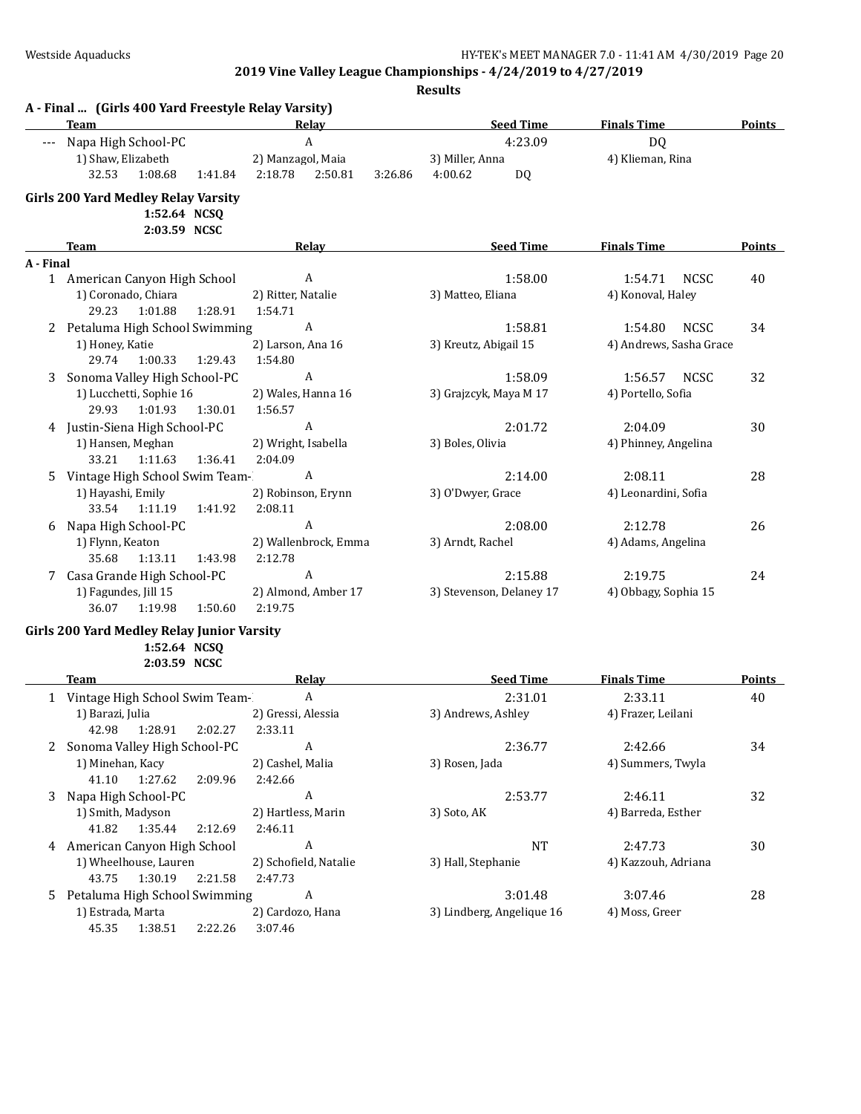|           | A - Final  (Girls 400 Yard Freestyle Relay Varsity)<br><b>Team</b> |         |                               | Relay                     |         | <b>Seed Time</b>                     | <b>Finals Time</b>        | <b>Points</b> |
|-----------|--------------------------------------------------------------------|---------|-------------------------------|---------------------------|---------|--------------------------------------|---------------------------|---------------|
|           | --- Napa High School-PC                                            |         |                               | $\boldsymbol{\mathsf{A}}$ |         | 4:23.09                              | DQ                        |               |
|           | 1) Shaw, Elizabeth                                                 |         | 2) Manzagol, Maia             |                           |         | 3) Miller, Anna                      | 4) Klieman, Rina          |               |
|           | 32.53<br>1:08.68                                                   | 1:41.84 | 2:18.78                       | 2:50.81                   | 3:26.86 | 4:00.62<br><b>DQ</b>                 |                           |               |
|           | <b>Girls 200 Yard Medley Relay Varsity</b>                         |         |                               |                           |         |                                      |                           |               |
|           | 1:52.64 NCSQ                                                       |         |                               |                           |         |                                      |                           |               |
|           | 2:03.59 NCSC                                                       |         |                               |                           |         |                                      |                           |               |
|           | Team                                                               |         |                               | <b>Relay</b>              |         | <b>Seed Time</b>                     | <b>Finals Time</b>        | Points        |
| A - Final |                                                                    |         |                               |                           |         |                                      |                           |               |
|           | 1 American Canyon High School                                      |         |                               | A                         |         | 1:58.00                              | <b>NCSC</b><br>1:54.71    | 40            |
|           | 1) Coronado, Chiara                                                |         | 2) Ritter, Natalie            |                           |         | 3) Matteo, Eliana                    | 4) Konoval, Haley         |               |
|           | 29.23<br>1:01.88                                                   | 1:28.91 | 1:54.71                       |                           |         |                                      |                           |               |
| 2         | Petaluma High School Swimming                                      |         |                               | A                         |         | 1:58.81                              | NCSC<br>1:54.80           | 34            |
|           | 1) Honey, Katie                                                    |         | 2) Larson, Ana 16             |                           |         | 3) Kreutz, Abigail 15                | 4) Andrews, Sasha Grace   |               |
|           | 29.74<br>1:00.33                                                   | 1:29.43 | 1:54.80                       |                           |         |                                      |                           |               |
| 3         | Sonoma Valley High School-PC                                       |         |                               | $\boldsymbol{A}$          |         | 1:58.09                              | 1:56.57<br>NCSC           | 32            |
|           | 1) Lucchetti, Sophie 16                                            |         | 2) Wales, Hanna 16            |                           |         | 3) Grajzcyk, Maya M 17               | 4) Portello, Sofia        |               |
|           | 29.93<br>1:01.93                                                   | 1:30.01 | 1:56.57                       |                           |         |                                      |                           |               |
|           | 4 Justin-Siena High School-PC                                      |         |                               | $\boldsymbol{A}$          |         | 2:01.72                              | 2:04.09                   | 30            |
|           | 1) Hansen, Meghan                                                  |         | 2) Wright, Isabella           |                           |         | 3) Boles, Olivia                     | 4) Phinney, Angelina      |               |
|           | 33.21<br>1:11.63                                                   | 1:36.41 | 2:04.09                       |                           |         |                                      |                           |               |
| 5         | Vintage High School Swim Team-                                     |         |                               | A                         |         | 2:14.00                              | 2:08.11                   | 28            |
|           | 1) Hayashi, Emily                                                  |         | 2) Robinson, Erynn            |                           |         | 3) O'Dwyer, Grace                    | 4) Leonardini, Sofia      |               |
|           | 33.54<br>1:11.19                                                   | 1:41.92 | 2:08.11                       |                           |         |                                      |                           |               |
| 6         | Napa High School-PC                                                |         |                               | A                         |         | 2:08.00                              | 2:12.78                   | 26            |
|           | 1) Flynn, Keaton                                                   |         |                               | 2) Wallenbrock, Emma      |         | 3) Arndt, Rachel                     | 4) Adams, Angelina        |               |
|           | 35.68<br>1:13.11                                                   | 1:43.98 | 2:12.78                       |                           |         |                                      |                           |               |
|           | 7 Casa Grande High School-PC                                       |         |                               | A                         |         | 2:15.88                              | 2:19.75                   | 24            |
|           | 1) Fagundes, Jill 15                                               |         |                               | 2) Almond, Amber 17       |         | 3) Stevenson, Delaney 17             | 4) Obbagy, Sophia 15      |               |
|           | 36.07<br>1:19.98                                                   | 1:50.60 | 2:19.75                       |                           |         |                                      |                           |               |
|           |                                                                    |         |                               |                           |         |                                      |                           |               |
|           | Girls 200 Yard Medley Relay Junior Varsity<br>1:52.64 NCSQ         |         |                               |                           |         |                                      |                           |               |
|           | 2:03.59 NCSC                                                       |         |                               |                           |         |                                      |                           |               |
|           | Team                                                               |         |                               | <b>Relay</b>              |         | <b>Seed Time</b>                     | <b>Finals Time</b>        | <b>Points</b> |
|           | 1 Vintage High School Swim Team-                                   |         |                               | $\boldsymbol{A}$          |         | 2:31.01                              | 2:33.11                   | 40            |
|           | 1) Barazi, Julia                                                   |         | 2) Gressi, Alessia            |                           |         | 3) Andrews, Ashley                   | 4) Frazer, Leilani        |               |
|           | 42.98 1:28.91                                                      | 2:02.27 | 2:33.11                       |                           |         |                                      |                           |               |
|           | Sonoma Valley High School-PC                                       |         |                               | A                         |         | 2:36.77                              | 2:42.66                   | 34            |
|           | 1) Minehan, Kacy                                                   |         | 2) Cashel, Malia              |                           |         | 3) Rosen, Jada                       | 4) Summers, Twyla         |               |
|           | 41.10<br>1:27.62                                                   | 2:09.96 | 2:42.66                       |                           |         |                                      |                           |               |
| 3         | Napa High School-PC                                                |         |                               | A                         |         | 2:53.77                              | 2:46.11                   | 32            |
|           |                                                                    |         |                               |                           |         |                                      | 4) Barreda, Esther        |               |
|           | 1) Smith, Madyson<br>41.82<br>1:35.44                              | 2:12.69 | 2) Hartless, Marin<br>2:46.11 |                           |         | 3) Soto, AK                          |                           |               |
|           |                                                                    |         |                               | A                         |         |                                      |                           |               |
|           | 4 American Canyon High School                                      |         |                               |                           |         | <b>NT</b>                            | 2:47.73                   | 30            |
|           | 1) Wheelhouse, Lauren<br>43.75<br>1:30.19                          | 2:21.58 | 2:47.73                       | 2) Schofield, Natalie     |         | 3) Hall, Stephanie                   | 4) Kazzouh, Adriana       |               |
|           |                                                                    |         |                               |                           |         |                                      |                           |               |
| 5         | Petaluma High School Swimming<br>1) Estrada, Marta                 |         | 2) Cardozo, Hana              | A                         |         | 3:01.48<br>3) Lindberg, Angelique 16 | 3:07.46<br>4) Moss, Greer | 28            |
|           | 45.35<br>1:38.51                                                   |         | 3:07.46                       |                           |         |                                      |                           |               |
|           |                                                                    | 2:22.26 |                               |                           |         |                                      |                           |               |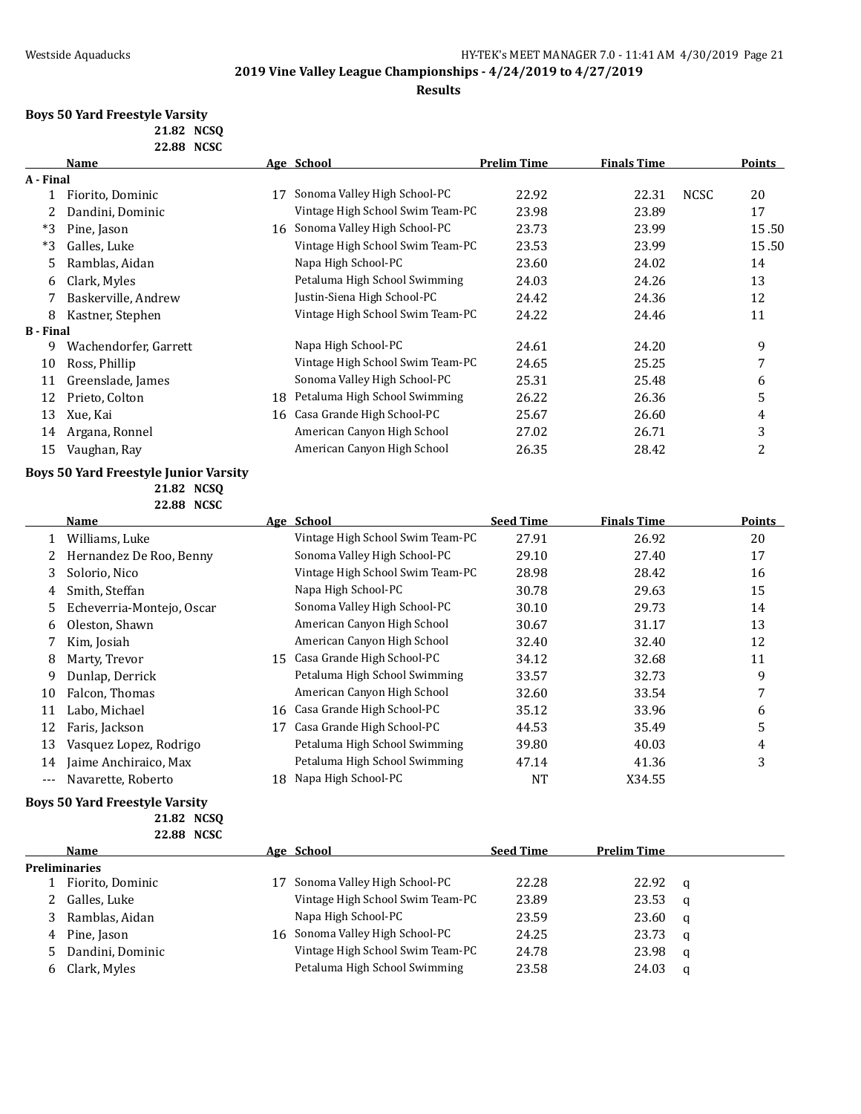### **Results**

# **Boys 50 Yard Freestyle Varsity**

**21.82 NCSQ 22.88 NCSC**

|                  | Name                  |    | Age School                       | <b>Prelim Time</b> | <b>Finals Time</b> |             | <b>Points</b> |
|------------------|-----------------------|----|----------------------------------|--------------------|--------------------|-------------|---------------|
| A - Final        |                       |    |                                  |                    |                    |             |               |
|                  | Fiorito, Dominic      | 17 | Sonoma Valley High School-PC     | 22.92              | 22.31              | <b>NCSC</b> | 20            |
|                  | Dandini, Dominic      |    | Vintage High School Swim Team-PC | 23.98              | 23.89              |             | 17            |
| $*3$             | Pine, Jason           | 16 | Sonoma Valley High School-PC     | 23.73              | 23.99              |             | 15.50         |
| $*3$             | Galles, Luke          |    | Vintage High School Swim Team-PC | 23.53              | 23.99              |             | 15.50         |
| 5                | Ramblas, Aidan        |    | Napa High School-PC              | 23.60              | 24.02              |             | 14            |
| 6                | Clark, Myles          |    | Petaluma High School Swimming    | 24.03              | 24.26              |             | 13            |
| 7                | Baskerville, Andrew   |    | Justin-Siena High School-PC      | 24.42              | 24.36              |             | 12            |
| 8                | Kastner, Stephen      |    | Vintage High School Swim Team-PC | 24.22              | 24.46              |             | 11            |
| <b>B</b> - Final |                       |    |                                  |                    |                    |             |               |
| 9                | Wachendorfer, Garrett |    | Napa High School-PC              | 24.61              | 24.20              |             | 9             |
| 10               | Ross, Phillip         |    | Vintage High School Swim Team-PC | 24.65              | 25.25              |             | 7             |
| 11               | Greenslade, James     |    | Sonoma Valley High School-PC     | 25.31              | 25.48              |             | 6             |
| 12               | Prieto, Colton        | 18 | Petaluma High School Swimming    | 26.22              | 26.36              |             | 5             |
| 13               | Xue, Kai              |    | 16 Casa Grande High School-PC    | 25.67              | 26.60              |             | 4             |
| 14               | Argana, Ronnel        |    | American Canyon High School      | 27.02              | 26.71              |             | 3             |
| 15               | Vaughan, Ray          |    | American Canyon High School      | 26.35              | 28.42              |             | 2             |

## **Boys 50 Yard Freestyle Junior Varsity**

**21.82 NCSQ 22.88 NCSC**

|       | Name                      |    | Age School                       | <b>Seed Time</b> | <b>Finals Time</b> | <b>Points</b> |
|-------|---------------------------|----|----------------------------------|------------------|--------------------|---------------|
|       | Williams, Luke            |    | Vintage High School Swim Team-PC | 27.91            | 26.92              | 20            |
|       | Hernandez De Roo, Benny   |    | Sonoma Valley High School-PC     | 29.10            | 27.40              | 17            |
| 3     | Solorio, Nico             |    | Vintage High School Swim Team-PC | 28.98            | 28.42              | 16            |
| 4     | Smith, Steffan            |    | Napa High School-PC              | 30.78            | 29.63              | 15            |
| 5.    | Echeverria-Montejo, Oscar |    | Sonoma Valley High School-PC     | 30.10            | 29.73              | 14            |
| 6     | Oleston, Shawn            |    | American Canyon High School      | 30.67            | 31.17              | 13            |
|       | Kim, Josiah               |    | American Canyon High School      | 32.40            | 32.40              | 12            |
| 8     | Marty, Trevor             | 15 | Casa Grande High School-PC       | 34.12            | 32.68              | 11            |
| 9     | Dunlap, Derrick           |    | Petaluma High School Swimming    | 33.57            | 32.73              | 9             |
| 10    | Falcon, Thomas            |    | American Canyon High School      | 32.60            | 33.54              |               |
| 11    | Labo. Michael             | 16 | Casa Grande High School-PC       | 35.12            | 33.96              | 6             |
| 12    | Faris, Jackson            | 17 | Casa Grande High School-PC       | 44.53            | 35.49              | 5             |
| 13    | Vasquez Lopez, Rodrigo    |    | Petaluma High School Swimming    | 39.80            | 40.03              | 4             |
| 14    | Jaime Anchiraico, Max     |    | Petaluma High School Swimming    | 47.14            | 41.36              | 3             |
| $---$ | Navarette, Roberto        | 18 | Napa High School-PC              | NT               | X34.55             |               |

### **Boys 50 Yard Freestyle Varsity**

**21.82 NCSQ 22.88 NCSC**

| Name                 |    | Age School                       | <b>Seed Time</b> | <b>Prelim Time</b> |          |  |  |  |
|----------------------|----|----------------------------------|------------------|--------------------|----------|--|--|--|
| <b>Preliminaries</b> |    |                                  |                  |                    |          |  |  |  |
| Fiorito, Dominic     | 17 | Sonoma Valley High School-PC     | 22.28            | 22.92              | <b>a</b> |  |  |  |
| Galles, Luke         |    | Vintage High School Swim Team-PC | 23.89            | 23.53              | - a      |  |  |  |
| Ramblas, Aidan       |    | Napa High School-PC              | 23.59            | 23.60              | - a      |  |  |  |
| Pine, Jason          | 16 | Sonoma Valley High School-PC     | 24.25            | 23.73              | - a      |  |  |  |
| Dandini, Dominic     |    | Vintage High School Swim Team-PC | 24.78            | 23.98              | - a      |  |  |  |
| Clark, Myles         |    | Petaluma High School Swimming    | 23.58            | 24.03              | a        |  |  |  |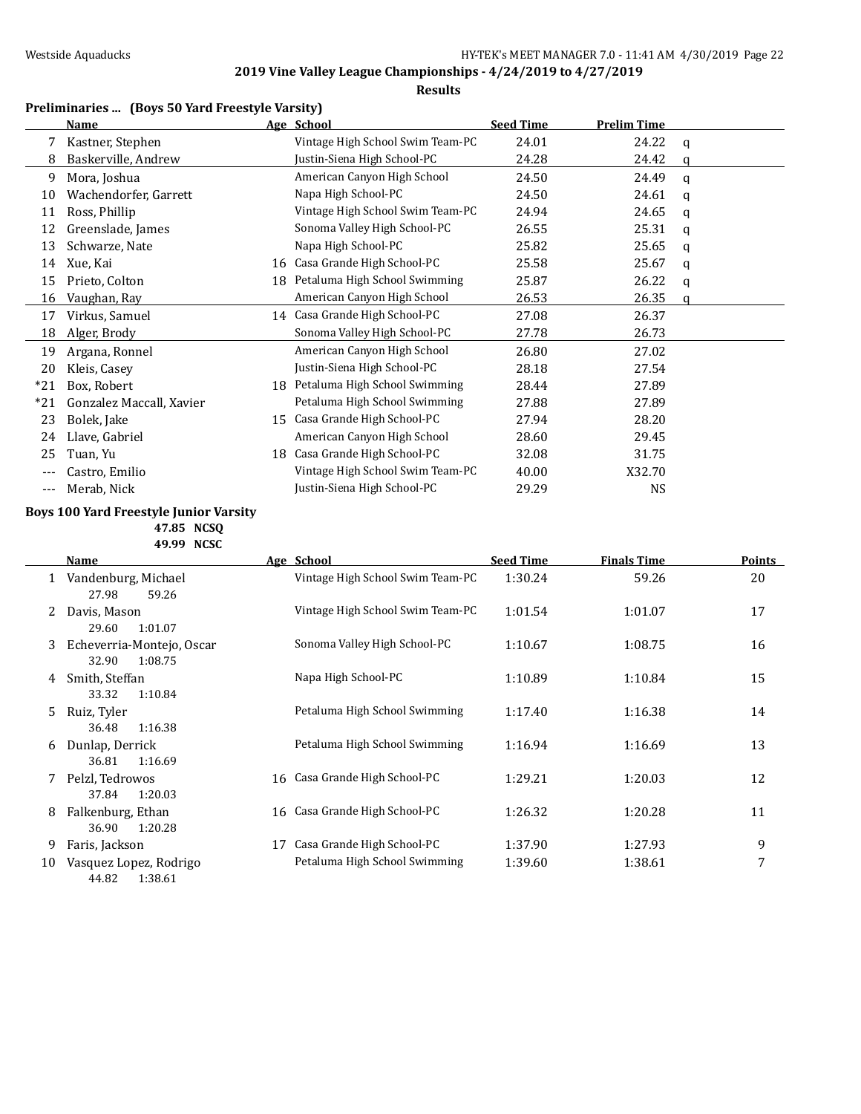## **Results**

## **Preliminaries ... (Boys 50 Yard Freestyle Varsity)**

|       | Name                     |    | Age School                       | <b>Seed Time</b> | <b>Prelim Time</b> |   |
|-------|--------------------------|----|----------------------------------|------------------|--------------------|---|
|       | Kastner, Stephen         |    | Vintage High School Swim Team-PC | 24.01            | 24.22              | q |
| 8     | Baskerville, Andrew      |    | Justin-Siena High School-PC      | 24.28            | 24.42              | a |
| 9     | Mora, Joshua             |    | American Canyon High School      | 24.50            | 24.49              | a |
| 10    | Wachendorfer, Garrett    |    | Napa High School-PC              | 24.50            | 24.61              | a |
| 11    | Ross, Phillip            |    | Vintage High School Swim Team-PC | 24.94            | 24.65              | a |
| 12    | Greenslade, James        |    | Sonoma Valley High School-PC     | 26.55            | 25.31              | a |
| 13    | Schwarze, Nate           |    | Napa High School-PC              | 25.82            | 25.65              | q |
| 14    | Xue, Kai                 | 16 | Casa Grande High School-PC       | 25.58            | 25.67              | q |
| 15    | Prieto, Colton           | 18 | Petaluma High School Swimming    | 25.87            | 26.22              | a |
| 16    | Vaughan, Ray             |    | American Canyon High School      | 26.53            | 26.35              | a |
| 17    | Virkus, Samuel           |    | 14 Casa Grande High School-PC    | 27.08            | 26.37              |   |
| 18    | Alger, Brody             |    | Sonoma Valley High School-PC     | 27.78            | 26.73              |   |
| 19    | Argana, Ronnel           |    | American Canyon High School      | 26.80            | 27.02              |   |
| 20    | Kleis, Casey             |    | Justin-Siena High School-PC      | 28.18            | 27.54              |   |
| $*21$ | Box, Robert              | 18 | Petaluma High School Swimming    | 28.44            | 27.89              |   |
| $*21$ | Gonzalez Maccall, Xavier |    | Petaluma High School Swimming    | 27.88            | 27.89              |   |
| 23    | Bolek, Jake              | 15 | Casa Grande High School-PC       | 27.94            | 28.20              |   |
| 24    | Llave, Gabriel           |    | American Canyon High School      | 28.60            | 29.45              |   |
| 25    | Tuan, Yu                 | 18 | Casa Grande High School-PC       | 32.08            | 31.75              |   |
| ---   | Castro, Emilio           |    | Vintage High School Swim Team-PC | 40.00            | X32.70             |   |
| ---   | Merab, Nick              |    | Justin-Siena High School-PC      | 29.29            | NS                 |   |

## **Boys 100 Yard Freestyle Junior Varsity**

**47.85 NCSQ 49.99 NCSC**

|    | <u>Name</u>                                   | Age School                       | <b>Seed Time</b> | <b>Finals Time</b> | <b>Points</b> |
|----|-----------------------------------------------|----------------------------------|------------------|--------------------|---------------|
| 1  | Vandenburg, Michael<br>27.98<br>59.26         | Vintage High School Swim Team-PC | 1:30.24          | 59.26              | 20            |
|    | Davis, Mason<br>29.60<br>1:01.07              | Vintage High School Swim Team-PC | 1:01.54          | 1:01.07            | 17            |
| 3  | Echeverria-Montejo, Oscar<br>32.90<br>1:08.75 | Sonoma Valley High School-PC     | 1:10.67          | 1:08.75            | 16            |
| 4  | Smith, Steffan<br>1:10.84<br>33.32            | Napa High School-PC              | 1:10.89          | 1:10.84            | 15            |
| 5. | Ruiz, Tyler<br>36.48<br>1:16.38               | Petaluma High School Swimming    | 1:17.40          | 1:16.38            | 14            |
| 6  | Dunlap, Derrick<br>36.81<br>1:16.69           | Petaluma High School Swimming    | 1:16.94          | 1:16.69            | 13            |
| 7  | Pelzl, Tedrowos<br>37.84<br>1:20.03           | 16 Casa Grande High School-PC    | 1:29.21          | 1:20.03            | 12            |
| 8  | Falkenburg, Ethan<br>36.90<br>1:20.28         | 16 Casa Grande High School-PC    | 1:26.32          | 1:20.28            | 11            |
| 9  | Faris, Jackson                                | Casa Grande High School-PC<br>17 | 1:37.90          | 1:27.93            | 9             |
| 10 | Vasquez Lopez, Rodrigo<br>44.82<br>1:38.61    | Petaluma High School Swimming    | 1:39.60          | 1:38.61            | 7             |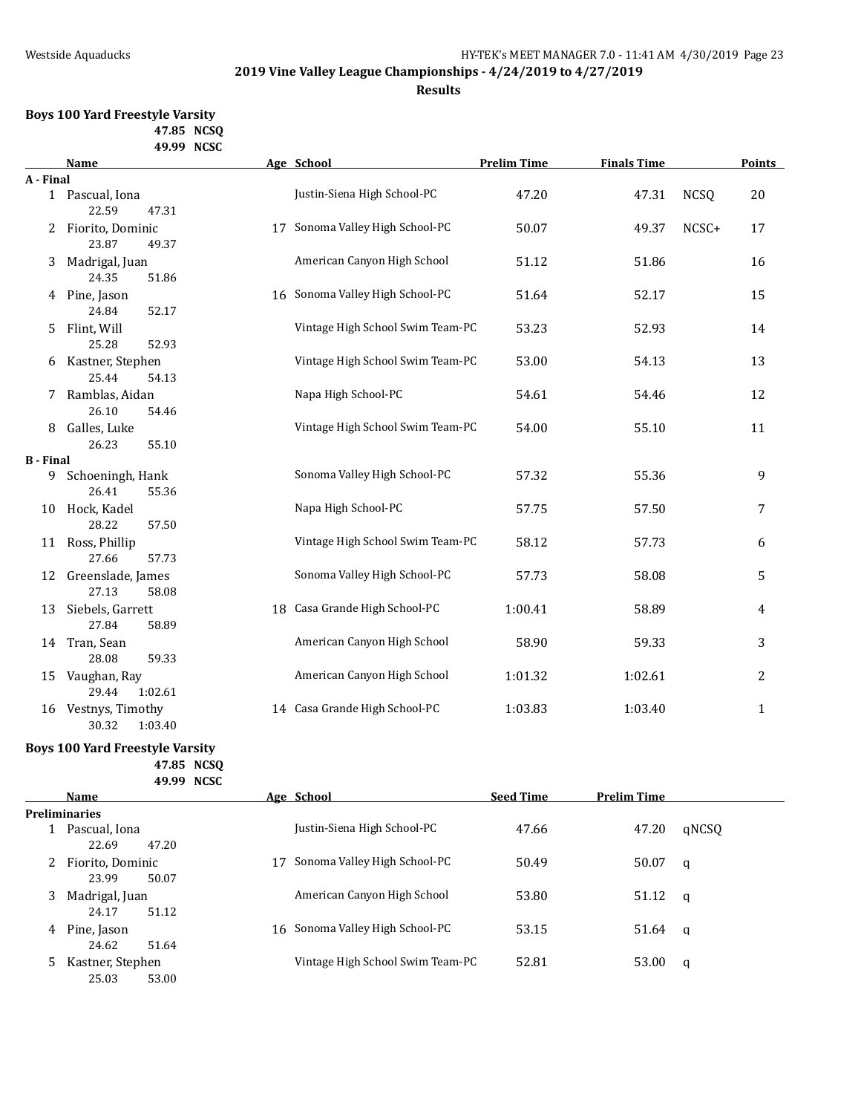**Results**

### **Boys 100 Yard Freestyle Varsity 47.85 NCSQ 49.99 NCSC**

|                  | <b>Name</b>       | Age School                       | <b>Prelim Time</b> | <b>Finals Time</b> |             | <b>Points</b>  |
|------------------|-------------------|----------------------------------|--------------------|--------------------|-------------|----------------|
| A - Final        |                   |                                  |                    |                    |             |                |
|                  | 1 Pascual, Iona   | Justin-Siena High School-PC      | 47.20              | 47.31              | <b>NCSQ</b> | 20             |
|                  | 22.59<br>47.31    |                                  |                    |                    |             |                |
| 2                | Fiorito, Dominic  | 17 Sonoma Valley High School-PC  | 50.07              | 49.37              | NCSC+       | 17             |
|                  | 23.87<br>49.37    |                                  |                    |                    |             |                |
| 3                | Madrigal, Juan    | American Canyon High School      | 51.12              | 51.86              |             | 16             |
|                  | 24.35<br>51.86    |                                  |                    |                    |             |                |
|                  | 4 Pine, Jason     | 16 Sonoma Valley High School-PC  | 51.64              | 52.17              |             | 15             |
|                  | 52.17<br>24.84    |                                  |                    |                    |             |                |
| 5.               | Flint, Will       | Vintage High School Swim Team-PC | 53.23              | 52.93              |             | 14             |
|                  | 25.28<br>52.93    |                                  |                    |                    |             |                |
| 6                | Kastner, Stephen  | Vintage High School Swim Team-PC | 53.00              | 54.13              |             | 13             |
|                  | 25.44<br>54.13    |                                  |                    |                    |             |                |
|                  | Ramblas, Aidan    | Napa High School-PC              | 54.61              | 54.46              |             | 12             |
|                  | 26.10<br>54.46    |                                  |                    |                    |             |                |
| 8                | Galles, Luke      | Vintage High School Swim Team-PC | 54.00              | 55.10              |             | 11             |
|                  | 26.23<br>55.10    |                                  |                    |                    |             |                |
| <b>B</b> - Final |                   |                                  |                    |                    |             |                |
| 9                | Schoeningh, Hank  | Sonoma Valley High School-PC     | 57.32              | 55.36              |             | 9              |
|                  | 26.41<br>55.36    |                                  |                    |                    |             |                |
| 10               | Hock, Kadel       | Napa High School-PC              | 57.75              | 57.50              |             | 7              |
|                  | 28.22<br>57.50    |                                  |                    |                    |             |                |
|                  | 11 Ross, Phillip  | Vintage High School Swim Team-PC | 58.12              | 57.73              |             | 6              |
|                  | 27.66<br>57.73    |                                  |                    |                    |             |                |
| 12               | Greenslade, James | Sonoma Valley High School-PC     | 57.73              | 58.08              |             | 5              |
|                  | 27.13<br>58.08    |                                  |                    |                    |             |                |
| 13               | Siebels, Garrett  | 18 Casa Grande High School-PC    | 1:00.41            | 58.89              |             | 4              |
|                  | 27.84<br>58.89    |                                  |                    |                    |             |                |
| 14               | Tran, Sean        | American Canyon High School      | 58.90              | 59.33              |             | 3              |
|                  | 28.08<br>59.33    |                                  |                    |                    |             |                |
| 15               | Vaughan, Ray      | American Canyon High School      | 1:01.32            | 1:02.61            |             | $\overline{2}$ |
|                  | 29.44<br>1:02.61  |                                  |                    |                    |             |                |
| 16               | Vestnys, Timothy  | 14 Casa Grande High School-PC    | 1:03.83            | 1:03.40            |             | $\mathbf{1}$   |
|                  | 30.32<br>1:03.40  |                                  |                    |                    |             |                |

## **Boys 100 Yard Freestyle Varsity**

**47.85 NCSQ 49.99 NCSC**

|   | <b>Name</b>                        |    | Age School                       | <b>Seed Time</b> | <b>Prelim Time</b> |       |
|---|------------------------------------|----|----------------------------------|------------------|--------------------|-------|
|   | <b>Preliminaries</b>               |    |                                  |                  |                    |       |
|   | Pascual, Iona<br>22.69<br>47.20    |    | Justin-Siena High School-PC      | 47.66            | 47.20              | gNCSO |
|   | Fiorito, Dominic<br>23.99<br>50.07 | 17 | Sonoma Valley High School-PC     | 50.49            | 50.07              | q     |
| 3 | Madrigal, Juan<br>24.17<br>51.12   |    | American Canyon High School      | 53.80            | 51.12              | - q   |
| 4 | Pine, Jason<br>24.62<br>51.64      |    | 16 Sonoma Valley High School-PC  | 53.15            | 51.64              | q     |
| 5 | Kastner, Stephen<br>25.03<br>53.00 |    | Vintage High School Swim Team-PC | 52.81            | 53.00              | a     |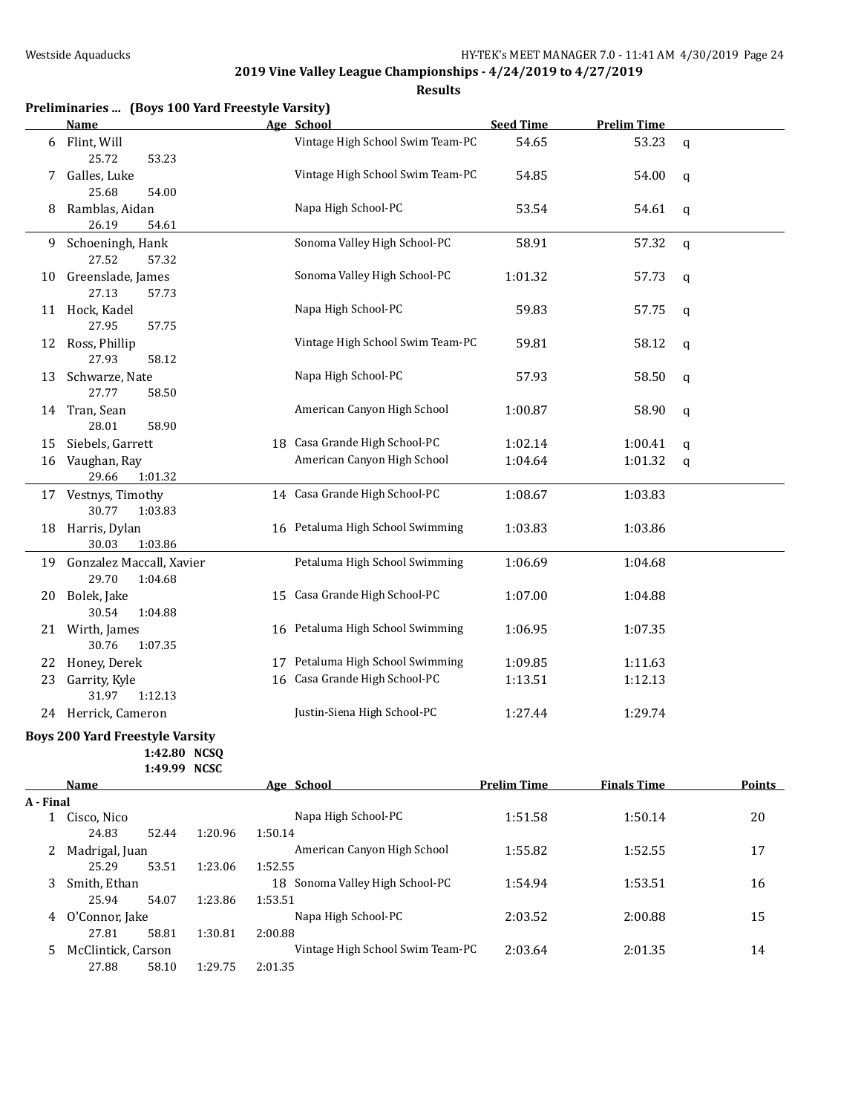**Results**

|    | Preliminaries  (Boys 100 Yard Freestyle Varsity) |    |                                  |                  |                    |             |
|----|--------------------------------------------------|----|----------------------------------|------------------|--------------------|-------------|
|    | <b>Name</b>                                      |    | Age School                       | <b>Seed Time</b> | <b>Prelim Time</b> |             |
| 6  | Flint, Will<br>25.72<br>53.23                    |    | Vintage High School Swim Team-PC | 54.65            | 53.23              | $\mathbf q$ |
| 7  | Galles, Luke<br>25.68<br>54.00                   |    | Vintage High School Swim Team-PC | 54.85            | 54.00              | $\mathbf q$ |
| 8  | Ramblas, Aidan<br>26.19<br>54.61                 |    | Napa High School-PC              | 53.54            | 54.61              | $\mathbf q$ |
| 9  | Schoeningh, Hank<br>27.52<br>57.32               |    | Sonoma Valley High School-PC     | 58.91            | 57.32              | $\mathbf q$ |
| 10 | Greenslade, James<br>27.13<br>57.73              |    | Sonoma Valley High School-PC     | 1:01.32          | 57.73              | q           |
|    | 11 Hock, Kadel<br>27.95<br>57.75                 |    | Napa High School-PC              | 59.83            | 57.75              | q           |
|    | 12 Ross, Phillip<br>27.93<br>58.12               |    | Vintage High School Swim Team-PC | 59.81            | 58.12              | q           |
| 13 | Schwarze, Nate<br>27.77<br>58.50                 |    | Napa High School-PC              | 57.93            | 58.50              | $\mathbf q$ |
|    | 14 Tran, Sean<br>28.01<br>58.90                  |    | American Canyon High School      | 1:00.87          | 58.90              | q           |
| 15 | Siebels, Garrett                                 |    | 18 Casa Grande High School-PC    | 1:02.14          | 1:00.41            | q           |
| 16 | Vaughan, Ray<br>29.66<br>1:01.32                 |    | American Canyon High School      | 1:04.64          | 1:01.32            | q           |
|    | 17 Vestnys, Timothy<br>30.77<br>1:03.83          |    | 14 Casa Grande High School-PC    | 1:08.67          | 1:03.83            |             |
| 18 | Harris, Dylan<br>30.03<br>1:03.86                |    | 16 Petaluma High School Swimming | 1:03.83          | 1:03.86            |             |
|    | 19 Gonzalez Maccall, Xavier<br>29.70<br>1:04.68  |    | Petaluma High School Swimming    | 1:06.69          | 1:04.68            |             |
| 20 | Bolek, Jake<br>30.54<br>1:04.88                  | 15 | Casa Grande High School-PC       | 1:07.00          | 1:04.88            |             |
|    | 21 Wirth, James<br>30.76<br>1:07.35              |    | 16 Petaluma High School Swimming | 1:06.95          | 1:07.35            |             |
|    | 22 Honey, Derek                                  |    | 17 Petaluma High School Swimming | 1:09.85          | 1:11.63            |             |
| 23 | Garrity, Kyle<br>31.97<br>1:12.13                | 16 | Casa Grande High School-PC       | 1:13.51          | 1:12.13            |             |
|    | 24 Herrick, Cameron                              |    | Justin-Siena High School-PC      | 1:27.44          | 1:29.74            |             |
|    | <b>Boys 200 Yard Freestyle Varsity</b>           |    |                                  |                  |                    |             |

**1:42.80 NCSQ**

**1:49.99 NCSC**

| <b>Name</b> |                    |       | Age School | <b>Prelim Time</b>                 | <b>Finals Time</b> | <b>Points</b> |    |  |
|-------------|--------------------|-------|------------|------------------------------------|--------------------|---------------|----|--|
| A - Final   |                    |       |            |                                    |                    |               |    |  |
|             | Cisco, Nico        |       |            | Napa High School-PC                | 1:51.58            | 1:50.14       | 20 |  |
|             | 24.83              | 52.44 | 1:20.96    | 1:50.14                            |                    |               |    |  |
|             | Madrigal, Juan     |       |            | American Canyon High School        | 1:55.82            | 1:52.55       | 17 |  |
|             | 25.29              | 53.51 | 1:23.06    | 1:52.55                            |                    |               |    |  |
| 3           | Smith, Ethan       |       |            | Sonoma Valley High School-PC<br>18 | 1:54.94            | 1:53.51       | 16 |  |
|             | 25.94              | 54.07 | 1:23.86    | 1:53.51                            |                    |               |    |  |
| 4           | O'Connor, Jake     |       |            | Napa High School-PC                | 2:03.52            | 2:00.88       | 15 |  |
|             | 27.81              | 58.81 | 1:30.81    | 2:00.88                            |                    |               |    |  |
|             | McClintick, Carson |       |            | Vintage High School Swim Team-PC   | 2:03.64            | 2:01.35       | 14 |  |
|             | 27.88              | 58.10 | 1:29.75    | 2:01.35                            |                    |               |    |  |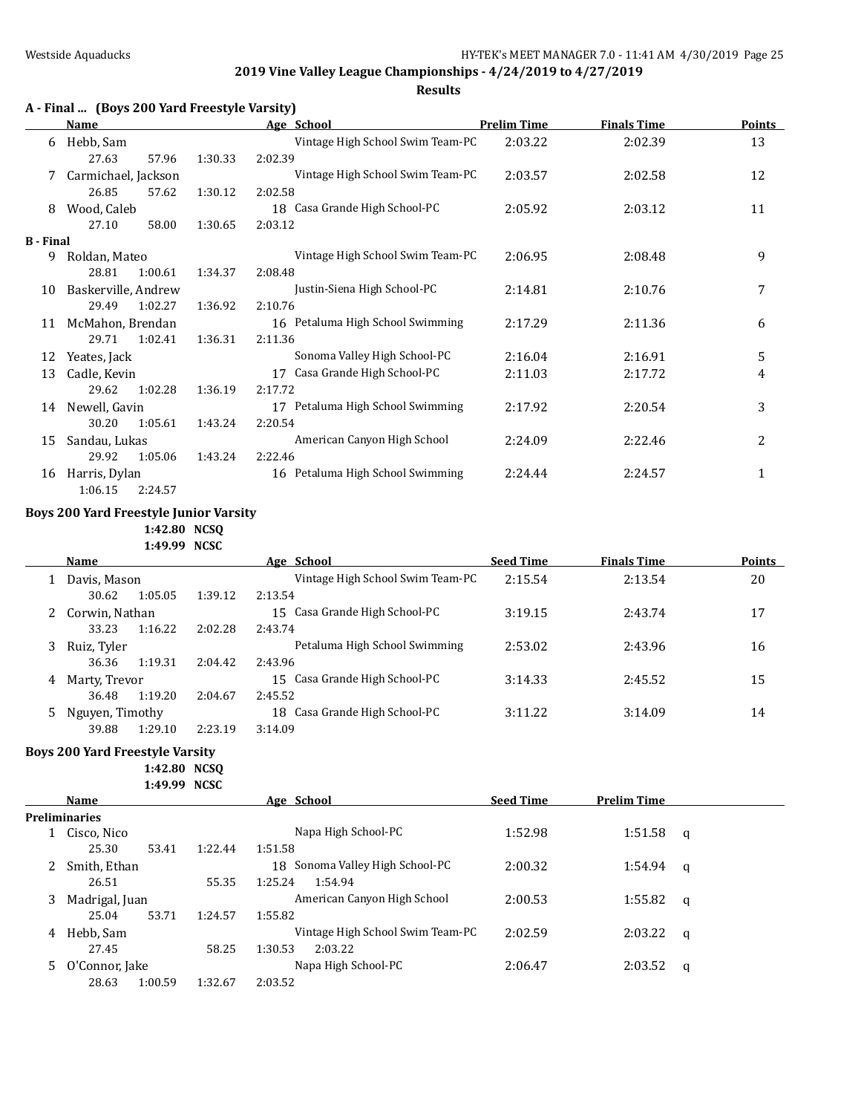**Results**

|           | <b>Name</b>         |         | Age School                       | <b>Prelim Time</b> | <b>Finals Time</b> | <b>Points</b> |
|-----------|---------------------|---------|----------------------------------|--------------------|--------------------|---------------|
| 6         | Hebb, Sam           |         | Vintage High School Swim Team-PC | 2:03.22            | 2:02.39            | 13            |
|           | 27.63<br>57.96      | 1:30.33 | 2:02.39                          |                    |                    |               |
| 7         | Carmichael, Jackson |         | Vintage High School Swim Team-PC | 2:03.57            | 2:02.58            | 12            |
|           | 26.85<br>57.62      | 1:30.12 | 2:02.58                          |                    |                    |               |
| 8         | Wood, Caleb         |         | 18 Casa Grande High School-PC    | 2:05.92            | 2:03.12            | 11            |
|           | 27.10<br>58.00      | 1:30.65 | 2:03.12                          |                    |                    |               |
| B - Final |                     |         |                                  |                    |                    |               |
| 9         | Roldan, Mateo       |         | Vintage High School Swim Team-PC | 2:06.95            | 2:08.48            | 9             |
|           | 28.81<br>1:00.61    | 1:34.37 | 2:08.48                          |                    |                    |               |
| 10        | Baskerville, Andrew |         | Justin-Siena High School-PC      | 2:14.81            | 2:10.76            | 7             |
|           | 1:02.27<br>29.49    | 1:36.92 | 2:10.76                          |                    |                    |               |
| 11        | McMahon, Brendan    |         | 16 Petaluma High School Swimming | 2:17.29            | 2:11.36            | 6             |
|           | 29.71<br>1:02.41    | 1:36.31 | 2:11.36                          |                    |                    |               |
| 12        | Yeates, Jack        |         | Sonoma Valley High School-PC     | 2:16.04            | 2:16.91            | 5             |
| 13        | Cadle, Kevin        |         | Casa Grande High School-PC<br>17 | 2:11.03            | 2:17.72            | 4             |
|           | 1:02.28<br>29.62    | 1:36.19 | 2:17.72                          |                    |                    |               |
| 14        | Newell, Gavin       |         | 17 Petaluma High School Swimming | 2:17.92            | 2:20.54            | 3             |
|           | 30.20<br>1:05.61    | 1:43.24 | 2:20.54                          |                    |                    |               |
| 15        | Sandau, Lukas       |         | American Canyon High School      | 2:24.09            | 2:22.46            | 2             |
|           | 29.92<br>1:05.06    | 1:43.24 | 2:22.46                          |                    |                    |               |
| 16        | Harris, Dylan       |         | 16 Petaluma High School Swimming | 2:24.44            | 2:24.57            | 1             |
|           | 1:06.15<br>2:24.57  |         |                                  |                    |                    |               |

## **Boys 200 Yard Freestyle Junior Varsity**

**1:42.80 NCSQ**

**1:49.99 NCSC**

| Name |                  |         |         | Age School                       | <b>Seed Time</b> | <b>Finals Time</b> | <b>Points</b> |
|------|------------------|---------|---------|----------------------------------|------------------|--------------------|---------------|
|      | Davis, Mason     |         |         | Vintage High School Swim Team-PC | 2:15.54          | 2:13.54            | 20            |
|      | 30.62            | 1:05.05 | 1:39.12 | 2:13.54                          |                  |                    |               |
|      | 2 Corwin, Nathan |         |         | Casa Grande High School-PC<br>15 | 3:19.15          | 2:43.74            | 17            |
|      | 33.23            | 1:16.22 | 2:02.28 | 2:43.74                          |                  |                    |               |
| 3    | Ruiz, Tyler      |         |         | Petaluma High School Swimming    | 2:53.02          | 2:43.96            | 16            |
|      | 36.36            | 1:19.31 | 2:04.42 | 2:43.96                          |                  |                    |               |
| 4    | Marty, Trevor    |         |         | Casa Grande High School-PC<br>15 | 3:14.33          | 2:45.52            | 15            |
|      | 36.48            | 1:19.20 | 2:04.67 | 2:45.52                          |                  |                    |               |
| 5    | Nguyen, Timothy  |         |         | Casa Grande High School-PC<br>18 | 3:11.22          | 3:14.09            | 14            |
|      | 39.88            | 1:29.10 | 2:23.19 | 3:14.09                          |                  |                    |               |
|      |                  |         |         |                                  |                  |                    |               |

### **Boys 200 Yard Freestyle Varsity**

**1:42.80 NCSQ 1:49.99 NCSC**

| <b>Name</b> |                      |         |         | Age School                         | <b>Seed Time</b> | <b>Prelim Time</b> |   |  |
|-------------|----------------------|---------|---------|------------------------------------|------------------|--------------------|---|--|
|             | <b>Preliminaries</b> |         |         |                                    |                  |                    |   |  |
|             | Cisco, Nico          |         |         | Napa High School-PC                | 1:52.98          | 1:51.58            | q |  |
|             | 25.30                | 53.41   | 1:22.44 | 1:51.58                            |                  |                    |   |  |
|             | Smith, Ethan         |         |         | Sonoma Valley High School-PC<br>18 | 2:00.32          | 1:54.94            | q |  |
|             | 26.51                |         | 55.35   | 1:25.24<br>1:54.94                 |                  |                    |   |  |
|             | Madrigal, Juan       |         |         | American Canyon High School        | 2:00.53          | 1:55.82            | q |  |
|             | 25.04                | 53.71   | 1:24.57 | 1:55.82                            |                  |                    |   |  |
| 4           | Hebb, Sam            |         |         | Vintage High School Swim Team-PC   | 2:02.59          | 2:03.22            | a |  |
|             | 27.45                |         | 58.25   | 1:30.53<br>2:03.22                 |                  |                    |   |  |
|             | O'Connor, Jake       |         |         | Napa High School-PC                | 2:06.47          | 2:03.52            | a |  |
|             | 28.63                | 1:00.59 | 1:32.67 | 2:03.52                            |                  |                    |   |  |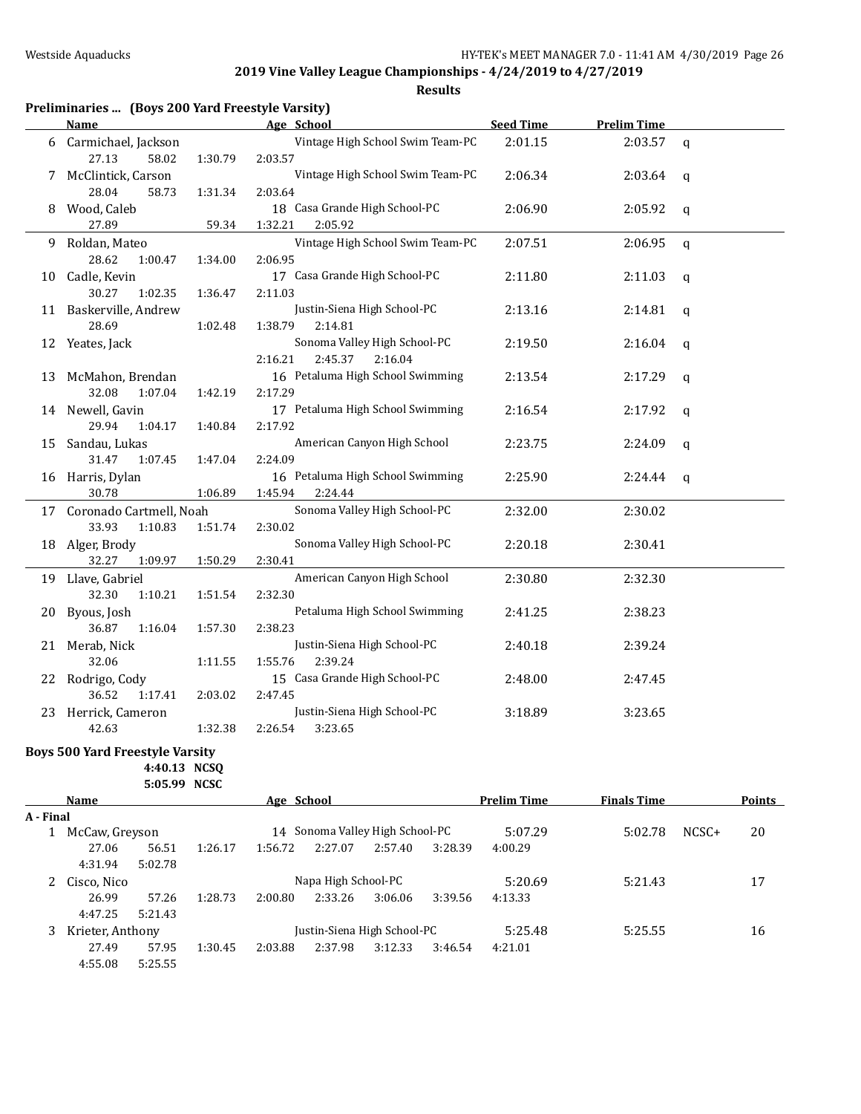|    | Preliminaries  (Boys 200 Yard Freestyle Varsity) |         |                                  |                  |                    |              |
|----|--------------------------------------------------|---------|----------------------------------|------------------|--------------------|--------------|
|    | <b>Name</b>                                      |         | Age School                       | <b>Seed Time</b> | <b>Prelim Time</b> |              |
|    | 6 Carmichael, Jackson                            |         | Vintage High School Swim Team-PC | 2:01.15          | 2:03.57            | $\mathsf{q}$ |
|    | 27.13<br>58.02                                   | 1:30.79 | 2:03.57                          |                  |                    |              |
| 7  | McClintick, Carson                               |         | Vintage High School Swim Team-PC | 2:06.34          | 2:03.64            | q            |
|    | 28.04<br>58.73                                   | 1:31.34 | 2:03.64                          |                  |                    |              |
| 8  | Wood, Caleb                                      |         | 18 Casa Grande High School-PC    | 2:06.90          | 2:05.92            | q            |
|    | 27.89                                            | 59.34   | 1:32.21<br>2:05.92               |                  |                    |              |
| 9. | Roldan, Mateo                                    |         | Vintage High School Swim Team-PC | 2:07.51          | 2:06.95            | $\mathbf q$  |
|    | 28.62<br>1:00.47                                 | 1:34.00 | 2:06.95                          |                  |                    |              |
| 10 | Cadle, Kevin                                     |         | 17 Casa Grande High School-PC    | 2:11.80          | 2:11.03            | q            |
|    | 30.27<br>1:02.35                                 | 1:36.47 | 2:11.03                          |                  |                    |              |
|    | 11 Baskerville, Andrew                           |         | Justin-Siena High School-PC      | 2:13.16          | 2:14.81            | $\mathbf q$  |
|    | 28.69                                            | 1:02.48 | 1:38.79<br>2:14.81               |                  |                    |              |
| 12 | Yeates, Jack                                     |         | Sonoma Valley High School-PC     | 2:19.50          | 2:16.04            | $\mathbf q$  |
|    |                                                  |         | 2:45.37<br>2:16.04<br>2:16.21    |                  |                    |              |
| 13 | McMahon, Brendan                                 |         | 16 Petaluma High School Swimming | 2:13.54          | 2:17.29            | $\mathsf{q}$ |
|    | 32.08<br>1:07.04                                 | 1:42.19 | 2:17.29                          |                  |                    |              |
|    | 14 Newell, Gavin                                 |         | 17 Petaluma High School Swimming | 2:16.54          | 2:17.92            | q            |
|    | 29.94<br>1:04.17                                 | 1:40.84 | 2:17.92                          |                  |                    |              |
| 15 | Sandau, Lukas                                    |         | American Canyon High School      | 2:23.75          | 2:24.09            | q            |
|    | 31.47<br>1:07.45                                 | 1:47.04 | 2:24.09                          |                  |                    |              |
|    | 16 Harris, Dylan                                 |         | 16 Petaluma High School Swimming | 2:25.90          | 2:24.44            | q            |
|    | 30.78                                            | 1:06.89 | 1:45.94<br>2:24.44               |                  |                    |              |
|    | 17 Coronado Cartmell, Noah                       |         | Sonoma Valley High School-PC     | 2:32.00          | 2:30.02            |              |
|    | 33.93<br>1:10.83                                 | 1:51.74 | 2:30.02                          |                  |                    |              |
|    | 18 Alger, Brody                                  |         | Sonoma Valley High School-PC     | 2:20.18          | 2:30.41            |              |
|    | 32.27<br>1:09.97                                 | 1:50.29 | 2:30.41                          |                  |                    |              |
|    | 19 Llave, Gabriel                                |         | American Canyon High School      | 2:30.80          | 2:32.30            |              |
|    | 32.30<br>1:10.21                                 | 1:51.54 | 2:32.30                          |                  |                    |              |
| 20 | Byous, Josh                                      |         | Petaluma High School Swimming    | 2:41.25          | 2:38.23            |              |
|    | 36.87<br>1:16.04                                 | 1:57.30 | 2:38.23                          |                  |                    |              |
| 21 | Merab, Nick                                      |         | Justin-Siena High School-PC      | 2:40.18          | 2:39.24            |              |
|    | 32.06                                            | 1:11.55 | 1:55.76<br>2:39.24               |                  |                    |              |
|    | 22 Rodrigo, Cody                                 |         | 15 Casa Grande High School-PC    | 2:48.00          | 2:47.45            |              |
|    | 36.52<br>1:17.41                                 | 2:03.02 | 2:47.45                          |                  |                    |              |
|    | 23 Herrick, Cameron                              |         | Justin-Siena High School-PC      | 3:18.89          | 3:23.65            |              |
|    | 42.63                                            | 1:32.38 | 2:26.54<br>3:23.65               |                  |                    |              |
|    | <b>Boys 500 Yard Freestyle Varsity</b>           |         |                                  |                  |                    |              |
|    | 4:40.13 NCSQ                                     |         |                                  |                  |                    |              |
|    | 5:05.99 NCSC                                     |         |                                  |                  |                    |              |

|           | Name           |                  |                     | Age School                  |         |                              |         | <b>Prelim Time</b> | <b>Finals Time</b> |         | Points |
|-----------|----------------|------------------|---------------------|-----------------------------|---------|------------------------------|---------|--------------------|--------------------|---------|--------|
| A - Final |                |                  |                     |                             |         |                              |         |                    |                    |         |        |
|           | McCaw, Greyson |                  |                     | 14                          |         | Sonoma Valley High School-PC |         | 5:07.29            | 5:02.78            | $NCSC+$ | 20     |
|           | 27.06          | 56.51            | 1:26.17             | 1:56.72                     | 2:27.07 | 2:57.40                      | 3:28.39 | 4:00.29            |                    |         |        |
|           | 4:31.94        | 5:02.78          |                     |                             |         |                              |         |                    |                    |         |        |
|           | Cisco, Nico    |                  | Napa High School-PC |                             |         |                              |         | 5:20.69            | 5:21.43            |         | 17     |
|           | 26.99          | 57.26            | 1:28.73             | 2:00.80                     | 2:33.26 | 3:06.06                      | 3:39.56 | 4:13.33            |                    |         |        |
|           | 4:47.25        | 5:21.43          |                     |                             |         |                              |         |                    |                    |         |        |
| 3         |                | Krieter, Anthony |                     | Justin-Siena High School-PC |         |                              | 5:25.48 | 5:25.55            |                    | 16      |        |
|           | 27.49          | 57.95            | 1:30.45             | 2:03.88                     | 2:37.98 | 3:12.33                      | 3:46.54 | 4:21.01            |                    |         |        |
|           | 4:55.08        | 5:25.55          |                     |                             |         |                              |         |                    |                    |         |        |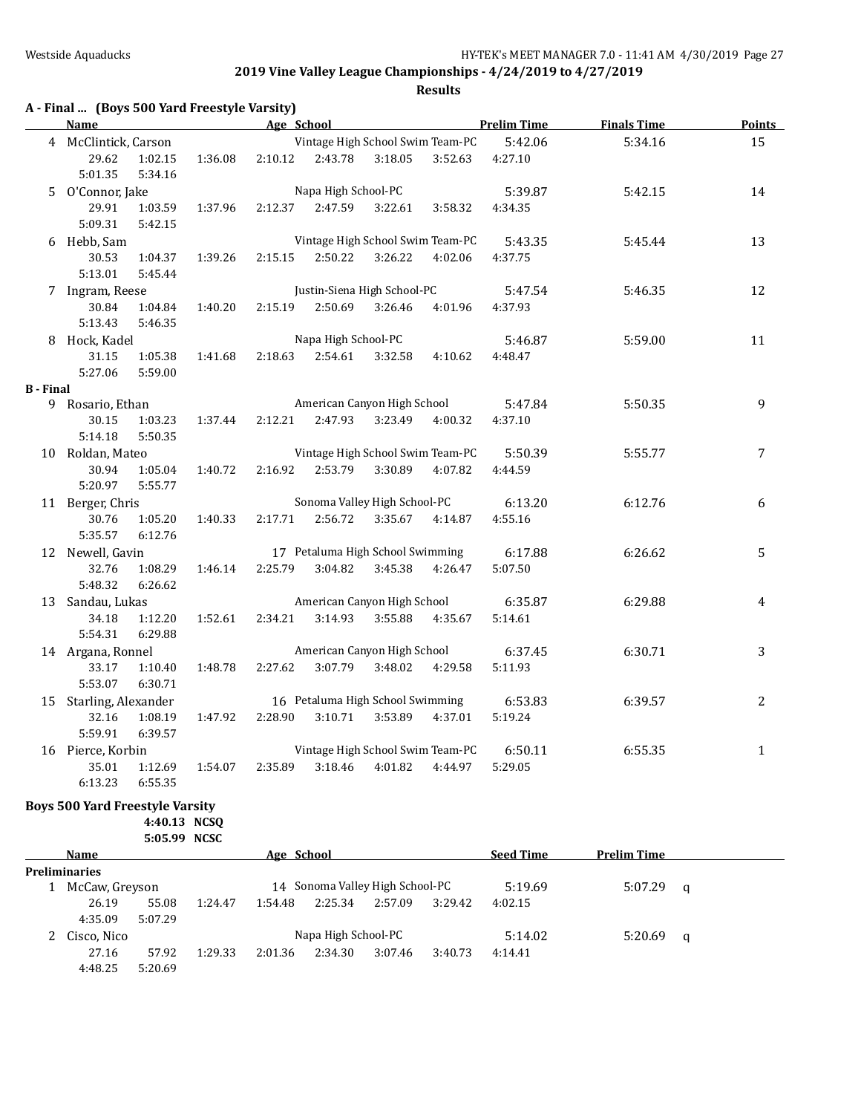**Results**

|                  | A - Final  (Boys 500 Yard Freestyle Varsity) |                    |         |                     |                                  |         |         |                    |                    |               |
|------------------|----------------------------------------------|--------------------|---------|---------------------|----------------------------------|---------|---------|--------------------|--------------------|---------------|
|                  | Name                                         |                    |         |                     | <b>Example 2018</b> Age School   |         |         | <b>Prelim Time</b> | <b>Finals Time</b> | <b>Points</b> |
|                  | 4 McClintick, Carson                         |                    |         |                     | Vintage High School Swim Team-PC |         |         | 5:42.06            | 5:34.16            | 15            |
|                  | 29.62<br>5:01.35                             | 1:02.15<br>5:34.16 | 1:36.08 | 2:10.12             | 2:43.78                          | 3:18.05 | 3:52.63 | 4:27.10            |                    |               |
|                  | 5 O'Connor, Jake                             |                    |         |                     | Napa High School-PC              |         |         | 5:39.87            | 5:42.15            | 14            |
|                  | 29.91<br>5:09.31                             | 1:03.59<br>5:42.15 | 1:37.96 | 2:12.37             | 2:47.59                          | 3:22.61 | 3:58.32 | 4:34.35            |                    |               |
|                  | 6 Hebb, Sam                                  |                    |         |                     | Vintage High School Swim Team-PC |         |         | 5:43.35            | 5:45.44            | 13            |
|                  | 30.53                                        | 1:04.37            | 1:39.26 | 2:15.15             | 2:50.22                          | 3:26.22 | 4:02.06 | 4:37.75            |                    |               |
|                  | 5:13.01                                      | 5:45.44            |         |                     |                                  |         |         |                    |                    |               |
|                  | 7 Ingram, Reese                              |                    |         |                     | Justin-Siena High School-PC      |         |         | 5:47.54            | 5:46.35            | 12            |
|                  | 30.84                                        | 1:04.84            | 1:40.20 | 2:15.19             | 2:50.69                          | 3:26.46 | 4:01.96 | 4:37.93            |                    |               |
|                  | 5:13.43                                      | 5:46.35            |         |                     |                                  |         |         |                    |                    |               |
|                  | 8 Hock, Kadel                                |                    |         | Napa High School-PC |                                  |         |         | 5:46.87            | 5:59.00            | 11            |
|                  | 31.15                                        | 1:05.38            | 1:41.68 | 2:18.63             | 2:54.61                          | 3:32.58 | 4:10.62 | 4:48.47            |                    |               |
|                  | 5:27.06                                      | 5:59.00            |         |                     |                                  |         |         |                    |                    |               |
| <b>B</b> - Final |                                              |                    |         |                     |                                  |         |         |                    |                    |               |
|                  | 9 Rosario, Ethan                             |                    |         |                     | American Canyon High School      |         |         | 5:47.84            | 5:50.35            | 9             |
|                  | 30.15<br>5:14.18                             | 1:03.23<br>5:50.35 | 1:37.44 | 2:12.21             | 2:47.93                          | 3:23.49 | 4:00.32 | 4:37.10            |                    |               |
|                  | 10 Roldan, Mateo                             |                    |         |                     | Vintage High School Swim Team-PC |         |         | 5:50.39            | 5:55.77            | 7             |
|                  | 30.94<br>5:20.97                             | 1:05.04<br>5:55.77 | 1:40.72 | 2:16.92             | 2:53.79                          | 3:30.89 | 4:07.82 | 4:44.59            |                    |               |
|                  | 11 Berger, Chris                             |                    |         |                     | Sonoma Valley High School-PC     |         |         | 6:13.20            | 6:12.76            | 6             |
|                  | 30.76                                        | 1:05.20            | 1:40.33 | 2:17.71             | 2:56.72                          | 3:35.67 | 4:14.87 | 4:55.16            |                    |               |
|                  | 5:35.57                                      | 6:12.76            |         |                     |                                  |         |         |                    |                    |               |
|                  | 12 Newell, Gavin                             |                    |         |                     | 17 Petaluma High School Swimming |         |         | 6:17.88            | 6:26.62            | 5             |
|                  | 32.76                                        | 1:08.29            | 1:46.14 | 2:25.79             | 3:04.82                          | 3:45.38 | 4:26.47 | 5:07.50            |                    |               |
|                  | 5:48.32                                      | 6:26.62            |         |                     |                                  |         |         |                    |                    |               |
|                  | 13 Sandau, Lukas                             |                    |         |                     | American Canyon High School      |         |         | 6:35.87            | 6:29.88            | 4             |
|                  | 34.18                                        | 1:12.20            | 1:52.61 | 2:34.21             | 3:14.93                          | 3:55.88 | 4:35.67 | 5:14.61            |                    |               |
|                  | 5:54.31                                      | 6:29.88            |         |                     |                                  |         |         |                    |                    |               |
|                  | 14 Argana, Ronnel                            |                    |         |                     | American Canyon High School      |         |         | 6:37.45            | 6:30.71            | 3             |
|                  | 33.17                                        | 1:10.40            | 1:48.78 | 2:27.62             | 3:07.79                          | 3:48.02 | 4:29.58 | 5:11.93            |                    |               |
|                  | 5:53.07                                      | 6:30.71            |         |                     |                                  |         |         |                    |                    |               |
|                  | 15 Starling, Alexander                       |                    |         |                     | 16 Petaluma High School Swimming |         |         | 6:53.83            | 6:39.57            | 2             |
|                  | 32.16                                        | 1:08.19            | 1:47.92 | 2:28.90             | 3:10.71                          | 3:53.89 | 4:37.01 | 5:19.24            |                    |               |
|                  | 5:59.91                                      | 6:39.57            |         |                     |                                  |         |         |                    |                    |               |
|                  | 16 Pierce, Korbin                            |                    |         |                     | Vintage High School Swim Team-PC |         |         | 6:50.11            | 6:55.35            | $\mathbf{1}$  |
|                  | 35.01<br>6:13.23                             | 1:12.69<br>6:55.35 | 1:54.07 | 2:35.89             | 3:18.46                          | 4:01.82 | 4:44.97 | 5:29.05            |                    |               |

#### **Boys 500 Yard Freestyle Varsity**

**4:40.13 NCSQ**

|                      | 5:05.99 NCSC |         |            |                                 |         |         |                  |                    |   |
|----------------------|--------------|---------|------------|---------------------------------|---------|---------|------------------|--------------------|---|
| <b>Name</b>          |              |         | Age School |                                 |         |         | <b>Seed Time</b> | <b>Prelim Time</b> |   |
| <b>Preliminaries</b> |              |         |            |                                 |         |         |                  |                    |   |
| McCaw, Greyson       |              |         |            | 14 Sonoma Valley High School-PC |         |         | 5:19.69          | 5:07.29            | a |
| 26.19                | 55.08        | 1:24.47 | 1:54.48    | 2:25.34                         | 2:57.09 | 3:29.42 | 4:02.15          |                    |   |
| 4:35.09              | 5:07.29      |         |            |                                 |         |         |                  |                    |   |
| Cisco, Nico          |              |         |            | Napa High School-PC             |         |         | 5:14.02          | 5:20.69            | q |
| 27.16                | 57.92        | 1:29.33 | 2:01.36    | 2:34.30                         | 3:07.46 | 3:40.73 | 4:14.41          |                    |   |
| 4:48.25              | 5:20.69      |         |            |                                 |         |         |                  |                    |   |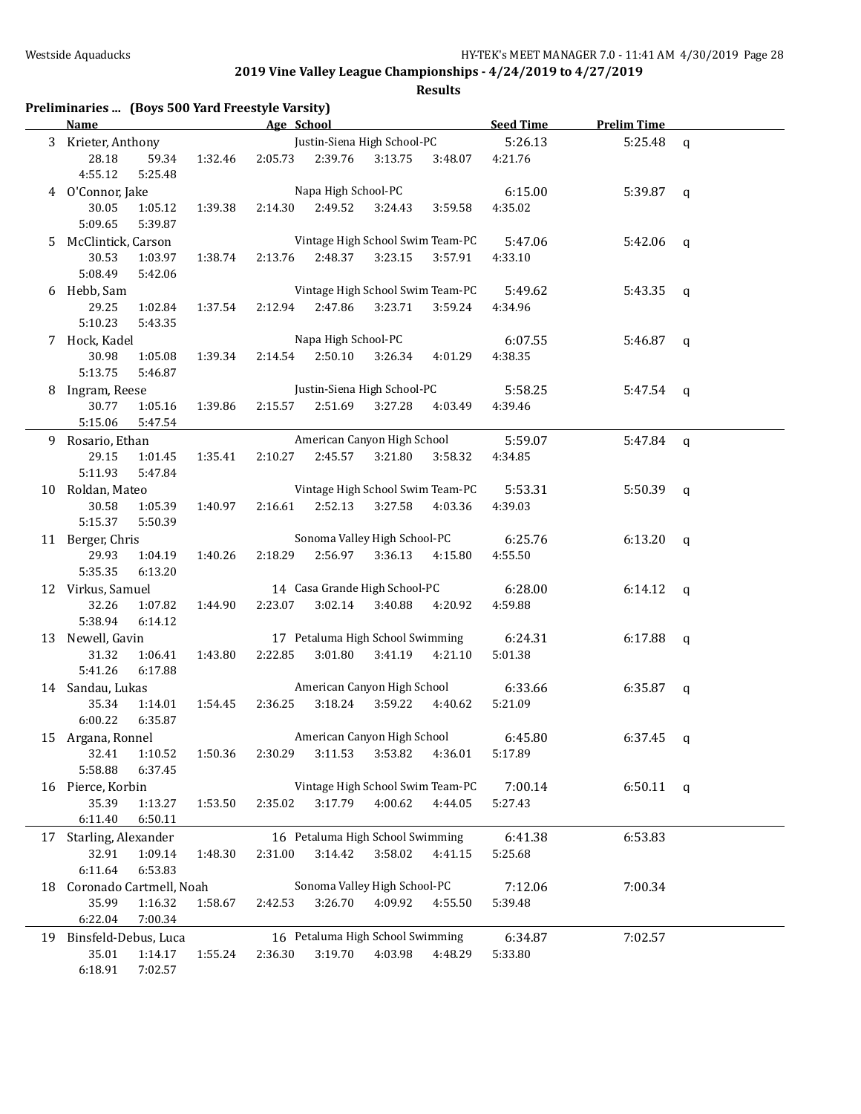|    | Preliminaries  (Boys 500 Yard Freestyle Varsity) |         |            |                                  |         |         |                  |                    |             |
|----|--------------------------------------------------|---------|------------|----------------------------------|---------|---------|------------------|--------------------|-------------|
|    | <b>Name</b>                                      |         | Age School |                                  |         |         | <b>Seed Time</b> | <b>Prelim Time</b> |             |
|    | 3 Krieter, Anthony                               |         |            | Justin-Siena High School-PC      |         |         | 5:26.13          | 5:25.48            | $\mathbf q$ |
|    | 28.18<br>59.34<br>4:55.12<br>5:25.48             | 1:32.46 | 2:05.73    | 2:39.76                          | 3:13.75 | 3:48.07 | 4:21.76          |                    |             |
|    | 4 O'Connor, Jake                                 |         |            | Napa High School-PC              |         |         | 6:15.00          | 5:39.87            | q           |
|    | 30.05<br>1:05.12<br>5:09.65<br>5:39.87           | 1:39.38 | 2:14.30    | 2:49.52                          | 3:24.43 | 3:59.58 | 4:35.02          |                    |             |
|    | 5 McClintick, Carson                             |         |            | Vintage High School Swim Team-PC |         |         | 5:47.06          | 5:42.06            | q           |
|    | 30.53<br>1:03.97                                 | 1:38.74 | 2:13.76    | 2:48.37                          | 3:23.15 | 3:57.91 | 4:33.10          |                    |             |
|    | 5:08.49<br>5:42.06                               |         |            |                                  |         |         |                  |                    |             |
|    | 6 Hebb, Sam                                      |         |            | Vintage High School Swim Team-PC |         |         | 5:49.62          | 5:43.35            | q           |
|    | 29.25<br>1:02.84                                 | 1:37.54 | 2:12.94    | 2:47.86                          | 3:23.71 | 3:59.24 | 4:34.96          |                    |             |
|    | 5:10.23<br>5:43.35                               |         |            |                                  |         |         |                  |                    |             |
|    | 7 Hock, Kadel                                    |         |            | Napa High School-PC              |         |         | 6:07.55          | 5:46.87            | q           |
|    | 30.98<br>1:05.08                                 | 1:39.34 | 2:14.54    | 2:50.10                          | 3:26.34 | 4:01.29 | 4:38.35          |                    |             |
|    | 5:13.75<br>5:46.87                               |         |            |                                  |         |         |                  |                    |             |
|    | 8 Ingram, Reese                                  |         |            | Justin-Siena High School-PC      |         |         | 5:58.25          | $5:47.54$ q        |             |
|    | 30.77<br>1:05.16                                 | 1:39.86 | 2:15.57    | 2:51.69                          | 3:27.28 | 4:03.49 | 4:39.46          |                    |             |
|    | 5:15.06<br>5:47.54                               |         |            |                                  |         |         |                  |                    |             |
|    | 9 Rosario, Ethan                                 |         |            | American Canyon High School      |         |         | 5:59.07          | $5:47.84$ q        |             |
|    | 29.15<br>1:01.45                                 | 1:35.41 | 2:10.27    | 2:45.57                          | 3:21.80 | 3:58.32 | 4:34.85          |                    |             |
|    | 5:11.93<br>5:47.84                               |         |            |                                  |         |         |                  |                    |             |
|    | 10 Roldan, Mateo                                 |         |            | Vintage High School Swim Team-PC |         |         | 5:53.31          | 5:50.39            | $\mathbf q$ |
|    | 30.58<br>1:05.39                                 | 1:40.97 | 2:16.61    | 2:52.13                          | 3:27.58 | 4:03.36 | 4:39.03          |                    |             |
|    | 5:15.37<br>5:50.39                               |         |            |                                  |         |         |                  |                    |             |
|    | 11 Berger, Chris                                 |         |            | Sonoma Valley High School-PC     |         |         | 6:25.76          | 6:13.20            | q           |
|    | 29.93<br>1:04.19                                 | 1:40.26 | 2:18.29    | 2:56.97                          | 3:36.13 | 4:15.80 | 4:55.50          |                    |             |
|    | 5:35.35<br>6:13.20                               |         |            |                                  |         |         |                  |                    |             |
|    | 12 Virkus, Samuel                                |         |            | 14 Casa Grande High School-PC    |         |         | 6:28.00          | 6:14.12            | q           |
|    | 32.26<br>1:07.82                                 | 1:44.90 | 2:23.07    | 3:02.14                          | 3:40.88 | 4:20.92 | 4:59.88          |                    |             |
|    | 5:38.94<br>6:14.12                               |         |            |                                  |         |         |                  |                    |             |
|    | 13 Newell, Gavin                                 |         |            | 17 Petaluma High School Swimming |         |         | 6:24.31          | 6:17.88            | $\mathbf q$ |
|    | 31.32<br>1:06.41                                 | 1:43.80 | 2:22.85    | 3:01.80                          | 3:41.19 | 4:21.10 | 5:01.38          |                    |             |
|    | 5:41.26<br>6:17.88                               |         |            |                                  |         |         |                  |                    |             |
|    | 14 Sandau, Lukas                                 |         |            | American Canyon High School      |         |         | 6:33.66          | 6:35.87            | q           |
|    | 35.34<br>1:14.01                                 | 1:54.45 | 2:36.25    | 3:18.24                          | 3:59.22 | 4:40.62 | 5:21.09          |                    |             |
|    | 6:00.22<br>6:35.87                               |         |            |                                  |         |         |                  |                    |             |
|    | 15 Argana, Ronnel                                |         |            | American Canyon High School      |         |         | 6:45.80          | $6:37.45$ q        |             |
|    | 32.41<br>1:10.52                                 | 1:50.36 | 2:30.29    | 3:11.53                          | 3:53.82 | 4:36.01 | 5:17.89          |                    |             |
|    | 5:58.88<br>6:37.45                               |         |            |                                  |         |         |                  |                    |             |
|    | 16 Pierce, Korbin                                |         |            | Vintage High School Swim Team-PC |         |         | 7:00.14          | $6:50.11$ q        |             |
|    | 35.39<br>1:13.27                                 | 1:53.50 | 2:35.02    | 3:17.79                          | 4:00.62 | 4:44.05 | 5:27.43          |                    |             |
|    | 6:11.40<br>6:50.11                               |         |            |                                  |         |         |                  |                    |             |
|    | 17 Starling, Alexander                           |         |            | 16 Petaluma High School Swimming |         |         | 6:41.38          | 6:53.83            |             |
|    | 32.91<br>1:09.14                                 | 1:48.30 | 2:31.00    | 3:14.42                          | 3:58.02 | 4:41.15 | 5:25.68          |                    |             |
|    | 6:11.64<br>6:53.83                               |         |            |                                  |         |         |                  |                    |             |
| 18 | Coronado Cartmell, Noah                          |         |            | Sonoma Valley High School-PC     |         |         | 7:12.06          | 7:00.34            |             |
|    | 35.99<br>1:16.32                                 | 1:58.67 | 2:42.53    | 3:26.70                          | 4:09.92 | 4:55.50 | 5:39.48          |                    |             |
|    | 6:22.04<br>7:00.34                               |         |            |                                  |         |         |                  |                    |             |
|    | 19 Binsfeld-Debus, Luca                          |         |            | 16 Petaluma High School Swimming |         |         | 6:34.87          | 7:02.57            |             |
|    | 35.01<br>1:14.17                                 | 1:55.24 | 2:36.30    | 3:19.70                          | 4:03.98 | 4:48.29 | 5:33.80          |                    |             |
|    | 6:18.91<br>7:02.57                               |         |            |                                  |         |         |                  |                    |             |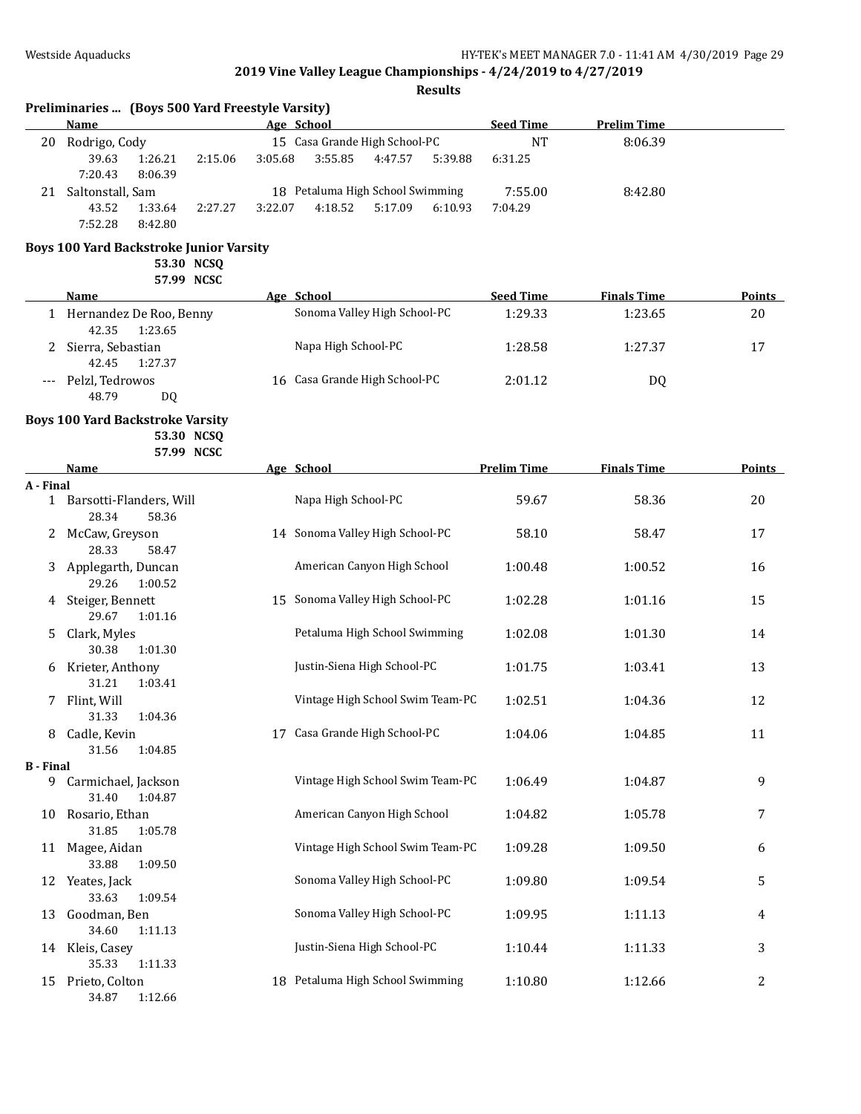|                  | <b>Name</b>                                           |         | Age School                       | <b>Seed Time</b>   | <b>Prelim Time</b> |                |
|------------------|-------------------------------------------------------|---------|----------------------------------|--------------------|--------------------|----------------|
| 20               | Rodrigo, Cody                                         |         | 15 Casa Grande High School-PC    | <b>NT</b>          | 8:06.39            |                |
|                  | 39.63<br>1:26.21<br>2:15.06<br>7:20.43<br>8:06.39     | 3:05.68 | 3:55.85<br>4:47.57<br>5:39.88    | 6:31.25            |                    |                |
|                  | 21 Saltonstall, Sam                                   |         | 18 Petaluma High School Swimming | 7:55.00            | 8:42.80            |                |
|                  | 43.52<br>1:33.64<br>2:27.27<br>7:52.28<br>8:42.80     | 3:22.07 | 4:18.52<br>5:17.09<br>6:10.93    | 7:04.29            |                    |                |
|                  | <b>Boys 100 Yard Backstroke Junior Varsity</b>        |         |                                  |                    |                    |                |
|                  | 53.30 NCSQ                                            |         |                                  |                    |                    |                |
|                  | 57.99 NCSC                                            |         |                                  |                    |                    |                |
|                  | Name                                                  |         | Age School                       | <b>Seed Time</b>   | <b>Finals Time</b> | Points         |
|                  | 1 Hernandez De Roo, Benny<br>42.35<br>1:23.65         |         | Sonoma Valley High School-PC     | 1:29.33            | 1:23.65            | 20             |
|                  | Sierra, Sebastian<br>42.45<br>1:27.37                 |         | Napa High School-PC              | 1:28.58            | 1:27.37            | 17             |
|                  | Pelzl, Tedrowos<br>48.79<br>DQ                        |         | 16 Casa Grande High School-PC    | 2:01.12            | DQ                 |                |
|                  | <b>Boys 100 Yard Backstroke Varsity</b><br>53.30 NCSQ |         |                                  |                    |                    |                |
|                  | 57.99 NCSC<br>Name                                    |         | Age School                       | <b>Prelim Time</b> | <b>Finals Time</b> | Points         |
| A - Final        |                                                       |         |                                  |                    |                    |                |
|                  | 1 Barsotti-Flanders, Will<br>28.34<br>58.36           |         | Napa High School-PC              | 59.67              | 58.36              | 20             |
|                  | 2 McCaw, Greyson<br>28.33<br>58.47                    |         | 14 Sonoma Valley High School-PC  | 58.10              | 58.47              | 17             |
| 3                | Applegarth, Duncan<br>29.26<br>1:00.52                |         | American Canyon High School      | 1:00.48            | 1:00.52            | 16             |
| 4                | Steiger, Bennett<br>29.67<br>1:01.16                  |         | 15 Sonoma Valley High School-PC  | 1:02.28            | 1:01.16            | 15             |
| 5.               | Clark, Myles<br>30.38<br>1:01.30                      |         | Petaluma High School Swimming    | 1:02.08            | 1:01.30            | 14             |
| 6                | Krieter, Anthony<br>31.21<br>1:03.41                  |         | Justin-Siena High School-PC      | 1:01.75            | 1:03.41            | 13             |
| 7.               | Flint, Will<br>31.33<br>1:04.36                       |         | Vintage High School Swim Team-PC | 1:02.51            | 1:04.36            | 12             |
|                  | 8 Cadle, Kevin<br>31.56<br>1:04.85                    |         | 17 Casa Grande High School-PC    | 1:04.06            | 1:04.85            | 11             |
| <b>B</b> - Final |                                                       |         |                                  |                    |                    |                |
|                  | 9 Carmichael, Jackson<br>31.40<br>1:04.87             |         | Vintage High School Swim Team-PC | 1:06.49            | 1:04.87            | 9              |
| 10               | Rosario, Ethan<br>31.85<br>1:05.78                    |         | American Canyon High School      | 1:04.82            | 1:05.78            | 7              |
| 11               | Magee, Aidan<br>33.88<br>1:09.50                      |         | Vintage High School Swim Team-PC | 1:09.28            | 1:09.50            | 6              |
| 12               | Yeates, Jack<br>33.63<br>1:09.54                      |         | Sonoma Valley High School-PC     | 1:09.80            | 1:09.54            | 5              |
| 13               | Goodman, Ben<br>34.60<br>1:11.13                      |         | Sonoma Valley High School-PC     | 1:09.95            | 1:11.13            | 4              |
| 14               | Kleis, Casey<br>35.33<br>1:11.33                      |         | Justin-Siena High School-PC      | 1:10.44            | 1:11.33            | 3              |
| 15               | Prieto, Colton<br>34.87<br>1:12.66                    |         | 18 Petaluma High School Swimming | 1:10.80            | 1:12.66            | $\overline{c}$ |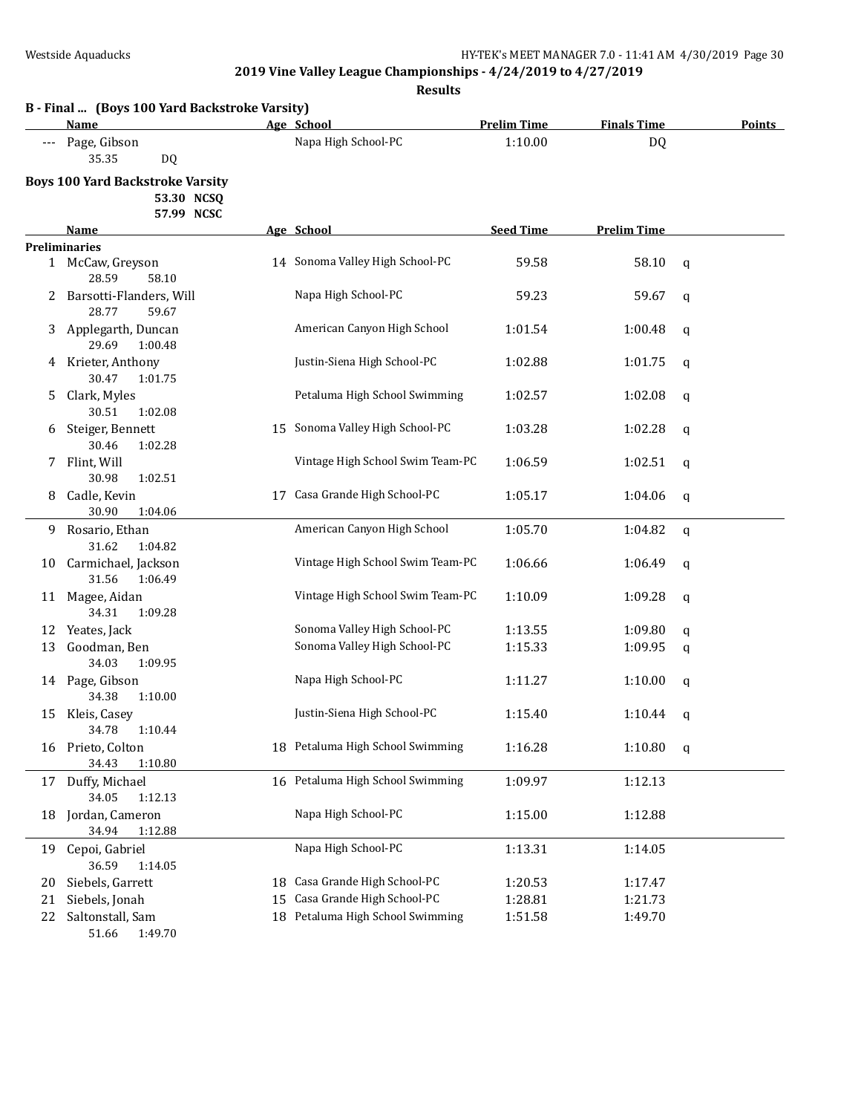**Results**

|                | B - Final  (Boys 100 Yard Backstroke Varsity)<br>Name               |          | Age School                                                                                   | <b>Prelim Time</b>            | <b>Finals Time</b>            | <b>Points</b> |
|----------------|---------------------------------------------------------------------|----------|----------------------------------------------------------------------------------------------|-------------------------------|-------------------------------|---------------|
|                | Page, Gibson                                                        |          | Napa High School-PC                                                                          | 1:10.00                       | <b>DQ</b>                     |               |
|                | 35.35<br>DQ.                                                        |          |                                                                                              |                               |                               |               |
|                | <b>Boys 100 Yard Backstroke Varsity</b><br>53.30 NCSQ<br>57.99 NCSC |          |                                                                                              |                               |                               |               |
|                | Name                                                                |          | Age School                                                                                   | <b>Seed Time</b>              | <b>Prelim Time</b>            |               |
|                | <b>Preliminaries</b>                                                |          |                                                                                              |                               |                               |               |
|                | 1 McCaw, Greyson<br>28.59<br>58.10                                  |          | 14 Sonoma Valley High School-PC                                                              | 59.58                         | 58.10                         | $\mathbf q$   |
|                | 2 Barsotti-Flanders, Will<br>28.77<br>59.67                         |          | Napa High School-PC                                                                          | 59.23                         | 59.67                         | q             |
|                | 3 Applegarth, Duncan<br>29.69<br>1:00.48                            |          | American Canyon High School                                                                  | 1:01.54                       | 1:00.48                       | q             |
|                | 4 Krieter, Anthony<br>30.47<br>1:01.75                              |          | Justin-Siena High School-PC                                                                  | 1:02.88                       | 1:01.75                       | q             |
| 5              | Clark, Myles<br>30.51<br>1:02.08                                    |          | Petaluma High School Swimming                                                                | 1:02.57                       | 1:02.08                       | q             |
| 6              | Steiger, Bennett<br>30.46<br>1:02.28                                |          | 15 Sonoma Valley High School-PC                                                              | 1:03.28                       | 1:02.28                       | q             |
| 7.             | Flint, Will<br>30.98<br>1:02.51                                     |          | Vintage High School Swim Team-PC                                                             | 1:06.59                       | 1:02.51                       | q             |
| 8              | Cadle, Kevin<br>30.90<br>1:04.06                                    |          | 17 Casa Grande High School-PC                                                                | 1:05.17                       | 1:04.06                       | q             |
| 9              | Rosario, Ethan<br>31.62<br>1:04.82                                  |          | American Canyon High School                                                                  | 1:05.70                       | 1:04.82                       | q             |
| 10             | Carmichael, Jackson<br>31.56                                        |          | Vintage High School Swim Team-PC                                                             | 1:06.66                       | 1:06.49                       | q             |
| 11             | 1:06.49<br>Magee, Aidan<br>34.31<br>1:09.28                         |          | Vintage High School Swim Team-PC                                                             | 1:10.09                       | 1:09.28                       | q             |
| 12             | Yeates, Jack                                                        |          | Sonoma Valley High School-PC                                                                 | 1:13.55                       | 1:09.80                       | q             |
| 13             | Goodman, Ben                                                        |          | Sonoma Valley High School-PC                                                                 | 1:15.33                       | 1:09.95                       | q             |
|                | 34.03<br>1:09.95                                                    |          |                                                                                              |                               |                               |               |
|                | 14 Page, Gibson<br>34.38<br>1:10.00                                 |          | Napa High School-PC                                                                          | 1:11.27                       | 1:10.00                       | q             |
| 15             | Kleis, Casey<br>34.78  1:10.44                                      |          | Justin-Siena High School-PC                                                                  | 1:15.40                       | 1:10.44                       | q             |
|                | 16 Prieto, Colton<br>34.43<br>1:10.80                               |          | 18 Petaluma High School Swimming                                                             | 1:16.28                       | 1:10.80                       | q             |
| 17             | Duffy, Michael<br>34.05<br>1:12.13                                  |          | 16 Petaluma High School Swimming                                                             | 1:09.97                       | 1:12.13                       |               |
| 18             | Jordan, Cameron<br>34.94<br>1:12.88                                 |          | Napa High School-PC                                                                          | 1:15.00                       | 1:12.88                       |               |
| 19             | Cepoi, Gabriel                                                      |          | Napa High School-PC                                                                          | 1:13.31                       | 1:14.05                       |               |
|                | 36.59<br>1:14.05                                                    |          |                                                                                              |                               |                               |               |
|                |                                                                     |          |                                                                                              |                               |                               |               |
|                |                                                                     |          |                                                                                              |                               |                               |               |
| 20<br>21<br>22 | Siebels, Garrett<br>Siebels, Jonah<br>Saltonstall, Sam              | 18<br>15 | Casa Grande High School-PC<br>Casa Grande High School-PC<br>18 Petaluma High School Swimming | 1:20.53<br>1:28.81<br>1:51.58 | 1:17.47<br>1:21.73<br>1:49.70 |               |

51.66 1:49.70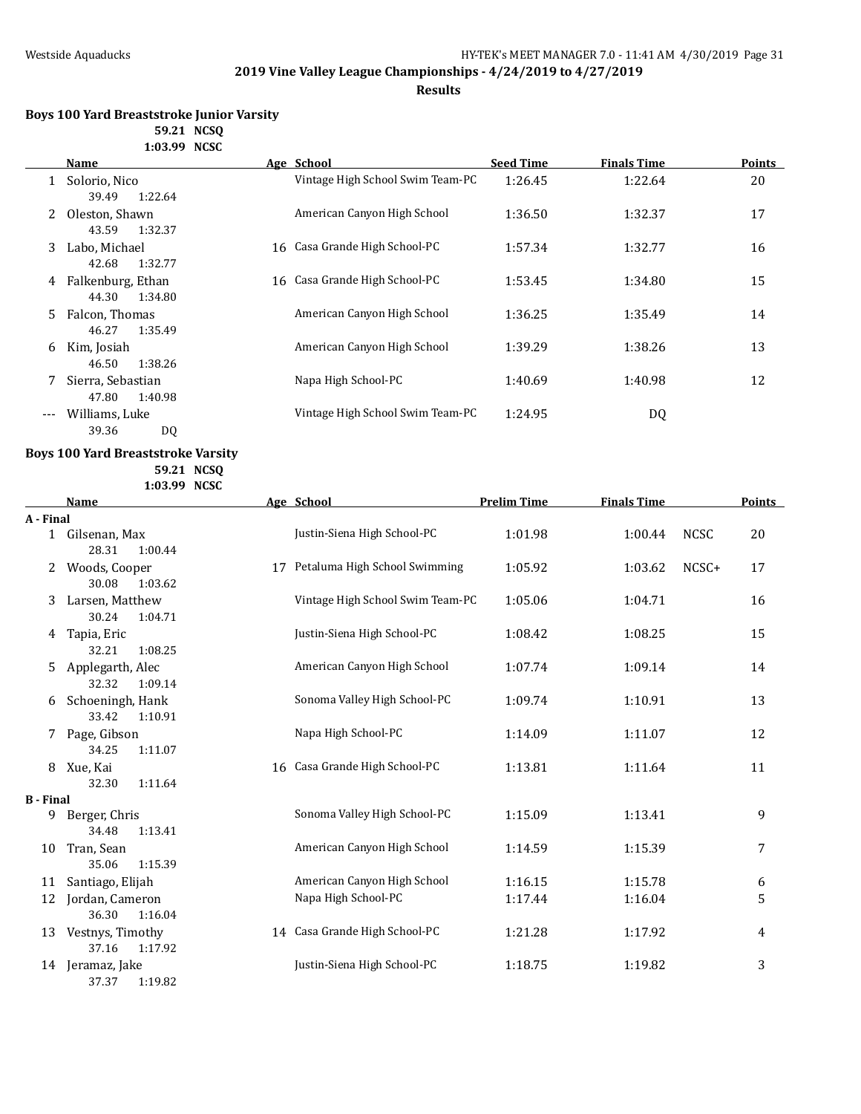**Results**

| <b>Boys 100 Yard Breaststroke Junior Varsity</b> |  |
|--------------------------------------------------|--|
| 59.21 NCSO                                       |  |
| 1:03.99 NCSC                                     |  |

|                     | Name                                  | Age School                       | <b>Seed Time</b> | <b>Finals Time</b> | <b>Points</b> |
|---------------------|---------------------------------------|----------------------------------|------------------|--------------------|---------------|
|                     | Solorio, Nico<br>1:22.64<br>39.49     | Vintage High School Swim Team-PC | 1:26.45          | 1:22.64            | 20            |
|                     | Oleston, Shawn<br>43.59<br>1:32.37    | American Canyon High School      | 1:36.50          | 1:32.37            | 17            |
| 3                   | Labo, Michael<br>42.68<br>1:32.77     | 16 Casa Grande High School-PC    | 1:57.34          | 1:32.77            | 16            |
| 4                   | Falkenburg, Ethan<br>44.30<br>1:34.80 | 16 Casa Grande High School-PC    | 1:53.45          | 1:34.80            | 15            |
| 5.                  | Falcon, Thomas<br>46.27<br>1:35.49    | American Canyon High School      | 1:36.25          | 1:35.49            | 14            |
| 6                   | Kim, Josiah<br>1:38.26<br>46.50       | American Canyon High School      | 1:39.29          | 1:38.26            | 13            |
|                     | Sierra, Sebastian<br>47.80<br>1:40.98 | Napa High School-PC              | 1:40.69          | 1:40.98            | 12            |
| $\qquad \qquad - -$ | Williams, Luke<br>39.36<br>DQ         | Vintage High School Swim Team-PC | 1:24.95          | DQ                 |               |

### **Boys 100 Yard Breaststroke Varsity**

**59.21 NCSQ 1:03.99 NCSC**

|                  | <b>Name</b>                          |    | Age School                       | <b>Prelim Time</b> | <b>Finals Time</b> |             | <b>Points</b> |
|------------------|--------------------------------------|----|----------------------------------|--------------------|--------------------|-------------|---------------|
| A - Final        |                                      |    |                                  |                    |                    |             |               |
| $\mathbf{1}$     | Gilsenan, Max<br>28.31<br>1:00.44    |    | Justin-Siena High School-PC      | 1:01.98            | 1:00.44            | <b>NCSC</b> | 20            |
| 2                | Woods, Cooper<br>30.08<br>1:03.62    | 17 | Petaluma High School Swimming    | 1:05.92            | 1:03.62            | NCSC+       | 17            |
| 3                | Larsen, Matthew<br>30.24<br>1:04.71  |    | Vintage High School Swim Team-PC | 1:05.06            | 1:04.71            |             | 16            |
| 4                | Tapia, Eric<br>32.21<br>1:08.25      |    | Justin-Siena High School-PC      | 1:08.42            | 1:08.25            |             | 15            |
| 5                | Applegarth, Alec<br>32.32<br>1:09.14 |    | American Canyon High School      | 1:07.74            | 1:09.14            |             | 14            |
| 6                | Schoeningh, Hank<br>33.42<br>1:10.91 |    | Sonoma Valley High School-PC     | 1:09.74            | 1:10.91            |             | 13            |
| 7                | Page, Gibson<br>34.25<br>1:11.07     |    | Napa High School-PC              | 1:14.09            | 1:11.07            |             | 12            |
| 8                | Xue, Kai<br>32.30<br>1:11.64         |    | 16 Casa Grande High School-PC    | 1:13.81            | 1:11.64            |             | 11            |
| <b>B</b> - Final |                                      |    |                                  |                    |                    |             |               |
| 9                | Berger, Chris<br>34.48<br>1:13.41    |    | Sonoma Valley High School-PC     | 1:15.09            | 1:13.41            |             | 9             |
| 10               | Tran, Sean<br>35.06<br>1:15.39       |    | American Canyon High School      | 1:14.59            | 1:15.39            |             | 7             |
| 11               | Santiago, Elijah                     |    | American Canyon High School      | 1:16.15            | 1:15.78            |             | 6             |
| 12               | Jordan, Cameron<br>36.30<br>1:16.04  |    | Napa High School-PC              | 1:17.44            | 1:16.04            |             | 5             |
| 13               | Vestnys, Timothy<br>37.16<br>1:17.92 |    | 14 Casa Grande High School-PC    | 1:21.28            | 1:17.92            |             | 4             |
| 14               | Jeramaz, Jake<br>37.37<br>1:19.82    |    | Justin-Siena High School-PC      | 1:18.75            | 1:19.82            |             | 3             |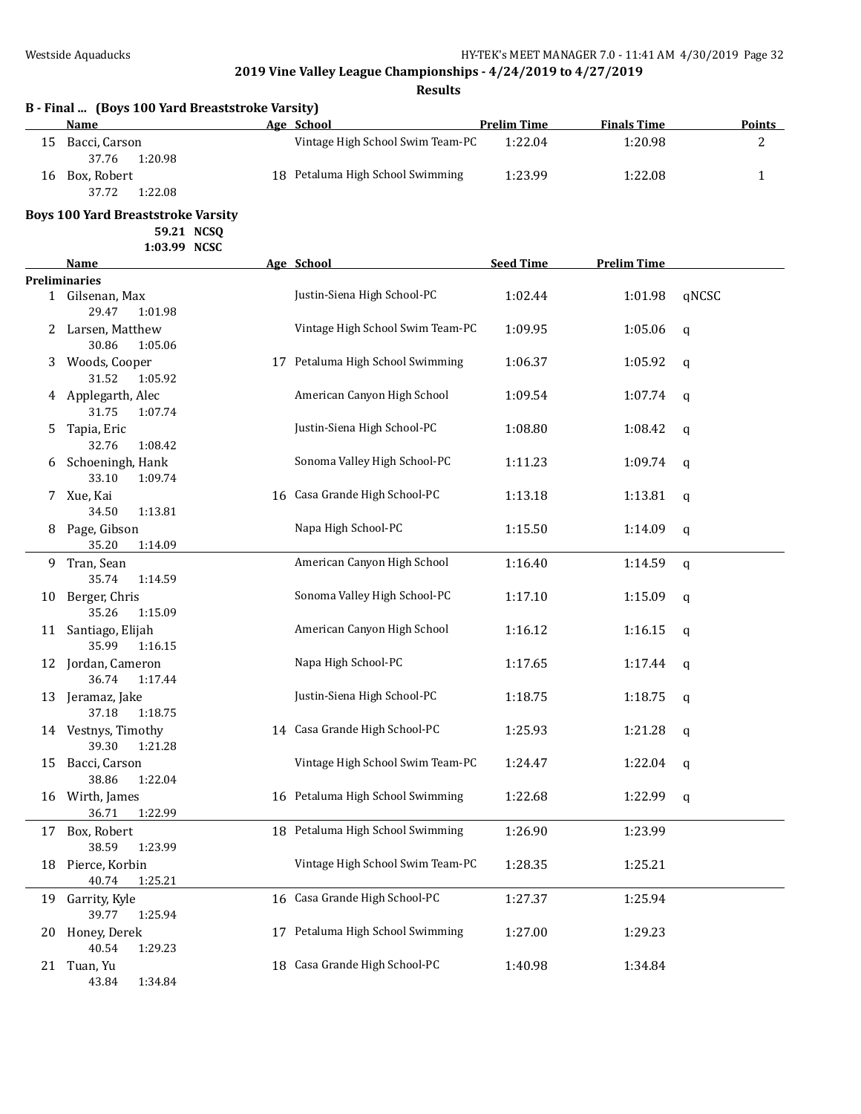|    | B - Final  (Boys 100 Yard Breaststroke Varsity)<br>Name |    | Age School                       | <b>Prelim Time</b> | <b>Finals Time</b> | <b>Points</b> |
|----|---------------------------------------------------------|----|----------------------------------|--------------------|--------------------|---------------|
| 15 | Bacci, Carson<br>37.76<br>1:20.98                       |    | Vintage High School Swim Team-PC | 1:22.04            | 1:20.98            | 2             |
| 16 | Box, Robert<br>37.72<br>1:22.08                         |    | 18 Petaluma High School Swimming | 1:23.99            | 1:22.08            | $\mathbf{1}$  |
|    | <b>Boys 100 Yard Breaststroke Varsity</b><br>59.21 NCSQ |    |                                  |                    |                    |               |
|    | 1:03.99 NCSC                                            |    |                                  |                    |                    |               |
|    | Name                                                    |    | Age School                       | <b>Seed Time</b>   | <b>Prelim Time</b> |               |
|    | <b>Preliminaries</b><br>1 Gilsenan, Max                 |    | Justin-Siena High School-PC      | 1:02.44            | 1:01.98            | qNCSC         |
|    | 29.47<br>1:01.98<br>Larsen, Matthew                     |    | Vintage High School Swim Team-PC | 1:09.95            | 1:05.06            | $\mathbf q$   |
|    | 30.86<br>1:05.06                                        |    |                                  |                    |                    |               |
| 3  | Woods, Cooper<br>31.52<br>1:05.92                       |    | 17 Petaluma High School Swimming | 1:06.37            | 1:05.92            | q             |
|    | Applegarth, Alec<br>31.75<br>1:07.74                    |    | American Canyon High School      | 1:09.54            | 1:07.74            | q             |
| 5  | Tapia, Eric                                             |    | Justin-Siena High School-PC      | 1:08.80            | 1:08.42            | q             |
| 6  | 32.76<br>1:08.42<br>Schoeningh, Hank                    |    | Sonoma Valley High School-PC     | 1:11.23            | 1:09.74            | q             |
| 7. | 33.10<br>1:09.74<br>Xue, Kai                            |    | 16 Casa Grande High School-PC    | 1:13.18            | 1:13.81            | q             |
| 8  | 34.50<br>1:13.81<br>Page, Gibson                        |    | Napa High School-PC              | 1:15.50            | 1:14.09            | q             |
| 9. | 35.20<br>1:14.09<br>Tran, Sean                          |    | American Canyon High School      | 1:16.40            | 1:14.59            | q             |
|    | 35.74<br>1:14.59                                        |    |                                  |                    |                    |               |
| 10 | Berger, Chris<br>35.26<br>1:15.09                       |    | Sonoma Valley High School-PC     | 1:17.10            | 1:15.09            | q             |
|    | 11 Santiago, Elijah<br>35.99<br>1:16.15                 |    | American Canyon High School      | 1:16.12            | 1:16.15            | q             |
|    | 12 Jordan, Cameron<br>36.74<br>1:17.44                  |    | Napa High School-PC              | 1:17.65            | 1:17.44            | q             |
| 13 | Jeramaz, Jake<br>37.18<br>1:18.75                       |    | Justin-Siena High School-PC      | 1:18.75            | 1:18.75            | q             |
|    | 14 Vestnys, Timothy<br>39.30<br>1:21.28                 |    | 14 Casa Grande High School-PC    | 1:25.93            | 1:21.28 $q$        |               |
| 15 | Bacci, Carson                                           |    | Vintage High School Swim Team-PC | 1:24.47            | 1:22.04            | q             |
| 16 | 38.86<br>1:22.04<br>Wirth, James                        |    | 16 Petaluma High School Swimming | 1:22.68            | 1:22.99            | q             |
| 17 | 1:22.99<br>36.71<br>Box, Robert                         |    | 18 Petaluma High School Swimming | 1:26.90            | 1:23.99            |               |
| 18 | 38.59<br>1:23.99<br>Pierce, Korbin                      |    | Vintage High School Swim Team-PC | 1:28.35            | 1:25.21            |               |
| 19 | 40.74<br>1:25.21<br>Garrity, Kyle                       |    | 16 Casa Grande High School-PC    | 1:27.37            | 1:25.94            |               |
|    | 39.77<br>1:25.94                                        |    | Petaluma High School Swimming    |                    |                    |               |
| 20 | Honey, Derek<br>40.54<br>1:29.23                        | 17 |                                  | 1:27.00            | 1:29.23            |               |
| 21 | Tuan, Yu<br>43.84<br>1:34.84                            |    | 18 Casa Grande High School-PC    | 1:40.98            | 1:34.84            |               |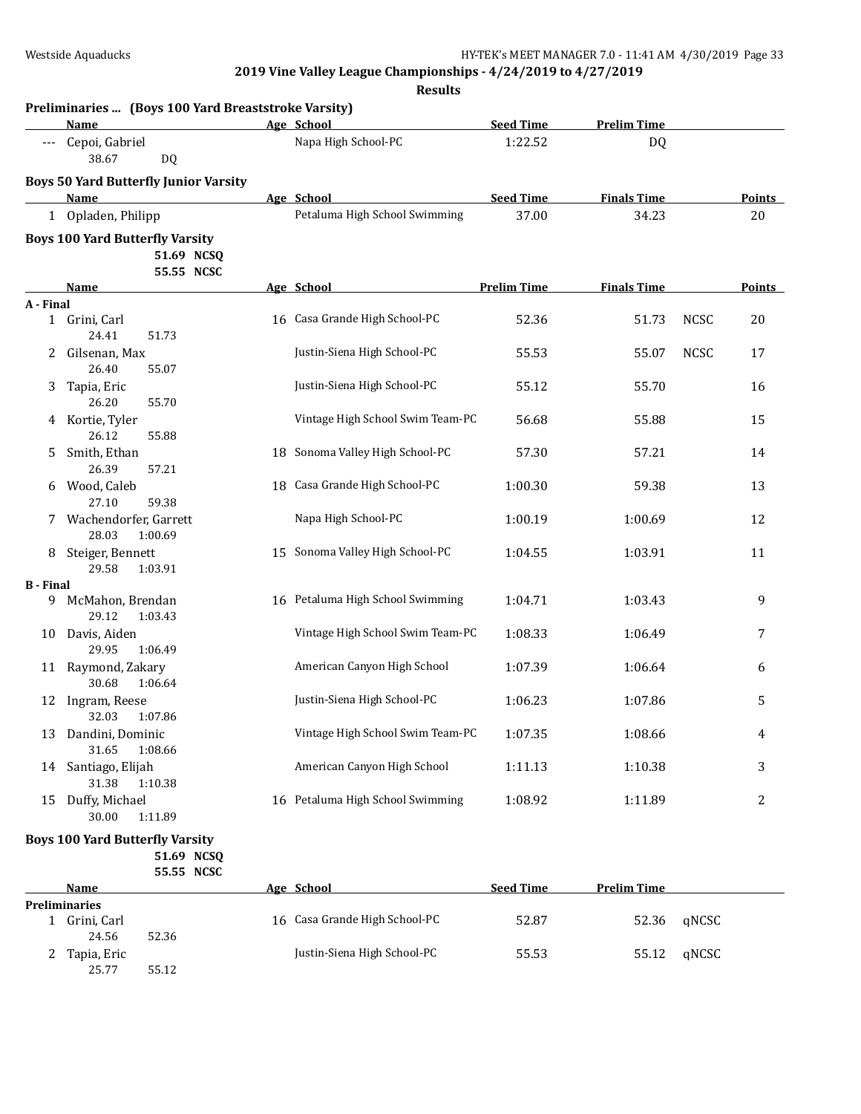**Results**

|                  | Name                                                               | Age School                       | <b>Seed Time</b>   | <b>Prelim Time</b> |             |               |
|------------------|--------------------------------------------------------------------|----------------------------------|--------------------|--------------------|-------------|---------------|
|                  | Cepoi, Gabriel<br>38.67<br>DQ                                      | Napa High School-PC              | 1:22.52            | DQ                 |             |               |
|                  | <b>Boys 50 Yard Butterfly Junior Varsity</b>                       |                                  |                    |                    |             |               |
|                  | Name                                                               | Age School                       | <b>Seed Time</b>   | <b>Finals Time</b> |             | <b>Points</b> |
|                  | 1 Opladen, Philipp                                                 | Petaluma High School Swimming    | 37.00              | 34.23              |             | 20            |
|                  | <b>Boys 100 Yard Butterfly Varsity</b><br>51.69 NCSQ<br>55.55 NCSC |                                  |                    |                    |             |               |
|                  | Name                                                               | Age School                       | <b>Prelim Time</b> | <b>Finals Time</b> |             | Points        |
| A - Final        |                                                                    |                                  |                    |                    |             |               |
|                  | 1 Grini, Carl<br>24.41                                             | 16 Casa Grande High School-PC    | 52.36              | 51.73              | <b>NCSC</b> | 20            |
| 2                | 51.73<br>Gilsenan, Max<br>26.40<br>55.07                           | Justin-Siena High School-PC      | 55.53              | 55.07              | <b>NCSC</b> | 17            |
| 3                | Tapia, Eric<br>26.20<br>55.70                                      | Justin-Siena High School-PC      | 55.12              | 55.70              |             | 16            |
| 4                | Kortie, Tyler<br>26.12<br>55.88                                    | Vintage High School Swim Team-PC | 56.68              | 55.88              |             | 15            |
| 5.               | Smith, Ethan<br>26.39<br>57.21                                     | 18 Sonoma Valley High School-PC  | 57.30              | 57.21              |             | 14            |
| 6                | Wood, Caleb<br>27.10<br>59.38                                      | 18 Casa Grande High School-PC    | 1:00.30            | 59.38              |             | 13            |
|                  | Wachendorfer, Garrett<br>28.03<br>1:00.69                          | Napa High School-PC              | 1:00.19            | 1:00.69            |             | 12            |
| 8                | Steiger, Bennett<br>29.58<br>1:03.91                               | 15 Sonoma Valley High School-PC  | 1:04.55            | 1:03.91            |             | 11            |
| <b>B</b> - Final |                                                                    |                                  |                    |                    |             |               |
| 9                | McMahon, Brendan<br>29.12<br>1:03.43                               | 16 Petaluma High School Swimming | 1:04.71            | 1:03.43            |             | 9             |
| 10               | Davis, Aiden<br>29.95<br>1:06.49                                   | Vintage High School Swim Team-PC | 1:08.33            | 1:06.49            |             | 7             |
|                  | 11 Raymond, Zakary<br>30.68<br>1:06.64                             | American Canyon High School      | 1:07.39            | 1:06.64            |             | 6             |
| 12               | Ingram, Reese<br>32.03<br>1:07.86                                  | Justin-Siena High School-PC      | 1:06.23            | 1:07.86            |             | 5             |
|                  | 13 Dandini, Dominic<br>1:08.66<br>31.65                            | Vintage High School Swim Team-PC | 1:07.35            | 1:08.66            |             |               |
|                  | 14 Santiago, Elijah<br>31.38<br>1:10.38                            | American Canyon High School      | 1:11.13            | 1:10.38            |             | 3             |
|                  | 15 Duffy, Michael<br>30.00<br>1:11.89                              | 16 Petaluma High School Swimming | 1:08.92            | 1:11.89            |             | 2             |
|                  | <b>Boys 100 Yard Butterfly Varsity</b>                             |                                  |                    |                    |             |               |

**51.69 NCSQ 55.55 NCSC**

|                      | <b>Name</b> |       | Age School                    | <b>Seed Time</b> | <b>Prelim Time</b> |       |
|----------------------|-------------|-------|-------------------------------|------------------|--------------------|-------|
| <b>Preliminaries</b> |             |       |                               |                  |                    |       |
|                      | Grini, Carl |       | 16 Casa Grande High School-PC | 52.87            | 52.36              | aNCSC |
|                      | 24.56       | 52.36 |                               |                  |                    |       |
|                      | Tapia, Eric |       | Justin-Siena High School-PC   | 55.53            | 55.12              | aNCSC |
|                      | 25.77       | 55.12 |                               |                  |                    |       |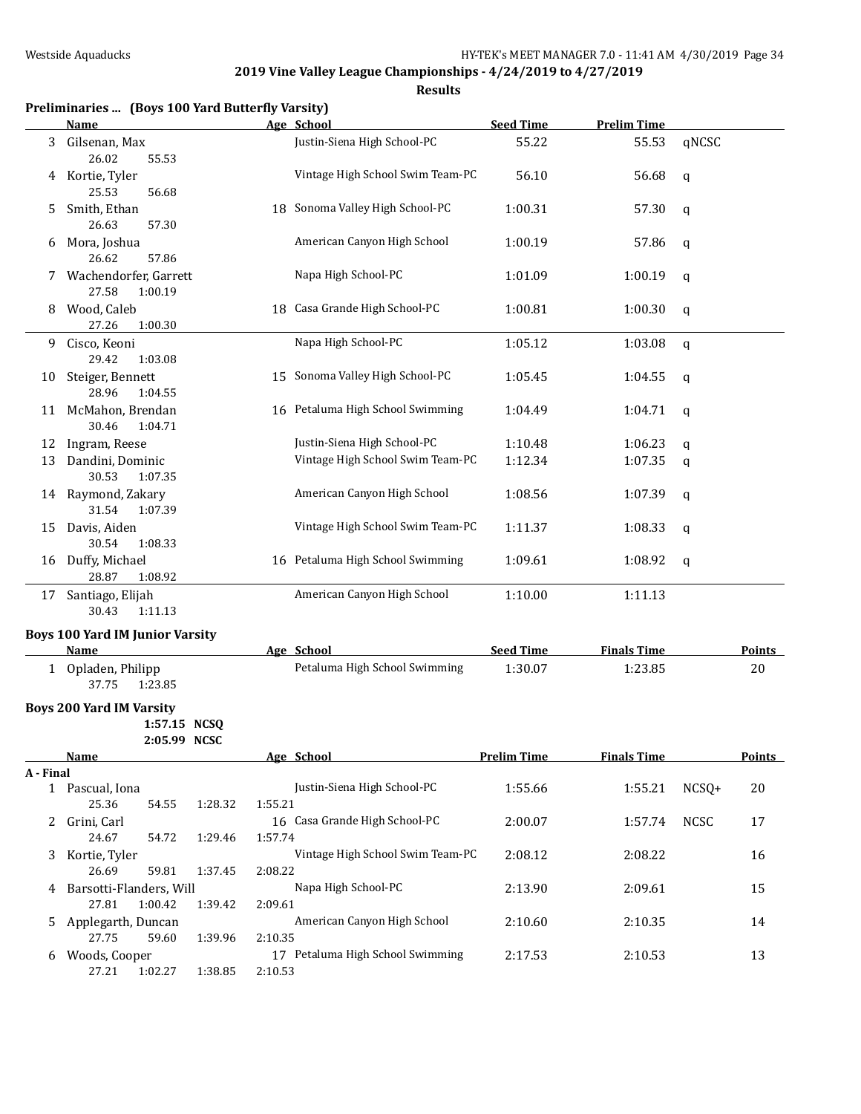|           | Preliminaries  (Boys 100 Yard Butterfly Varsity)       |         |                                  |                    |                    |             |               |
|-----------|--------------------------------------------------------|---------|----------------------------------|--------------------|--------------------|-------------|---------------|
|           | Name                                                   |         | Age School                       | <b>Seed Time</b>   | <b>Prelim Time</b> |             |               |
| 3         | Gilsenan, Max<br>26.02<br>55.53                        |         | Justin-Siena High School-PC      | 55.22              | 55.53              | qNCSC       |               |
| 4         | Kortie, Tyler<br>25.53<br>56.68                        |         | Vintage High School Swim Team-PC | 56.10              | 56.68              | q           |               |
| 5.        | Smith, Ethan<br>26.63<br>57.30                         |         | 18 Sonoma Valley High School-PC  | 1:00.31            | 57.30              | q           |               |
| 6         | Mora, Joshua<br>26.62<br>57.86                         |         | American Canyon High School      | 1:00.19            | 57.86              | q           |               |
| 7.        | Wachendorfer, Garrett<br>27.58<br>1:00.19              |         | Napa High School-PC              | 1:01.09            | 1:00.19            | q           |               |
| 8         | Wood, Caleb<br>27.26<br>1:00.30                        |         | 18 Casa Grande High School-PC    | 1:00.81            | 1:00.30            | q           |               |
| 9         | Cisco, Keoni<br>29.42<br>1:03.08                       |         | Napa High School-PC              | 1:05.12            | 1:03.08            | q           |               |
| 10        | Steiger, Bennett<br>28.96<br>1:04.55                   |         | 15 Sonoma Valley High School-PC  | 1:05.45            | 1:04.55            | q           |               |
|           | 11 McMahon, Brendan<br>30.46<br>1:04.71                |         | 16 Petaluma High School Swimming | 1:04.49            | 1:04.71            | q           |               |
| 12        | Ingram, Reese                                          |         | Justin-Siena High School-PC      | 1:10.48            | 1:06.23            | q           |               |
| 13        | Dandini, Dominic<br>30.53<br>1:07.35                   |         | Vintage High School Swim Team-PC | 1:12.34            | 1:07.35            | q           |               |
| 14        | Raymond, Zakary<br>31.54<br>1:07.39                    |         | American Canyon High School      | 1:08.56            | 1:07.39            | q           |               |
| 15        | Davis, Aiden<br>30.54<br>1:08.33                       |         | Vintage High School Swim Team-PC | 1:11.37            | 1:08.33            | q           |               |
| 16        | Duffy, Michael<br>28.87<br>1:08.92                     |         | 16 Petaluma High School Swimming | 1:09.61            | 1:08.92            | q           |               |
| 17        | Santiago, Elijah<br>30.43<br>1:11.13                   |         | American Canyon High School      | 1:10.00            | 1:11.13            |             |               |
|           | <b>Boys 100 Yard IM Junior Varsity</b>                 |         |                                  |                    |                    |             |               |
|           | <b>Name</b>                                            |         | Age School                       | <b>Seed Time</b>   | <b>Finals Time</b> |             | <b>Points</b> |
|           | 1 Opladen, Philipp<br>37.75<br>1:23.85                 |         | Petaluma High School Swimming    | 1:30.07            | 1:23.85            |             | 20            |
|           | <b>Boys 200 Yard IM Varsity</b><br>1:57.15 NCSQ        |         |                                  |                    |                    |             |               |
|           | 2:05.99 NCSC                                           |         |                                  |                    |                    |             |               |
|           | Name                                                   |         | Age School                       | <b>Prelim Time</b> | <b>Finals Time</b> |             | <b>Points</b> |
| A - Final |                                                        |         |                                  |                    |                    |             |               |
|           | 1 Pascual, Iona<br>25.36<br>54.55<br>1:28.32           | 1:55.21 | Justin-Siena High School-PC      | 1:55.66            | 1:55.21            | $NCSQ+$     | 20            |
| 2         | Grini, Carl<br>24.67<br>54.72<br>1:29.46               | 1:57.74 | 16 Casa Grande High School-PC    | 2:00.07            | 1:57.74            | <b>NCSC</b> | 17            |
| 3         | Kortie, Tyler<br>26.69<br>59.81<br>1:37.45             | 2:08.22 | Vintage High School Swim Team-PC | 2:08.12            | 2:08.22            |             | 16            |
| 4         | Barsotti-Flanders, Will<br>27.81<br>1:00.42<br>1:39.42 | 2:09.61 | Napa High School-PC              | 2:13.90            | 2:09.61            |             | 15            |
| 5.        | Applegarth, Duncan<br>27.75<br>59.60<br>1:39.96        | 2:10.35 | American Canyon High School      | 2:10.60            | 2:10.35            |             | 14            |
| 6         | Woods, Cooper<br>27.21<br>1:02.27<br>1:38.85           | 2:10.53 | 17 Petaluma High School Swimming | 2:17.53            | 2:10.53            |             | 13            |
|           |                                                        |         |                                  |                    |                    |             |               |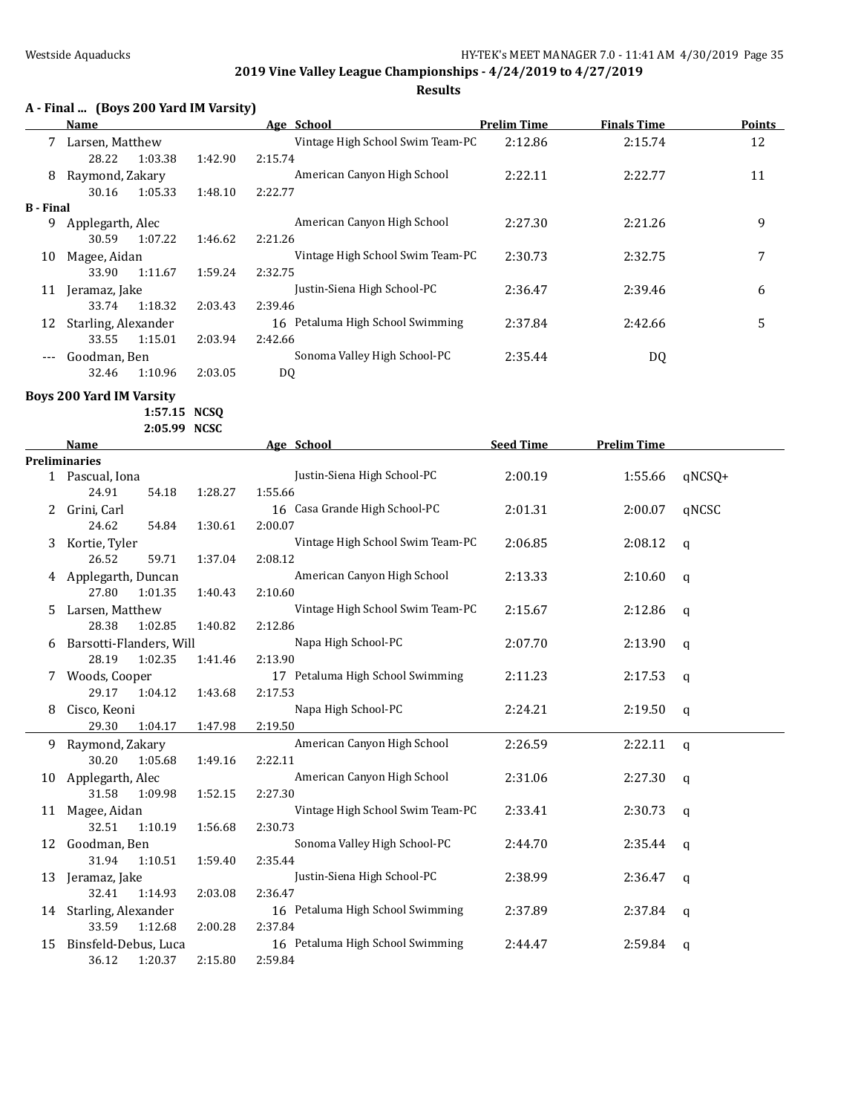**Results**

## **A - Final ... (Boys 200 Yard IM Varsity)**

|                  | <b>Name</b>         |         |         | Age School                       | <b>Prelim Time</b> | <b>Finals Time</b> | <b>Points</b> |
|------------------|---------------------|---------|---------|----------------------------------|--------------------|--------------------|---------------|
|                  | Larsen, Matthew     |         |         | Vintage High School Swim Team-PC | 2:12.86            | 2:15.74            | 12            |
|                  | 28.22               | 1:03.38 | 1:42.90 | 2:15.74                          |                    |                    |               |
| 8                | Raymond, Zakary     |         |         | American Canyon High School      | 2:22.11            | 2:22.77            | 11            |
|                  | 30.16               | 1:05.33 | 1:48.10 | 2:22.77                          |                    |                    |               |
| <b>B</b> - Final |                     |         |         |                                  |                    |                    |               |
| 9                | Applegarth, Alec    |         |         | American Canyon High School      | 2:27.30            | 2:21.26            | 9             |
|                  | 30.59               | 1:07.22 | 1:46.62 | 2:21.26                          |                    |                    |               |
| 10               | Magee, Aidan        |         |         | Vintage High School Swim Team-PC | 2:30.73            | 2:32.75            | 7             |
|                  | 33.90               | 1:11.67 | 1:59.24 | 2:32.75                          |                    |                    |               |
| 11               | Jeramaz, Jake       |         |         | Justin-Siena High School-PC      | 2:36.47            | 2:39.46            | 6             |
|                  | 33.74               | 1:18.32 | 2:03.43 | 2:39.46                          |                    |                    |               |
| 12               | Starling, Alexander |         |         | 16 Petaluma High School Swimming | 2:37.84            | 2:42.66            | 5             |
|                  | 33.55               | 1:15.01 | 2:03.94 | 2:42.66                          |                    |                    |               |
| $---$            | Goodman. Ben        |         |         | Sonoma Valley High School-PC     | 2:35.44            | DQ                 |               |
|                  | 32.46               | 1:10.96 | 2:03.05 | DQ                               |                    |                    |               |

**Boys 200 Yard IM Varsity**

**1:57.15 NCSQ**

**2:05.99 NCSC**

|    | <b>Name</b>             |         | Age School                       | <b>Seed Time</b> | <b>Prelim Time</b> |        |
|----|-------------------------|---------|----------------------------------|------------------|--------------------|--------|
|    | <b>Preliminaries</b>    |         |                                  |                  |                    |        |
|    | 1 Pascual, Iona         |         | Justin-Siena High School-PC      | 2:00.19          | 1:55.66            | qNCSQ+ |
|    | 24.91<br>54.18          | 1:28.27 | 1:55.66                          |                  |                    |        |
|    | Grini, Carl             |         | 16 Casa Grande High School-PC    | 2:01.31          | 2:00.07            | qNCSC  |
|    | 24.62<br>54.84          | 1:30.61 | 2:00.07                          |                  |                    |        |
| 3  | Kortie, Tyler           |         | Vintage High School Swim Team-PC | 2:06.85          | 2:08.12            | q      |
|    | 26.52<br>59.71          | 1:37.04 | 2:08.12                          |                  |                    |        |
|    | Applegarth, Duncan      |         | American Canyon High School      | 2:13.33          | 2:10.60            | q      |
|    | 27.80<br>1:01.35        | 1:40.43 | 2:10.60                          |                  |                    |        |
| 5  | Larsen, Matthew         |         | Vintage High School Swim Team-PC | 2:15.67          | 2:12.86            | q      |
|    | 28.38<br>1:02.85        | 1:40.82 | 2:12.86                          |                  |                    |        |
|    | Barsotti-Flanders, Will |         | Napa High School-PC              | 2:07.70          | 2:13.90            | q      |
|    | 28.19<br>1:02.35        | 1:41.46 | 2:13.90                          |                  |                    |        |
| 7  | Woods, Cooper           |         | 17 Petaluma High School Swimming | 2:11.23          | 2:17.53            | q      |
|    | 29.17<br>1:04.12        | 1:43.68 | 2:17.53                          |                  |                    |        |
| 8  | Cisco, Keoni            |         | Napa High School-PC              | 2:24.21          | 2:19.50            | q      |
|    | 29.30<br>1:04.17        | 1:47.98 | 2:19.50                          |                  |                    |        |
|    | 9 Raymond, Zakary       |         | American Canyon High School      | 2:26.59          | 2:22.11            | q      |
|    | 30.20<br>1:05.68        | 1:49.16 | 2:22.11                          |                  |                    |        |
| 10 | Applegarth, Alec        |         | American Canyon High School      | 2:31.06          | 2:27.30            | q      |
|    | 31.58<br>1:09.98        | 1:52.15 | 2:27.30                          |                  |                    |        |
| 11 | Magee, Aidan            |         | Vintage High School Swim Team-PC | 2:33.41          | 2:30.73            | q      |
|    | 32.51<br>1:10.19        | 1:56.68 | 2:30.73                          |                  |                    |        |
| 12 | Goodman, Ben            |         | Sonoma Valley High School-PC     | 2:44.70          | 2:35.44            | q      |
|    | 31.94<br>1:10.51        | 1:59.40 | 2:35.44                          |                  |                    |        |
| 13 | Jeramaz, Jake           |         | Justin-Siena High School-PC      | 2:38.99          | 2:36.47            | q      |
|    | 32.41<br>1:14.93        | 2:03.08 | 2:36.47                          |                  |                    |        |
|    | 14 Starling, Alexander  |         | 16 Petaluma High School Swimming | 2:37.89          | 2:37.84            | q      |
|    | 33.59<br>1:12.68        | 2:00.28 | 2:37.84                          |                  |                    |        |
| 15 | Binsfeld-Debus, Luca    |         | 16 Petaluma High School Swimming | 2:44.47          | 2:59.84            | q      |
|    | 36.12<br>1:20.37        | 2:15.80 | 2:59.84                          |                  |                    |        |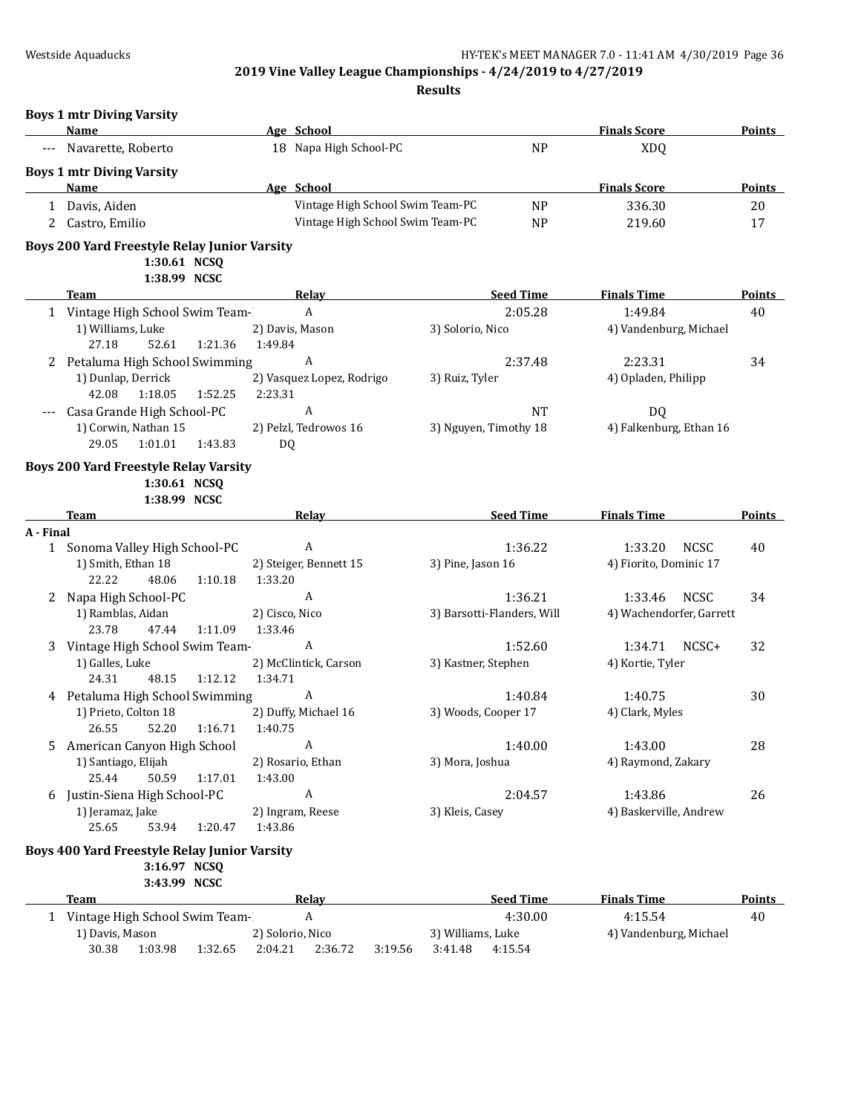|           | <b>Boys 1 mtr Diving Varsity</b><br>Name                                            | Age School                           |                             | <b>Finals Score</b>           | <b>Points</b>       |
|-----------|-------------------------------------------------------------------------------------|--------------------------------------|-----------------------------|-------------------------------|---------------------|
|           | Navarette, Roberto                                                                  | 18 Napa High School-PC               | <b>NP</b>                   | <b>XDQ</b>                    |                     |
|           | <b>Boys 1 mtr Diving Varsity</b>                                                    |                                      |                             |                               |                     |
|           | Name                                                                                | Age School                           |                             | <b>Finals Score</b>           | <b>Points</b>       |
|           | 1 Davis, Aiden                                                                      | Vintage High School Swim Team-PC     | <b>NP</b>                   | 336.30                        | 20                  |
|           | 2 Castro, Emilio                                                                    | Vintage High School Swim Team-PC     | <b>NP</b>                   | 219.60                        | 17                  |
|           | <b>Boys 200 Yard Freestyle Relay Junior Varsity</b><br>1:30.61 NCSQ<br>1:38.99 NCSC |                                      |                             |                               |                     |
|           | <b>Team</b>                                                                         | Relay                                | <b>Seed Time</b>            | <b>Finals Time</b>            | <b>Points</b>       |
|           | 1 Vintage High School Swim Team-                                                    | A                                    | 2:05.28                     | 1:49.84                       | 40                  |
|           | 1) Williams, Luke                                                                   | 2) Davis, Mason                      | 3) Solorio, Nico            | 4) Vandenburg, Michael        |                     |
|           | 1:21.36<br>27.18<br>52.61                                                           | 1:49.84                              |                             |                               |                     |
|           | 2 Petaluma High School Swimming                                                     | A                                    | 2:37.48                     | 2:23.31                       | 34                  |
|           | 1) Dunlap, Derrick<br>1:18.05<br>1:52.25<br>42.08                                   | 2) Vasquez Lopez, Rodrigo<br>2:23.31 | 3) Ruiz, Tyler              | 4) Opladen, Philipp           |                     |
|           | Casa Grande High School-PC                                                          | A                                    | <b>NT</b>                   | DQ                            |                     |
|           | 1) Corwin, Nathan 15                                                                | 2) Pelzl, Tedrowos 16                | 3) Nguyen, Timothy 18       | 4) Falkenburg, Ethan 16       |                     |
|           | 29.05<br>1:01.01<br>1:43.83                                                         | DQ                                   |                             |                               |                     |
|           | <b>Boys 200 Yard Freestyle Relay Varsity</b><br>1:30.61 NCSQ                        |                                      |                             |                               |                     |
|           | 1:38.99 NCSC                                                                        |                                      |                             |                               |                     |
|           | Team                                                                                | Relay                                | <b>Seed Time</b>            | <b>Finals Time</b>            | <b>Points</b>       |
| A - Final |                                                                                     |                                      |                             |                               |                     |
|           | 1 Sonoma Valley High School-PC                                                      | A                                    | 1:36.22                     | 1:33.20<br><b>NCSC</b>        | 40                  |
|           | 1) Smith, Ethan 18                                                                  | 2) Steiger, Bennett 15               | 3) Pine, Jason 16           | 4) Fiorito, Dominic 17        |                     |
|           | 48.06<br>1:10.18<br>22.22                                                           | 1:33.20                              |                             |                               |                     |
| 2         | Napa High School-PC                                                                 | A                                    | 1:36.21                     | 1:33.46<br><b>NCSC</b>        | 34                  |
|           | 1) Ramblas, Aidan<br>47.44<br>1:11.09<br>23.78                                      | 2) Cisco, Nico<br>1:33.46            | 3) Barsotti-Flanders, Will  | 4) Wachendorfer, Garrett      |                     |
|           | 3 Vintage High School Swim Team-                                                    | A                                    | 1:52.60                     | 1:34.71<br>NCSC+              | 32                  |
|           | 1) Galles, Luke                                                                     | 2) McClintick, Carson                | 3) Kastner, Stephen         | 4) Kortie, Tyler              |                     |
|           | 24.31<br>48.15<br>1:12.12                                                           | 1:34.71                              |                             |                               |                     |
|           | 4 Petaluma High School Swimming                                                     | A                                    | 1:40.84                     | 1:40.75                       | 30                  |
|           | 1) Prieto, Colton 18                                                                | 2) Duffy, Michael 16                 | 3) Woods, Cooper 17         | 4) Clark, Myles               |                     |
|           | 26.55<br>52.20<br>1:16.71                                                           | 1:40.75                              |                             |                               |                     |
|           | 5 American Canyon High School                                                       | A                                    | 1:40.00                     | 1:43.00                       | 28                  |
|           | 1) Santiago, Elijah                                                                 | 2) Rosario, Ethan                    | 3) Mora, Joshua             | 4) Raymond, Zakary            |                     |
|           | 25.44<br>50.59<br>1:17.01                                                           | 1:43.00                              |                             |                               |                     |
|           | 6 Justin-Siena High School-PC                                                       | $\boldsymbol{\mathsf{A}}$            | 2:04.57                     | 1:43.86                       | 26                  |
|           | 1) Jeramaz, Jake                                                                    | 2) Ingram, Reese                     | 3) Kleis, Casey             | 4) Baskerville, Andrew        |                     |
|           | 25.65<br>53.94<br>1:20.47                                                           | 1:43.86                              |                             |                               |                     |
|           | Boys 400 Yard Freestyle Relay Junior Varsity<br>3:16.97 NCSQ                        |                                      |                             |                               |                     |
|           | 3:43.99 NCSC                                                                        |                                      |                             |                               |                     |
|           | <b>Team</b><br>1 Vintage High School Swim Team-                                     | <b>Relay</b><br>A                    | <b>Seed Time</b><br>4:30.00 | <b>Finals Time</b><br>4:15.54 | <b>Points</b><br>40 |
|           | 1) Davis, Mason                                                                     | 2) Solorio, Nico                     | 3) Williams, Luke           | 4) Vandenburg, Michael        |                     |
|           | 30.38<br>1:03.98<br>1:32.65                                                         | 2:04.21<br>2:36.72<br>3:19.56        | 3:41.48<br>4:15.54          |                               |                     |
|           |                                                                                     |                                      |                             |                               |                     |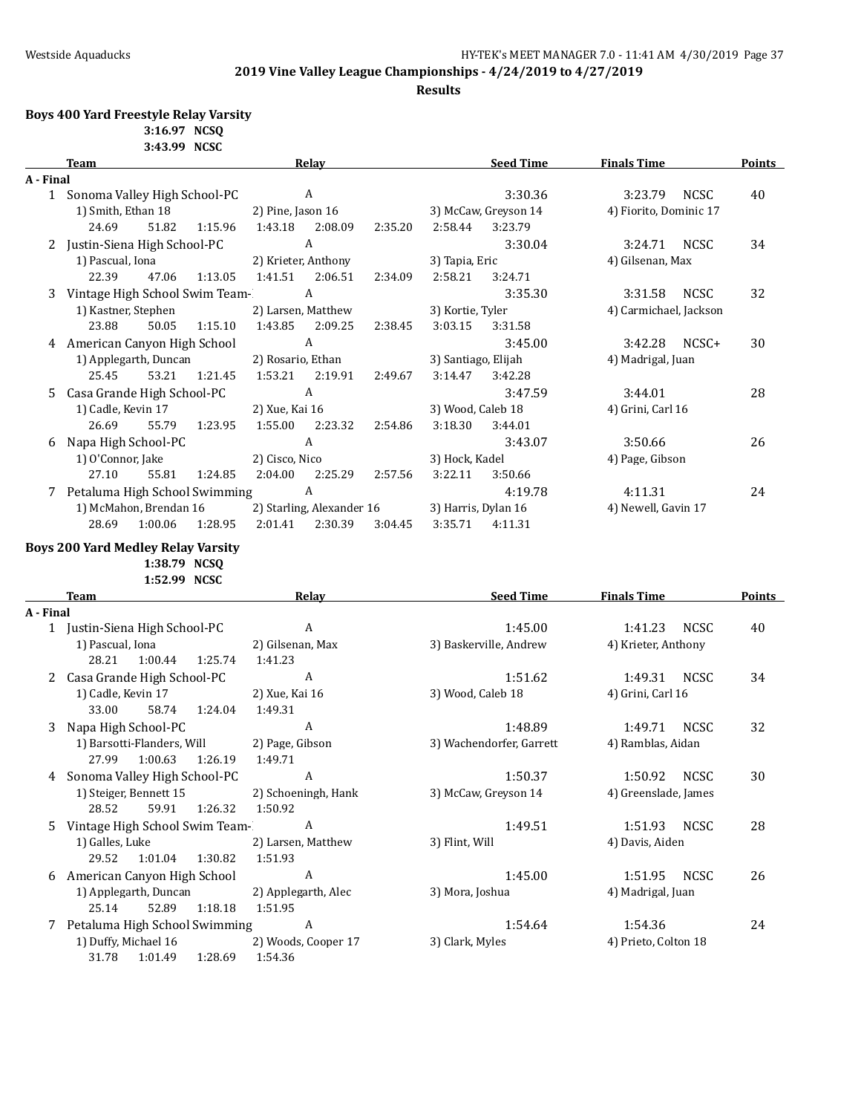**Results**

## **Boys 400 Yard Freestyle Relay Varsity**

**3:16.97 NCSQ 3:43.99 NCSC**

|           | <b>Team</b>                                                               | Relay                         | <b>Seed Time</b>         | <b>Finals Time</b>     | <b>Points</b> |
|-----------|---------------------------------------------------------------------------|-------------------------------|--------------------------|------------------------|---------------|
| A - Final |                                                                           |                               |                          |                        |               |
|           | 1 Sonoma Valley High School-PC                                            | A                             | 3:30.36                  | 3:23.79<br><b>NCSC</b> | 40            |
|           | 1) Smith, Ethan 18                                                        | 2) Pine, Jason 16             | 3) McCaw, Greyson 14     | 4) Fiorito, Dominic 17 |               |
|           | 51.82<br>24.69<br>1:15.96                                                 | 1:43.18<br>2:08.09<br>2:35.20 | 3:23.79<br>2:58.44       |                        |               |
|           | 2 Justin-Siena High School-PC                                             | $\boldsymbol{A}$              | 3:30.04                  | 3:24.71<br><b>NCSC</b> | 34            |
|           | 1) Pascual, Iona                                                          | 2) Krieter, Anthony           | 3) Tapia, Eric           | 4) Gilsenan, Max       |               |
|           | 22.39<br>47.06<br>1:13.05                                                 | 1:41.51<br>2:06.51<br>2:34.09 | 2:58.21<br>3:24.71       |                        |               |
| 3         | Vintage High School Swim Team-                                            | $\boldsymbol{A}$              | 3:35.30                  | 3:31.58<br><b>NCSC</b> | 32            |
|           | 1) Kastner, Stephen                                                       | 2) Larsen, Matthew            | 3) Kortie, Tyler         | 4) Carmichael, Jackson |               |
|           | 23.88<br>50.05<br>1:15.10                                                 | 1:43.85<br>2:09.25<br>2:38.45 | 3:03.15<br>3:31.58       |                        |               |
|           | 4 American Canyon High School                                             | A                             | 3:45.00                  | 3:42.28<br>NCSC+       | 30            |
|           |                                                                           |                               |                          |                        |               |
|           | 1) Applegarth, Duncan                                                     | 2) Rosario, Ethan             | 3) Santiago, Elijah      | 4) Madrigal, Juan      |               |
|           | 53.21<br>1:21.45<br>25.45                                                 | 1:53.21<br>2:49.67<br>2:19.91 | 3:14.47<br>3:42.28       |                        |               |
| 5         | Casa Grande High School-PC                                                | $\boldsymbol{A}$              | 3:47.59                  | 3:44.01                | 28            |
|           | 1) Cadle, Kevin 17                                                        | 2) Xue, Kai 16                | 3) Wood, Caleb 18        | 4) Grini, Carl 16      |               |
|           | 26.69<br>55.79<br>1:23.95                                                 | 1:55.00<br>2:23.32<br>2:54.86 | 3:18.30<br>3:44.01       |                        |               |
| 6         | Napa High School-PC                                                       | $\boldsymbol{A}$              | 3:43.07                  | 3:50.66                | 26            |
|           | 1) O'Connor, Jake                                                         | 2) Cisco, Nico                | 3) Hock, Kadel           | 4) Page, Gibson        |               |
|           | 27.10<br>55.81<br>1:24.85                                                 | 2:04.00<br>2:25.29<br>2:57.56 | 3:22.11<br>3:50.66       |                        |               |
|           | 7 Petaluma High School Swimming                                           | $\boldsymbol{A}$              | 4:19.78                  | 4:11.31                | 24            |
|           | 1) McMahon, Brendan 16                                                    | 2) Starling, Alexander 16     | 3) Harris, Dylan 16      | 4) Newell, Gavin 17    |               |
|           | 28.69<br>1:00.06<br>1:28.95                                               | 2:01.41<br>2:30.39<br>3:04.45 | 3:35.71<br>4:11.31       |                        |               |
|           | <b>Boys 200 Yard Medley Relay Varsity</b><br>1:38.79 NCSQ<br>1:52.99 NCSC |                               |                          |                        |               |
|           | <b>Team</b>                                                               | Relay                         | <b>Seed Time</b>         | <b>Finals Time</b>     | <b>Points</b> |
| A - Final |                                                                           |                               |                          |                        |               |
|           | 1 Justin-Siena High School-PC                                             | $\boldsymbol{A}$              | 1:45.00                  | 1:41.23<br><b>NCSC</b> | 40            |
|           | 1) Pascual, Iona                                                          | 2) Gilsenan, Max              | 3) Baskerville, Andrew   | 4) Krieter, Anthony    |               |
|           | 28.21<br>1:25.74<br>1:00.44                                               | 1:41.23                       |                          |                        |               |
|           | 2 Casa Grande High School-PC                                              | $\boldsymbol{A}$              | 1:51.62                  | 1:49.31<br><b>NCSC</b> | 34            |
|           | 1) Cadle, Kevin 17                                                        | 2) Xue, Kai 16                | 3) Wood, Caleb 18        | 4) Grini, Carl 16      |               |
|           | 33.00<br>58.74<br>1:24.04                                                 | 1:49.31                       |                          |                        |               |
|           |                                                                           | A                             |                          |                        |               |
| 3         | Napa High School-PC                                                       |                               | 1:48.89                  | 1:49.71<br><b>NCSC</b> | 32            |
|           | 1) Barsotti-Flanders, Will                                                | 2) Page, Gibson               | 3) Wachendorfer, Garrett | 4) Ramblas, Aidan      |               |
|           | 27.99<br>1:00.63<br>1:26.19                                               | 1:49.71                       |                          |                        |               |
|           | 4 Sonoma Valley High School-PC                                            | A                             | 1:50.37                  | <b>NCSC</b><br>1:50.92 | 30            |
|           | 1) Steiger, Bennett 15                                                    | 2) Schoeningh, Hank           | 3) McCaw, Greyson 14     | 4) Greenslade, James   |               |
|           | 28.52<br>59.91<br>1:26.32                                                 | 1:50.92                       |                          |                        |               |
| 5.        | Vintage High School Swim Team-                                            | A                             | 1:49.51                  | 1:51.93<br><b>NCSC</b> | 28            |
|           | 1) Galles, Luke                                                           | 2) Larsen, Matthew            | 3) Flint, Will           | 4) Davis, Aiden        |               |
|           | 29.52<br>1:01.04<br>1:30.82                                               | 1:51.93                       |                          |                        |               |
|           | 6 American Canyon High School                                             | A                             | 1:45.00                  | <b>NCSC</b><br>1:51.95 | 26            |
|           | 1) Applegarth, Duncan                                                     | 2) Applegarth, Alec           | 3) Mora, Joshua          | 4) Madrigal, Juan      |               |
|           | 25.14<br>52.89<br>1:18.18                                                 | 1:51.95                       |                          |                        |               |
| 7         | Petaluma High School Swimming                                             | A                             | 1:54.64                  | 1:54.36                | 24            |
|           | 1) Duffy, Michael 16                                                      | 2) Woods, Cooper 17           | 3) Clark, Myles          | 4) Prieto, Colton 18   |               |
|           | 1:28.69<br>31.78<br>1:01.49                                               | 1:54.36                       |                          |                        |               |